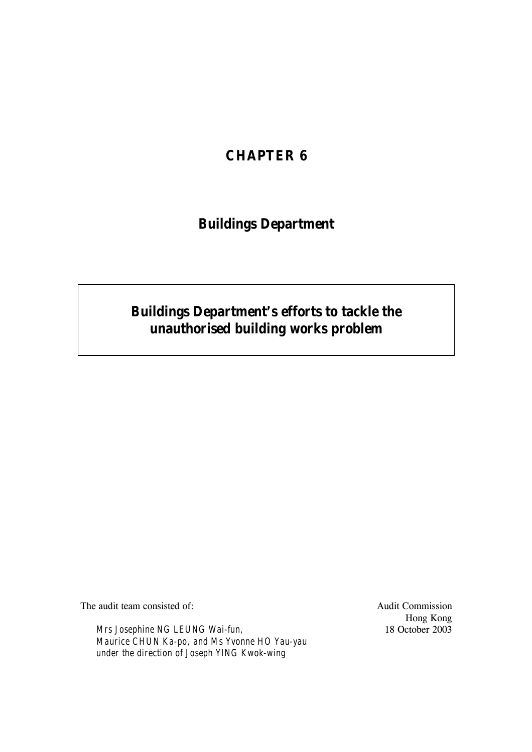## **CHAPTER 6**

## **Buildings Department**

# **Buildings Department's efforts to tackle the unauthorised building works problem**

The audit team consisted of: Audit Commission

*Mrs Josephine NG LEUNG Wai-fun, Maurice CHUN Ka-po, and Ms Yvonne HO Yau-yau under the direction of Joseph YING Kwok-wing*

Hong Kong 18 October 2003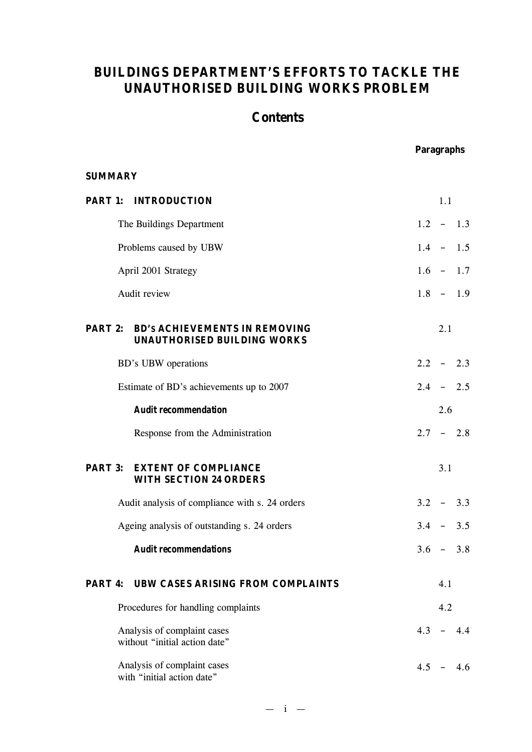## **BUILDINGS DEPARTMENT'S EFFORTS TO TACKLE THE UNAUTHORISED BUILDING WORKS PROBLEM**

## **Contents**

**Paragraphs** 

| <b>SUMMARY</b> |                                                                                    |         |     |             |
|----------------|------------------------------------------------------------------------------------|---------|-----|-------------|
|                | <b>PART 1: INTRODUCTION</b>                                                        |         | 1.1 |             |
|                | The Buildings Department                                                           |         |     | $1.2 - 1.3$ |
|                | Problems caused by UBW                                                             |         |     | $1.4 - 1.5$ |
|                | April 2001 Strategy                                                                |         |     | $1.6 - 1.7$ |
|                | Audit review                                                                       |         |     | $1.8 - 1.9$ |
|                | <b>PART 2: BD's ACHIEVEMENTS IN REMOVING</b><br><b>UNAUTHORISED BUILDING WORKS</b> |         | 2.1 |             |
|                | BD's UBW operations                                                                |         |     | $2.2 - 2.3$ |
|                | Estimate of BD's achievements up to 2007                                           |         |     | $2.4 - 2.5$ |
|                | <b>Audit recommendation</b>                                                        |         | 2.6 |             |
|                | Response from the Administration                                                   |         |     | $2.7 - 2.8$ |
|                | <b>PART 3: EXTENT OF COMPLIANCE</b><br><b>WITH SECTION 24 ORDERS</b>               |         | 3.1 |             |
|                | Audit analysis of compliance with s. 24 orders                                     |         |     | $3.2 - 3.3$ |
|                | Ageing analysis of outstanding s. 24 orders                                        |         |     | $3.4 - 3.5$ |
|                | <b>Audit recommendations</b>                                                       |         |     | $3.6 - 3.8$ |
| PART 4:        | <b>UBW CASES ARISING FROM COMPLAINTS</b>                                           |         | 4.1 |             |
|                | Procedures for handling complaints                                                 |         | 4.2 |             |
|                | Analysis of complaint cases<br>without "initial action date"                       | $4.3 -$ |     | 4.4         |
|                | Analysis of complaint cases<br>with "initial action date"                          |         |     | $4.5 - 4.6$ |

 $- i -$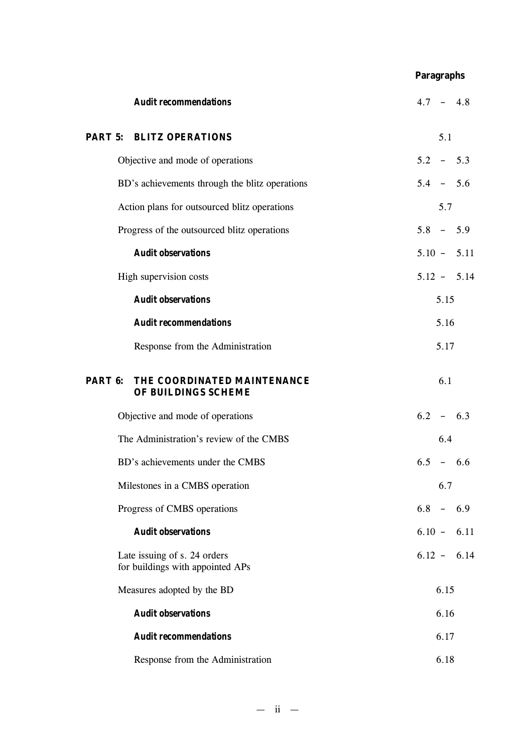## **Paragraphs**

| <b>Audit recommendations</b>                                     | $4.7 - 4.8$   |
|------------------------------------------------------------------|---------------|
| <b>PART 5: BLITZ OPERATIONS</b>                                  | 5.1           |
| Objective and mode of operations                                 | $5.2 - 5.3$   |
| BD's achievements through the blitz operations                   | $5.4 - 5.6$   |
| Action plans for outsourced blitz operations                     | 5.7           |
| Progress of the outsourced blitz operations                      | $5.8 - 5.9$   |
| <b>Audit observations</b>                                        | $5.10 - 5.11$ |
| High supervision costs                                           | $5.12 - 5.14$ |
| <b>Audit observations</b>                                        | 5.15          |
| <b>Audit recommendations</b>                                     | 5.16          |
| Response from the Administration                                 | 5.17          |
| THE COORDINATED MAINTENANCE<br>PART 6:<br>OF BUILDINGS SCHEME    | 6.1           |
| Objective and mode of operations                                 | $6.2 - 6.3$   |
| The Administration's review of the CMBS                          | 6.4           |
| BD's achievements under the CMBS                                 | $6.5 - 6.6$   |
| Milestones in a CMBS operation                                   | 6.7           |
| Progress of CMBS operations                                      | $6.8 - 6.9$   |
| <b>Audit observations</b>                                        | $6.10 - 6.11$ |
| Late issuing of s. 24 orders<br>for buildings with appointed APs | $6.12 - 6.14$ |
| Measures adopted by the BD                                       | 6.15          |
| <b>Audit observations</b>                                        | 6.16          |
| <b>Audit recommendations</b>                                     | 6.17          |
| Response from the Administration                                 | 6.18          |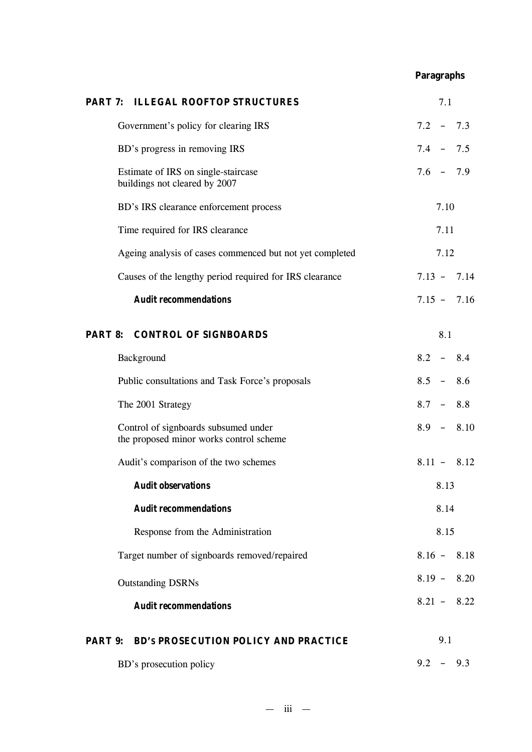## **Paragraphs**

| PART 7: ILLEGAL ROOFTOP STRUCTURES                                              | 7.1           |
|---------------------------------------------------------------------------------|---------------|
| Government's policy for clearing IRS                                            | $7.2 - 7.3$   |
| BD's progress in removing IRS                                                   | $7.4 - 7.5$   |
| Estimate of IRS on single-staircase<br>buildings not cleared by 2007            | $7.6 - 7.9$   |
| BD's IRS clearance enforcement process                                          | 7.10          |
| Time required for IRS clearance                                                 | 7.11          |
| Ageing analysis of cases commenced but not yet completed                        | 7.12          |
| Causes of the lengthy period required for IRS clearance                         | $7.13 - 7.14$ |
| <b>Audit recommendations</b>                                                    | $7.15 - 7.16$ |
| <b>PART 8: CONTROL OF SIGNBOARDS</b>                                            | 8.1           |
| Background                                                                      | $8.2 - 8.4$   |
| Public consultations and Task Force's proposals                                 | $8.5 - 8.6$   |
| The 2001 Strategy                                                               | $8.7 - 8.8$   |
| Control of signboards subsumed under<br>the proposed minor works control scheme | $8.9 - 8.10$  |
| Audit's comparison of the two schemes                                           | $8.11 - 8.12$ |
| <b>Audit observations</b>                                                       | 8.13          |
| <b>Audit recommendations</b>                                                    | 8.14          |
| Response from the Administration                                                | 8.15          |
| Target number of signboards removed/repaired                                    | $8.16 - 8.18$ |
| <b>Outstanding DSRNs</b>                                                        | $8.19 - 8.20$ |
| <b>Audit recommendations</b>                                                    | $8.21 - 8.22$ |
| <b>PART 9: BD's PROSECUTION POLICY AND PRACTICE</b>                             | 9.1           |
| BD's prosecution policy                                                         | 9.2<br>9.3    |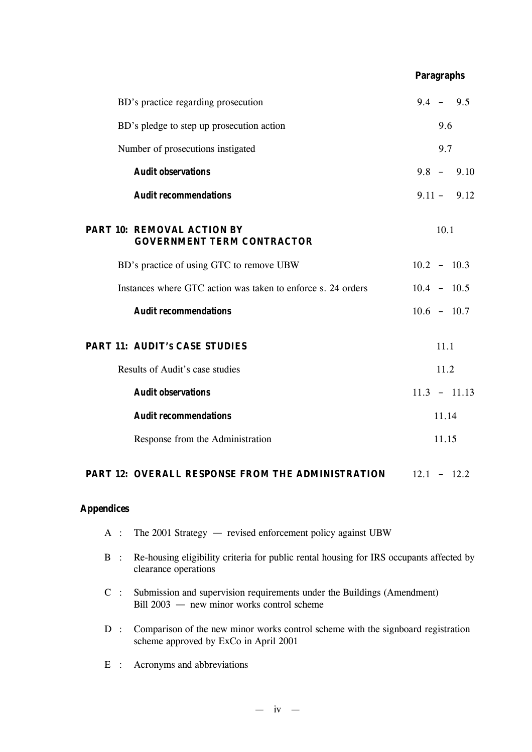|  |                                                                        | <b>Paragraphs</b> |       |                |
|--|------------------------------------------------------------------------|-------------------|-------|----------------|
|  | BD's practice regarding prosecution                                    |                   |       | $9.4 - 9.5$    |
|  | BD's pledge to step up prosecution action                              |                   | 9.6   |                |
|  | Number of prosecutions instigated                                      |                   | 9.7   |                |
|  | <b>Audit observations</b>                                              |                   |       | $9.8 - 9.10$   |
|  | <b>Audit recommendations</b>                                           |                   |       | $9.11 - 9.12$  |
|  | <b>PART 10: REMOVAL ACTION BY</b><br><b>GOVERNMENT TERM CONTRACTOR</b> |                   | 10.1  |                |
|  | BD's practice of using GTC to remove UBW                               | $10.2 - 10.3$     |       |                |
|  | Instances where GTC action was taken to enforce s. 24 orders           | $10.4 - 10.5$     |       |                |
|  | <b>Audit recommendations</b>                                           | $10.6 - 10.7$     |       |                |
|  | <b>PART 11: AUDIT'S CASE STUDIES</b>                                   |                   | 11.1  |                |
|  | Results of Audit's case studies                                        |                   | 11.2  |                |
|  | <b>Audit observations</b>                                              |                   |       | $11.3 - 11.13$ |
|  | <b>Audit recommendations</b>                                           |                   | 11.14 |                |
|  | Response from the Administration                                       |                   | 11.15 |                |
|  |                                                                        |                   |       |                |

#### **PART 12: OVERALL RESPONSE FROM THE ADMINISTRATION**  $12.1 - 12.2$

## **Appendices**

- A : The 2001 Strategy revised enforcement policy against UBW
- B : Re-housing eligibility criteria for public rental housing for IRS occupants affected by clearance operations
- C : Submission and supervision requirements under the Buildings (Amendment) Bill 2003 — new minor works control scheme
- D : Comparison of the new minor works control scheme with the signboard registration scheme approved by ExCo in April 2001
- E : Acronyms and abbreviations

 $- iv -$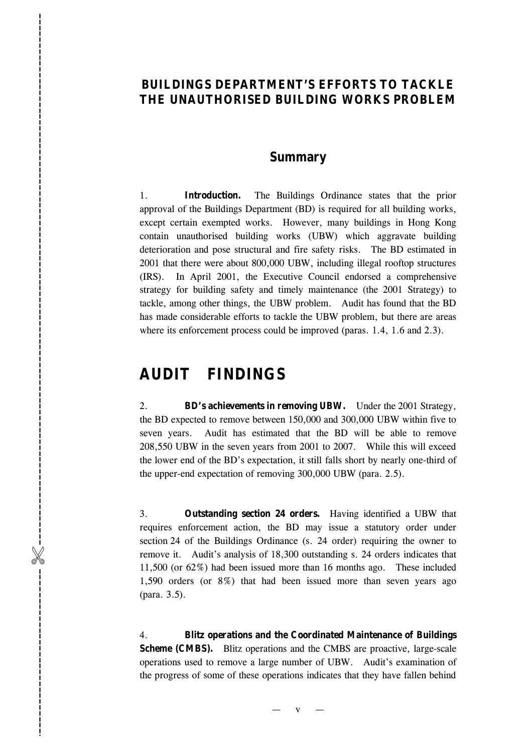## **BUILDINGS DEPARTMENT 'S EFFORTS TO TACKLE THE UNAUTHORISED BUILDING WORKS PROBLEM**

## **Summary**

1. **Introduction.** The Buildings Ordinance states that the prior approval of the Buildings Department (BD) is required for all building works, except certain exempted works. However, many buildings in Hong Kong contain unauthorised building works (UBW) which aggravate building deterioration and pose structural and fire safety risks. The BD estimated in 2001 that there were about 800,000 UBW, including illegal rooftop structures  $(IRS)$ . I n April 2001 , the Executive Council endorsed a comprehensive strategy for building safety and timely maintenance (the 2001 Strategy) to tackle, among other things, the UBW problem. Audit has found that the BD has made considerable efforts to tackle the UBW problem, but there are areas where its enforcement process could be improved (paras. 1.4, 1.6 and 2.3).

## **AUDIT FINDINGS**

%------------------------------------------------------------------------------------------

-----------------------------

2. **BD 's achievements in removing UBW.** Under the 2001 Strategy, the BD expected to remove between 150 ,000 and 300 ,000 UBW within five to seven years. Audit has estimated that the BD will be able to remove 208,550 UBW in the seven years from 2001 to 2007. While this will exceed the lower end of the BD 's expectation, it still falls short by nearly one -third of the upper -end expectation of removing 300,000 UBW (para . 2.5).

3. **Outstanding section 24 orders.** Having identified a UBW that requires enforcement action, the BD may issue a statutory order under section 24 of the Buildings Ordinance (s. 24 order) requiring the owner to remove it. Audit 's analysis of 18,300 outstanding s. 24 orders indicates that 11,500 (or 62%) had been issued more than 16 months ago. These included 1,590 orders (or 8%) that had been issued more than seven years ago (para. 3. 5 ) .

4. **Blitz operations and the Coordinated Maintenance of Buildings Scheme (CMBS).** Blitz operations and the CMBS are proactive, large-scale operations used to remove a large number of UBW. Audit 's examination of the progress of some of these operations indicates that they have fallen behind

> v —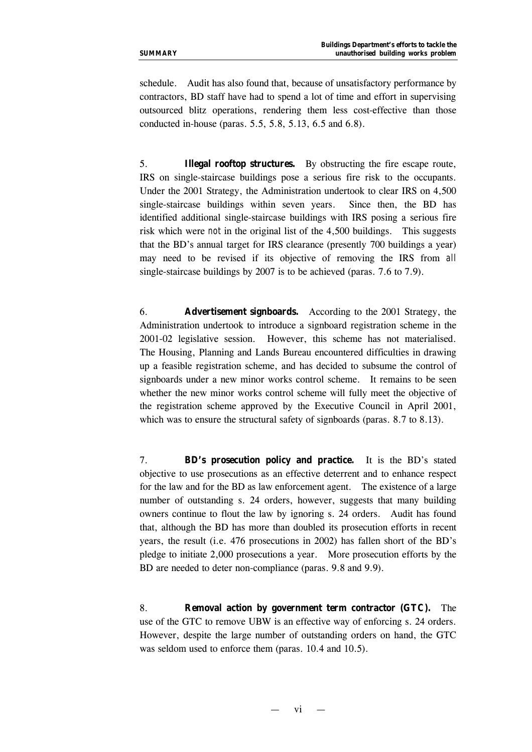schedule. Audit has also found that, because of unsatisfactory performance by contractors, BD staff have had to spend a lot of time and effort in supervising outsourced blitz operations, rendering them less cost-effective than those conducted in-house (paras. 5.5, 5.8, 5.13, 6.5 and 6.8).

5. **Illegal rooftop structures.** By obstructing the fire escape route, IRS on single-staircase buildings pose a serious fire risk to the occupants. Under the 2001 Strategy, the Administration undertook to clear IRS on 4,500 single-staircase buildings within seven years. Since then, the BD has identified additional single-staircase buildings with IRS posing a serious fire risk which were *not* in the original list of the 4,500 buildings. This suggests that the BD's annual target for IRS clearance (presently 700 buildings a year) may need to be revised if its objective of removing the IRS from *all* single-staircase buildings by 2007 is to be achieved (paras. 7.6 to 7.9).

6. **Advertisement signboards.** According to the 2001 Strategy, the Administration undertook to introduce a signboard registration scheme in the 2001-02 legislative session. However, this scheme has not materialised. The Housing, Planning and Lands Bureau encountered difficulties in drawing up a feasible registration scheme, and has decided to subsume the control of signboards under a new minor works control scheme. It remains to be seen whether the new minor works control scheme will fully meet the objective of the registration scheme approved by the Executive Council in April 2001, which was to ensure the structural safety of signboards (paras. 8.7 to 8.13).

7. **BD's prosecution policy and practice***.*It is the BD's stated objective to use prosecutions as an effective deterrent and to enhance respect for the law and for the BD as law enforcement agent. The existence of a large number of outstanding s. 24 orders, however, suggests that many building owners continue to flout the law by ignoring s. 24 orders. Audit has found that, although the BD has more than doubled its prosecution efforts in recent years, the result (i.e. 476 prosecutions in 2002) has fallen short of the BD's pledge to initiate 2,000 prosecutions a year. More prosecution efforts by the BD are needed to deter non-compliance (paras. 9.8 and 9.9).

8. **Removal action by government term contractor (GTC).** The use of the GTC to remove UBW is an effective way of enforcing s. 24 orders. However, despite the large number of outstanding orders on hand, the GTC was seldom used to enforce them (paras. 10.4 and 10.5).

vi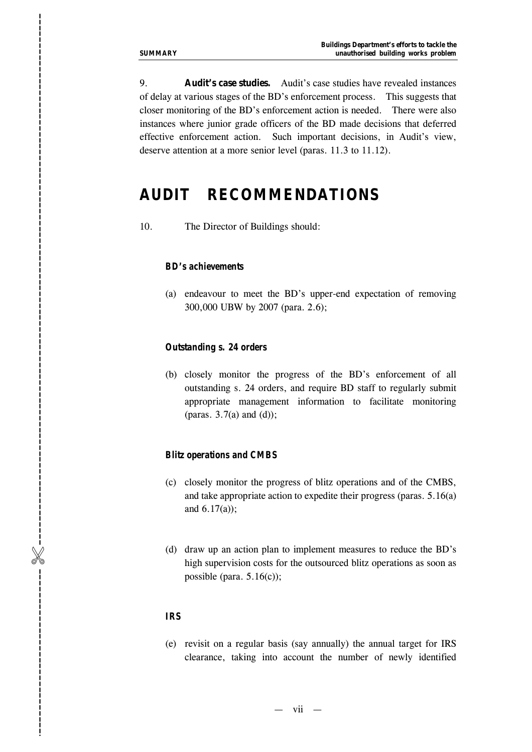9. **Audit's case studies.** Audit 's case studies have revealed instances of delay at various stages of the BD 's enforcement process. This suggests that closer monitoring of the BD 's enforcement action is needed. There were also instances where junior grade officers of the BD made decisions that deferred effective enforcement action. Such important decisions, in Audit's view, deserve attention at a more senior level (paras. 11.3 to 11.12). **Example 2011 Control of the number of new latter of new stationarce of the number of the number of new station of the number of new stations of the number of newly into account the number of newly into account the numb** 

## **AUDIT RECOMMENDATIONS**

10. The Director of Buildings should :

#### *BD 's achievements*

(a) endeavour to meet the BD 's upper -end expectation of removing 300,000 UBW by 2007 (para. 2.6);

#### *Outstanding s. 24 orders*

(b) closely monitor the progress of the BD 's enforcement of all outstanding s. 24 orders, and require BD staff to regularly submit appropriate management information to facilitate monitoring (para s . 3. 7(a) and (d) ) ;

#### *Blitz operations and CMBS*

- (c) closely monitor the progress of blitz operations and of the CMBS, and take appropriate action to expedite their progress (para s. 5.1 6(a) and 6.1 7(a));
- (d) draw up an action plan to implement measures to reduce the BD 's high supervision costs for the outsourced blitz operations as soon as possible (para.  $5.16(c)$ );

#### *IRS*

(e) revisit on a regular basis (say annually) the annual target for IRS

— vii —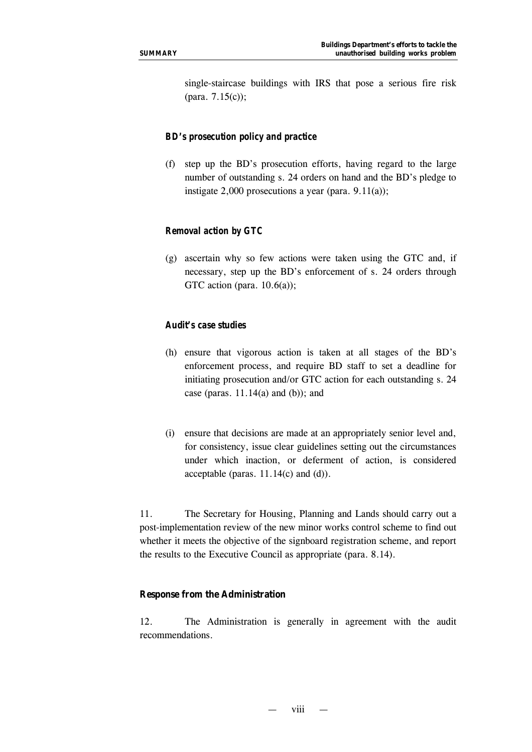single-staircase buildings with IRS that pose a serious fire risk (para. 7.15(c));

## *BD's prosecution policy and practice*

(f) step up the BD's prosecution efforts, having regard to the large number of outstanding s. 24 orders on hand and the BD's pledge to instigate 2,000 prosecutions a year (para.  $9.11(a)$ );

## *Removal action by GTC*

(g) ascertain why so few actions were taken using the GTC and, if necessary, step up the BD's enforcement of s. 24 orders through GTC action (para.  $10.6(a)$ );

## *Audit's case studies*

- (h) ensure that vigorous action is taken at all stages of the BD's enforcement process, and require BD staff to set a deadline for initiating prosecution and/or GTC action for each outstanding s. 24 case (paras.  $11.14(a)$  and (b)); and
- (i) ensure that decisions are made at an appropriately senior level and, for consistency, issue clear guidelines setting out the circumstances under which inaction, or deferment of action, is considered acceptable (paras.  $11.14(c)$  and (d)).

11. The Secretary for Housing, Planning and Lands should carry out a post-implementation review of the new minor works control scheme to find out whether it meets the objective of the signboard registration scheme, and report the results to the Executive Council as appropriate (para. 8.14).

#### **Response from the Administration**

12. The Administration is generally in agreement with the audit recommendations.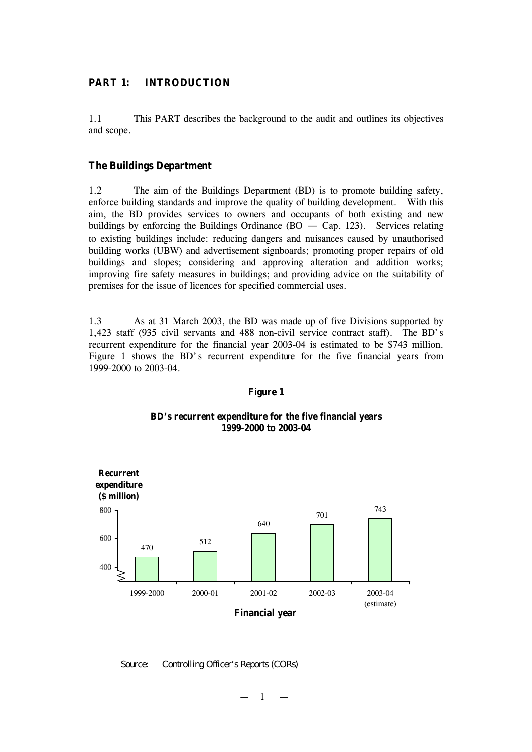## **PART 1: INTRODUCTION**

1.1 This PART describes the background to the audit and outlines its objectives and scope.

### **The Buildings Department**

1.2 The aim of the Buildings Department (BD) is to promote building safety, enforce building standards and improve the quality of building development. With this aim, the BD provides services to owners and occupants of both existing and new buildings by enforcing the Buildings Ordinance ( $BO - Cap$ . 123). Services relating to existing buildings include: reducing dangers and nuisances caused by unauthorised building works (UBW) and advertisement signboards; promoting proper repairs of old buildings and slopes; considering and approving alteration and addition works; improving fire safety measures in buildings; and providing advice on the suitability of premises for the issue of licences for specified commercial uses.

1.3 As at 31 March 2003, the BD was made up of five Divisions supported by 1,423 staff (935 civil servants and 488 non-civil service contract staff). The BD's recurrent expenditure for the financial year 2003-04 is estimated to be \$743 million. Figure 1 shows the BD's recurrent expenditure for the five financial years from 1999-2000 to 2003-04.

#### 470 512 640 701 743 400 600 800 1999-2000 2000-01 2001-02 2002-03 2003-04 (estimate) **Financial year Recurrent expenditure (\$ million)**

#### **Figure 1**

#### **BD's recurrent expenditure for the five financial years 1999-2000 to 2003-04**

*Source: Controlling Officer's Reports (CORs)*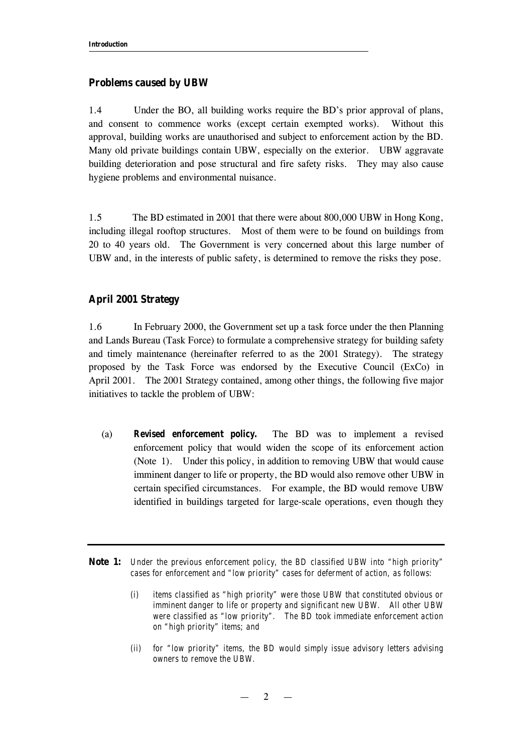### **Problems caused by UBW**

1.4 Under the BO, all building works require the BD's prior approval of plans, and consent to commence works (except certain exempted works). Without this approval, building works are unauthorised and subject to enforcement action by the BD. Many old private buildings contain UBW, especially on the exterior. UBW aggravate building deterioration and pose structural and fire safety risks. They may also cause hygiene problems and environmental nuisance.

1.5 The BD estimated in 2001 that there were about 800,000 UBW in Hong Kong, including illegal rooftop structures. Most of them were to be found on buildings from 20 to 40 years old. The Government is very concerned about this large number of UBW and, in the interests of public safety, is determined to remove the risks they pose.

## **April 2001 Strategy**

1.6 In February 2000, the Government set up a task force under the then Planning and Lands Bureau (Task Force) to formulate a comprehensive strategy for building safety and timely maintenance (hereinafter referred to as the 2001 Strategy). The strategy proposed by the Task Force was endorsed by the Executive Council (ExCo) in April 2001. The 2001 Strategy contained, among other things, the following five major initiatives to tackle the problem of UBW:

(a) *Revised enforcement policy.* The BD was to implement a revised enforcement policy that would widen the scope of its enforcement action (Note 1). Under this policy, in addition to removing UBW that would cause imminent danger to life or property, the BD would also remove other UBW in certain specified circumstances. For example, the BD would remove UBW identified in buildings targeted for large-scale operations, even though they

**Note 1:** *Under the previous enforcement policy, the BD classified UBW into "high priority" cases for enforcement and "low priority" cases for deferment of action, as follows:* 

*(ii) for "low priority" items, the BD would simply issue advisory letters advising owners to remove the UBW.*

*<sup>(</sup>i) items classified as "high priority" were those UBW that constituted obvious or imminent danger to life or property and significant new UBW. All other UBW were classified as "low priority". The BD took immediate enforcement action on "high priority" items; and*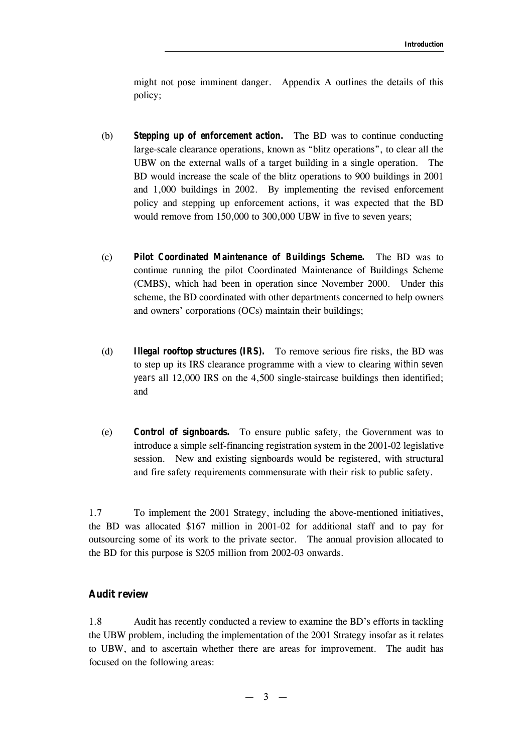might not pose imminent danger. Appendix A outlines the details of this policy;

- (b) *Stepping up of enforcement action.* The BD was to continue conducting large-scale clearance operations, known as "blitz operations", to clear all the UBW on the external walls of a target building in a single operation. The BD would increase the scale of the blitz operations to 900 buildings in 2001 and 1,000 buildings in 2002. By implementing the revised enforcement policy and stepping up enforcement actions, it was expected that the BD would remove from 150,000 to 300,000 UBW in five to seven years;
- (c) *Pilot Coordinated Maintenance of Buildings Scheme.* The BD was to continue running the pilot Coordinated Maintenance of Buildings Scheme (CMBS), which had been in operation since November 2000. Under this scheme, the BD coordinated with other departments concerned to help owners and owners' corporations (OCs) maintain their buildings;
- (d) *Illegal rooftop structures (IRS).* To remove serious fire risks, the BD was to step up its IRS clearance programme with a view to clearing *within seven years* all 12,000 IRS on the 4,500 single-staircase buildings then identified; and
- (e) *Control of signboards.* To ensure public safety, the Government was to introduce a simple self-financing registration system in the 2001-02 legislative session. New and existing signboards would be registered, with structural and fire safety requirements commensurate with their risk to public safety.

1.7 To implement the 2001 Strategy, including the above-mentioned initiatives, the BD was allocated \$167 million in 2001-02 for additional staff and to pay for outsourcing some of its work to the private sector. The annual provision allocated to the BD for this purpose is \$205 million from 2002-03 onwards.

### **Audit review**

1.8 Audit has recently conducted a review to examine the BD's efforts in tackling the UBW problem, including the implementation of the 2001 Strategy insofar as it relates to UBW, and to ascertain whether there are areas for improvement. The audit has focused on the following areas: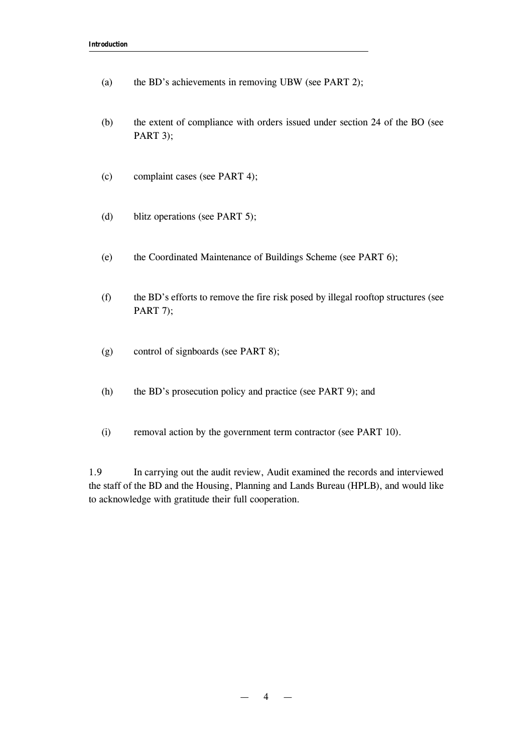- (a) the BD's achievements in removing UBW (see PART 2);
- (b) the extent of compliance with orders issued under section 24 of the BO (see PART 3);
- (c) complaint cases (see PART 4);
- (d) blitz operations (see PART 5);
- (e) the Coordinated Maintenance of Buildings Scheme (see PART 6);
- (f) the BD's efforts to remove the fire risk posed by illegal rooftop structures (see PART 7);
- (g) control of signboards (see PART 8);
- (h) the BD's prosecution policy and practice (see PART 9); and
- (i) removal action by the government term contractor (see PART 10).

1.9 In carrying out the audit review, Audit examined the records and interviewed the staff of the BD and the Housing, Planning and Lands Bureau (HPLB), and would like to acknowledge with gratitude their full cooperation.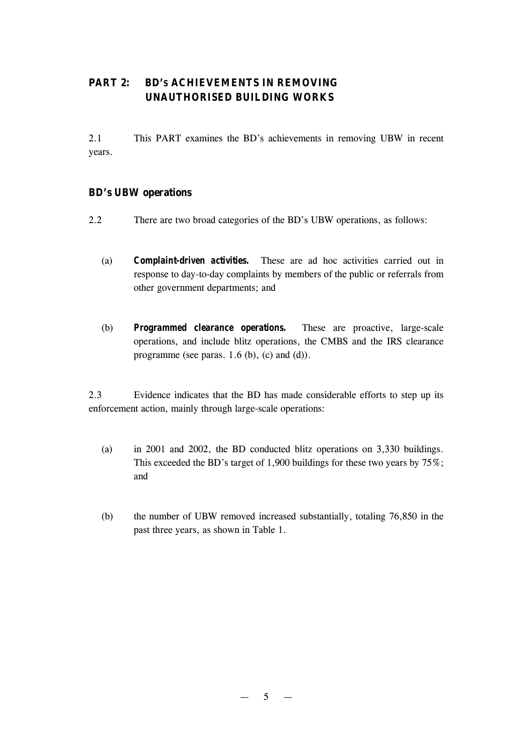## **PART 2: BD'S ACHIEVEMENTS IN REMOVING UNAUTHORISED BUILDING WORKS**

2.1 This PART examines the BD's achievements in removing UBW in recent years.

## **BD's UBW operations**

- 2.2 There are two broad categories of the BD's UBW operations, as follows:
	- (a) *Complaint-driven activities.* These are ad hoc activities carried out in response to day-to-day complaints by members of the public or referrals from other government departments; and
	- (b) *Programmed clearance operations.* These are proactive, large-scale operations, and include blitz operations, the CMBS and the IRS clearance programme (see paras.  $1.6$  (b), (c) and (d)).

2.3 Evidence indicates that the BD has made considerable efforts to step up its enforcement action, mainly through large-scale operations:

- (a) in 2001 and 2002, the BD conducted blitz operations on 3,330 buildings. This exceeded the BD's target of 1,900 buildings for these two years by 75%; and
- (b) the number of UBW removed increased substantially, totaling 76,850 in the past three years, as shown in Table 1.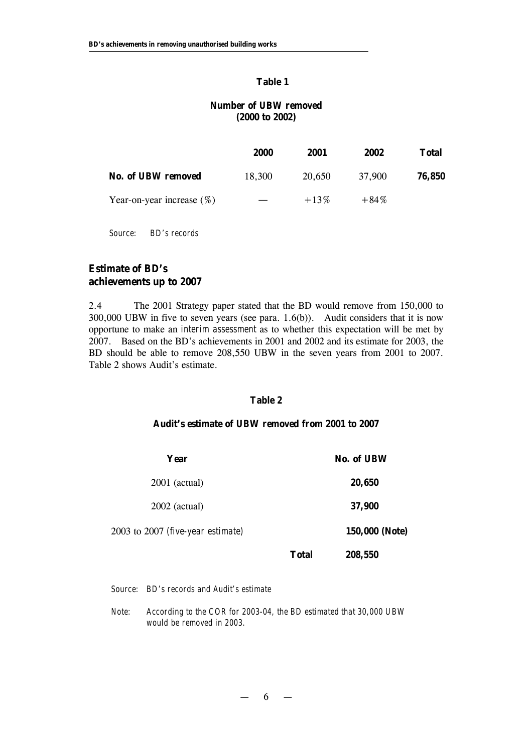#### **Table 1**

## **Number of UBW removed (2000 to 2002)**

|                              | 2000   | 2001    | 2002    | <b>Total</b> |
|------------------------------|--------|---------|---------|--------------|
| <b>No. of UBW removed</b>    | 18.300 | 20,650  | 37,900  | 76,850       |
| Year-on-year increase $(\%)$ |        | $+13\%$ | $+84\%$ |              |

*Source: BD's records*

## **Estimate of BD's achievements up to 2007**

2.4 The 2001 Strategy paper stated that the BD would remove from 150,000 to 300,000 UBW in five to seven years (see para. 1.6(b)). Audit considers that it is now opportune to make an *interim assessment* as to whether this expectation will be met by 2007. Based on the BD's achievements in 2001 and 2002 and its estimate for 2003, the BD should be able to remove 208,550 UBW in the seven years from 2001 to 2007. Table 2 shows Audit's estimate.

#### **Table 2**

#### **Audit's estimate of UBW removed from 2001 to 2007**

| Year                              |              | <b>No. of UBW</b> |
|-----------------------------------|--------------|-------------------|
| $2001$ (actual)                   |              | 20,650            |
| $2002$ (actual)                   |              | 37,900            |
| 2003 to 2007 (five-year estimate) |              | 150,000 (Note)    |
|                                   | <b>Total</b> | 208,550           |

*Source: BD's records and Audit's estimate*

*Note: According to the COR for 2003-04, the BD estimated that 30,000 UBW would be removed in 2003.*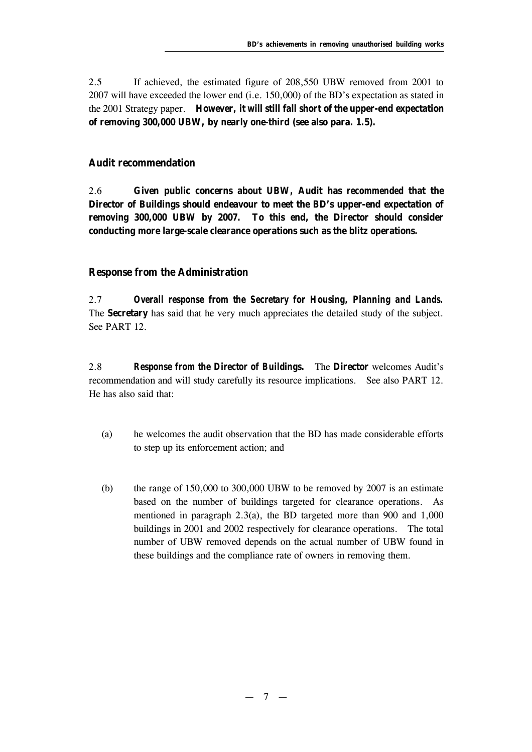2.5 If achieved, the estimated figure of 208,550 UBW removed from 2001 to 2007 will have exceeded the lower end (i.e. 150,000) of the BD's expectation as stated in the 2001 Strategy paper. **However, it will still fall short of the upper-end expectation of removing 300,000 UBW, by nearly one-third (see also para. 1.5).**

## **Audit recommendation**

2.6 **Given public concerns about UBW, Audit has** *recommended* **that the Director of Buildings should endeavour to meet the BD's upper-end expectation of removing 300,000 UBW by 2007. To this end, the Director should consider conducting more large-scale clearance operations such as the blitz operations.**

## **Response from the Administration**

2.7 *Overall response from the Secretary for Housing, Planning and Lands.* The **Secretary** has said that he very much appreciates the detailed study of the subject. See PART 12.

2.8 *Response from the Director of Buildings.* The **Director** welcomes Audit's recommendation and will study carefully its resource implications. See also PART 12. He has also said that:

- (a) he welcomes the audit observation that the BD has made considerable efforts to step up its enforcement action; and
- (b) the range of  $150,000$  to  $300,000$  UBW to be removed by 2007 is an estimate based on the number of buildings targeted for clearance operations. As mentioned in paragraph 2.3(a), the BD targeted more than 900 and 1,000 buildings in 2001 and 2002 respectively for clearance operations. The total number of UBW removed depends on the actual number of UBW found in these buildings and the compliance rate of owners in removing them.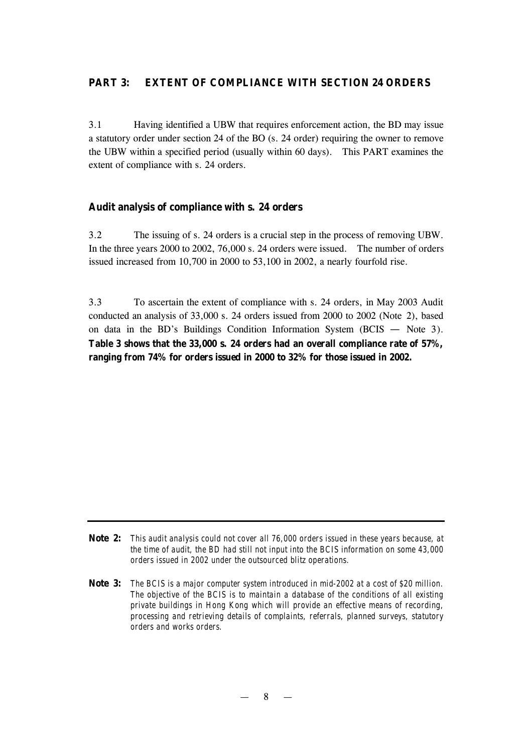## **PART 3: EXTENT OF COMPLIANCE WITH SECTION 24 ORDERS**

3.1 Having identified a UBW that requires enforcement action, the BD may issue a statutory order under section 24 of the BO (s. 24 order) requiring the owner to remove the UBW within a specified period (usually within 60 days). This PART examines the extent of compliance with s. 24 orders.

## **Audit analysis of compliance with s. 24 orders**

3.2 The issuing of s. 24 orders is a crucial step in the process of removing UBW. In the three years 2000 to 2002, 76,000 s. 24 orders were issued. The number of orders issued increased from 10,700 in 2000 to 53,100 in 2002, a nearly fourfold rise.

3.3 To ascertain the extent of compliance with s. 24 orders, in May 2003 Audit conducted an analysis of 33,000 s. 24 orders issued from 2000 to 2002 (Note 2), based on data in the BD's Buildings Condition Information System (BCIS — Note 3). **Table 3 shows that the 33,000 s. 24 orders had an overall compliance rate of 57%, ranging from 74% for orders issued in 2000 to 32% for those issued in 2002.**

**Note 2:** *This audit analysis could not cover all 76,000 orders issued in these years because, at the time of audit, the BD had still not input into the BCIS information on some 43,000 orders issued in 2002 under the outsourced blitz operations.*

**Note 3:** *The BCIS is a major computer system introduced in mid-2002 at a cost of \$20 million. The objective of the BCIS is to maintain a database of the conditions of all existing private buildings in Hong Kong which will provide an effective means of recording, processing and retrieving details of complaints, referrals, planned surveys, statutory orders and works orders.*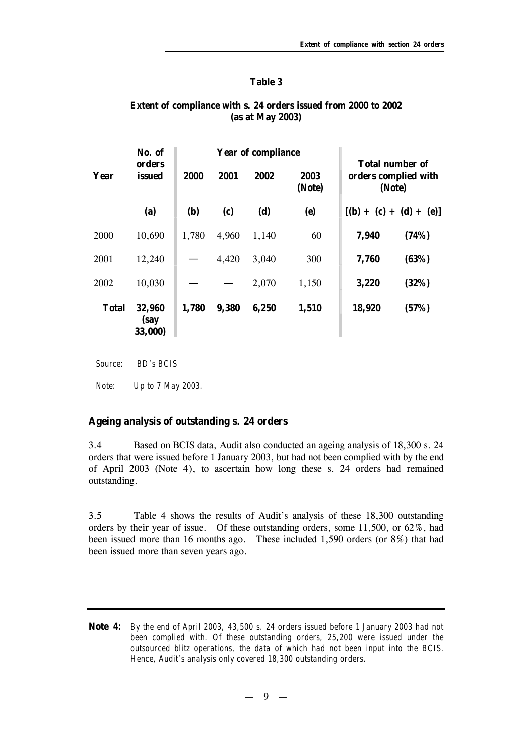#### **Table 3**

### **Extent of compliance with s. 24 orders issued from 2000 to 2002 (as at May 2003)**

|              | No. of                    |            |       | <b>Year of compliance</b> |                |        |                                                          |  |  |  |
|--------------|---------------------------|------------|-------|---------------------------|----------------|--------|----------------------------------------------------------|--|--|--|
| Year         | orders<br>issued          | 2000       | 2001  | 2002                      | 2003<br>(Note) |        | <b>Total number of</b><br>orders complied with<br>(Note) |  |  |  |
|              | (a)                       | <b>(b)</b> | (c)   | (d)                       | (e)            |        | $[(b) + (c) + (d) + (e)]$                                |  |  |  |
| 2000         | 10,690                    | 1,780      | 4,960 | 1,140                     | 60             | 7,940  | (74%)                                                    |  |  |  |
| 2001         | 12,240                    |            | 4,420 | 3,040                     | 300            | 7,760  | (63%)                                                    |  |  |  |
| 2002         | 10,030                    |            |       | 2,070                     | 1,150          | 3,220  | (32%)                                                    |  |  |  |
| <b>Total</b> | 32,960<br>(say<br>33,000) | 1,780      | 9,380 | 6,250                     | 1,510          | 18,920 | (57%)                                                    |  |  |  |

*Source: BD's BCIS*

*Note: Up to 7 May 2003.*

## **Ageing analysis of outstanding s. 24 orders**

3.4 Based on BCIS data, Audit also conducted an ageing analysis of 18,300 s. 24 orders that were issued before 1 January 2003, but had not been complied with by the end of April 2003 (Note 4), to ascertain how long these s. 24 orders had remained outstanding.

3.5 Table 4 shows the results of Audit's analysis of these 18,300 outstanding orders by their year of issue. Of these outstanding orders, some 11,500, or 62%, had been issued more than 16 months ago. These included 1,590 orders (or 8%) that had been issued more than seven years ago.

**Note 4:** *By the end of April 2003, 43,500 s. 24 orders issued before 1 January 2003 had not been complied with. Of these outstanding orders, 25,200 were issued under the outsourced blitz operations, the data of which had not been input into the BCIS. Hence, Audit's analysis only covered 18,300 outstanding orders.*

— 9 —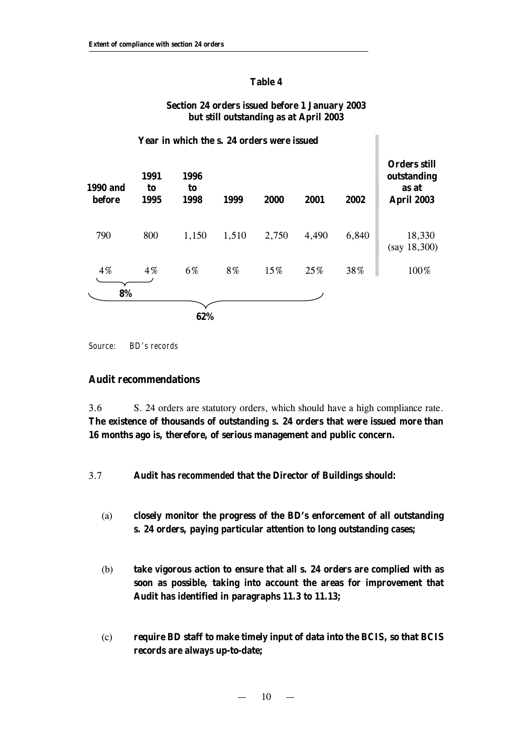## **Table 4**

## **Section 24 orders issued before 1 January 2003 but still outstanding as at April 2003**

|                           |                    | Year in which the s. 24 orders were issued |       |       |       |       |                                                                  |
|---------------------------|--------------------|--------------------------------------------|-------|-------|-------|-------|------------------------------------------------------------------|
| <b>1990 and</b><br>before | 1991<br>to<br>1995 | 1996<br>to<br>1998                         | 1999  | 2000  | 2001  | 2002  | <b>Orders still</b><br>outstanding<br>as at<br><b>April 2003</b> |
| 790                       | 800                | 1,150                                      | 1,510 | 2,750 | 4,490 | 6,840 | 18,330<br>(say 18,300)                                           |
| 4%                        | $4\%$              | 6%                                         | 8%    | 15%   | 25%   | 38%   | 100%                                                             |
| 8%                        |                    |                                            |       |       |       |       |                                                                  |
|                           |                    | 62%                                        |       |       |       |       |                                                                  |

*Source: BD's records*

## **Audit recommendations**

3.6 S. 24 orders are statutory orders, which should have a high compliance rate. **The existence of thousands of outstanding s. 24 orders that were issued more than 16 months ago is, therefore, of serious management and public concern.**

3.7 **Audit has** *recommended* **that the Director of Buildings should:**

- (a) **closely monitor the progress of the BD's enforcement of all outstanding s. 24 orders, paying particular attention to long outstanding cases;**
- (b) **take vigorous action to ensure that all s. 24 orders are complied with as soon as possible, taking into account the areas for improvement that Audit has identified in paragraphs 11.3 to 11.13;**
- (c) **require BD staff to make timely input of data into the BCIS, so that BCIS records are always up-to-date;**

 $10 -$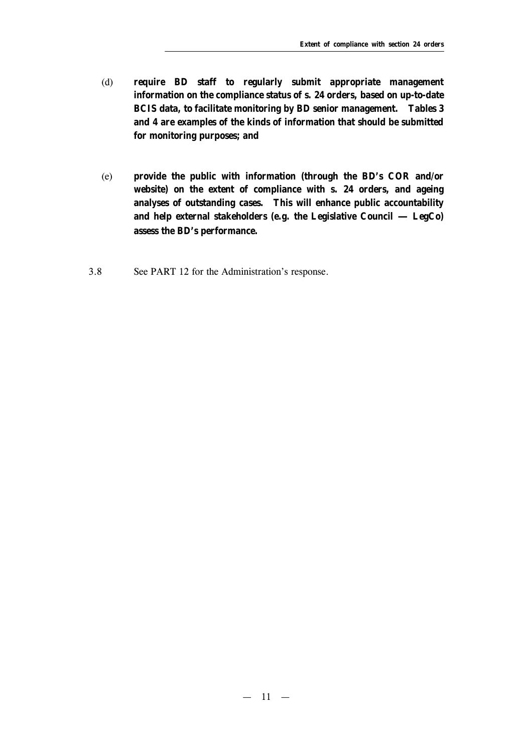- (d) **require BD staff to regularly submit appropriate management information on the compliance status of s. 24 orders, based on up-to-date BCIS data, to facilitate monitoring by BD senior management. Tables 3 and 4 are examples of the kinds of information that should be submitted for monitoring purposes; and**
- (e) **provide the public with information (through the BD's COR and/or website) on the extent of compliance with s. 24 orders, and ageing analyses of outstanding cases. This will enhance public accountability and help external stakeholders (e.g. the Legislative Council** — **LegCo) assess the BD's performance.**
- 3.8 See PART 12 for the Administration's response.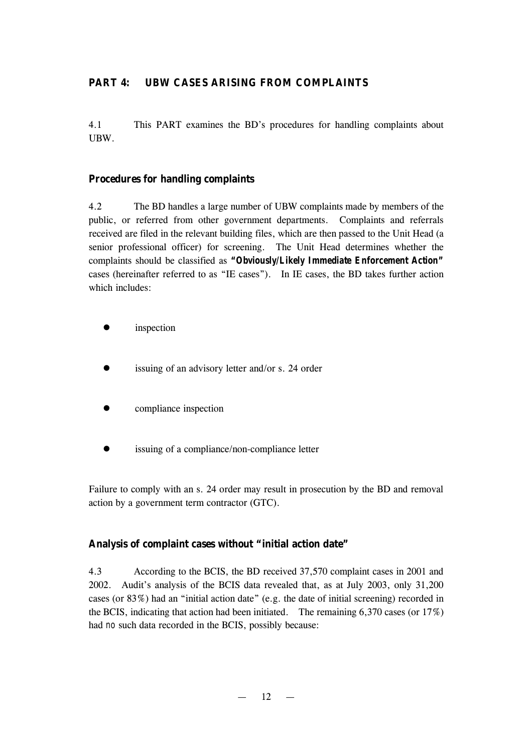## **PART 4: UBW CASES ARISING FROM COMPLAINTS**

4.1 This PART examines the BD's procedures for handling complaints about UBW.

## **Procedures for handling complaints**

4.2 The BD handles a large number of UBW complaints made by members of the public, or referred from other government departments. Complaints and referrals received are filed in the relevant building files, which are then passed to the Unit Head (a senior professional officer) for screening. The Unit Head determines whether the complaints should be classified as *"Obviously/Likely Immediate Enforcement Action"* cases (hereinafter referred to as "IE cases"). In IE cases, the BD takes further action which includes:

- inspection
- issuing of an advisory letter and/or s. 24 order
- compliance inspection
- issuing of a compliance/non-compliance letter

Failure to comply with an s. 24 order may result in prosecution by the BD and removal action by a government term contractor (GTC).

## **Analysis of complaint cases without "initial action date"**

4.3 According to the BCIS, the BD received 37,570 complaint cases in 2001 and 2002. Audit's analysis of the BCIS data revealed that, as at July 2003, only 31,200 cases (or  $83\%$ ) had an "initial action date" (e.g. the date of initial screening) recorded in the BCIS, indicating that action had been initiated. The remaining  $6,370$  cases (or  $17\%$ ) had *no* such data recorded in the BCIS, possibly because: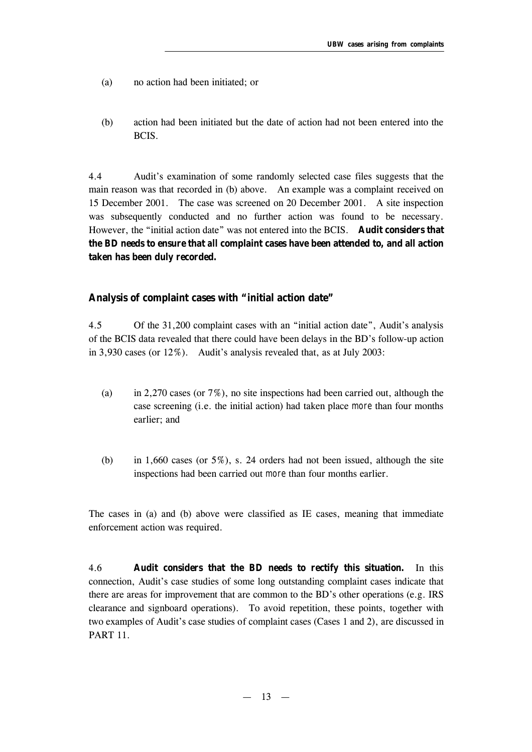- (a) no action had been initiated; or
- (b) action had been initiated but the date of action had not been entered into the BCIS.

4.4 Audit's examination of some randomly selected case files suggests that the main reason was that recorded in (b) above. An example was a complaint received on 15 December 2001. The case was screened on 20 December 2001. A site inspection was subsequently conducted and no further action was found to be necessary. However, the "initial action date" was not entered into the BCIS. **Audit considers that the BD needs to ensure that** *all* **complaint cases have been attended to, and all action taken has been duly recorded.** 

### **Analysis of complaint cases with "initial action date"**

4.5 Of the 31,200 complaint cases with an "initial action date", Audit's analysis of the BCIS data revealed that there could have been delays in the BD's follow-up action in 3,930 cases (or 12%). Audit's analysis revealed that, as at July 2003:

- (a) in 2,270 cases (or 7%), no site inspections had been carried out, although the case screening (i.e. the initial action) had taken place *more* than four months earlier; and
- (b) in 1,660 cases (or  $5\%$ ), s. 24 orders had not been issued, although the site inspections had been carried out *more* than four months earlier.

The cases in (a) and (b) above were classified as IE cases, meaning that immediate enforcement action was required.

4.6 **Audit considers that the BD needs to rectify this situation.** In this connection, Audit's case studies of some long outstanding complaint cases indicate that there are areas for improvement that are common to the BD's other operations (e.g. IRS clearance and signboard operations). To avoid repetition, these points, together with two examples of Audit's case studies of complaint cases (Cases 1 and 2), are discussed in PART 11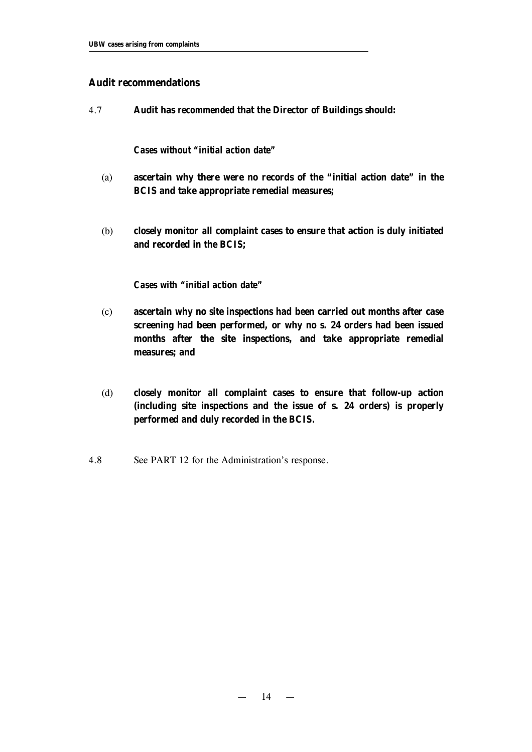### **Audit recommendations**

4.7 **Audit has** *recommended* **that the Director of Buildings should:**

#### *Cases without "initial action date"*

- (a) **ascertain why there were no records of the "initial action date" in the BCIS and take appropriate remedial measures;**
- (b) **closely monitor** *all* **complaint cases to ensure that action is duly initiated and recorded in the BCIS;**

### *Cases with "initial action date"*

- (c) **ascertain why no site inspections had been carried out months after case screening had been performed, or why no s. 24 orders had been issued months after the site inspections, and take appropriate remedial measures; and**
- (d) **closely monitor** *all* **complaint cases to ensure that follow-up action (including site inspections and the issue of s. 24 orders) is properly performed and duly recorded in the BCIS.**
- 4.8 See PART 12 for the Administration's response.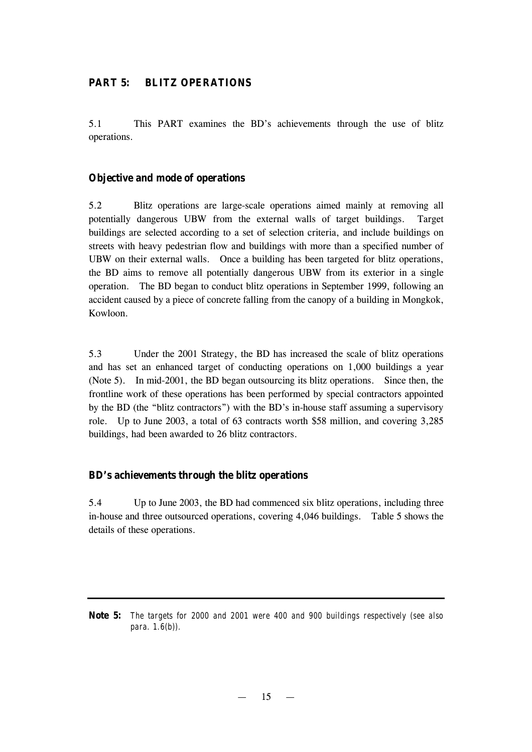## **PART 5: BLITZ OPERATIONS**

5.1 This PART examines the BD's achievements through the use of blitz operations.

## **Objective and mode of operations**

5.2 Blitz operations are large-scale operations aimed mainly at removing all potentially dangerous UBW from the external walls of target buildings. Target buildings are selected according to a set of selection criteria, and include buildings on streets with heavy pedestrian flow and buildings with more than a specified number of UBW on their external walls. Once a building has been targeted for blitz operations, the BD aims to remove all potentially dangerous UBW from its exterior in a single operation. The BD began to conduct blitz operations in September 1999, following an accident caused by a piece of concrete falling from the canopy of a building in Mongkok, Kowloon.

5.3 Under the 2001 Strategy, the BD has increased the scale of blitz operations and has set an enhanced target of conducting operations on 1,000 buildings a year (Note 5). In mid-2001, the BD began outsourcing its blitz operations. Since then, the frontline work of these operations has been performed by special contractors appointed by the BD (the "blitz contractors") with the BD's in-house staff assuming a supervisory role. Up to June 2003, a total of 63 contracts worth \$58 million, and covering 3,285 buildings, had been awarded to 26 blitz contractors.

## **BD's achievements through the blitz operations**

5.4 Up to June 2003, the BD had commenced six blitz operations, including three in-house and three outsourced operations, covering 4,046 buildings. Table 5 shows the details of these operations.

**Note 5:** *The targets for 2000 and 2001 were 400 and 900 buildings respectively (see also para. 1.6(b)).*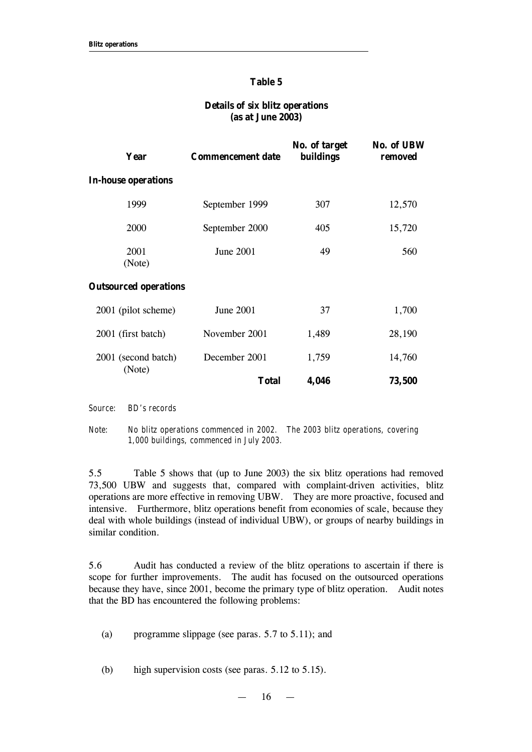#### **Table 5**

#### **Details of six blitz operations (as at June 2003)**

| Year                          | <b>Commencement date</b> | No. of target<br><b>buildings</b> | <b>No. of UBW</b><br>removed |
|-------------------------------|--------------------------|-----------------------------------|------------------------------|
| <b>In-house operations</b>    |                          |                                   |                              |
| 1999                          | September 1999           | 307                               | 12,570                       |
| 2000                          | September 2000           | 405                               | 15,720                       |
| 2001<br>(Note)                | June 2001                | 49                                | 560                          |
| <b>Outsourced operations</b>  |                          |                                   |                              |
| 2001 (pilot scheme)           | June 2001                | 37                                | 1,700                        |
| 2001 (first batch)            | November 2001            | 1,489                             | 28,190                       |
| 2001 (second batch)<br>(Note) | December 2001            | 1,759                             | 14,760                       |
|                               | <b>Total</b>             | 4,046                             | 73,500                       |
|                               |                          |                                   |                              |

*Source: BD's records*

*Note: No blitz operations commenced in 2002. The 2003 blitz operations, covering 1,000 buildings, commenced in July 2003.* 

5.5 Table 5 shows that (up to June 2003) the six blitz operations had removed 73,500 UBW and suggests that, compared with complaint-driven activities, blitz operations are more effective in removing UBW. They are more proactive, focused and intensive. Furthermore, blitz operations benefit from economies of scale, because they deal with whole buildings (instead of individual UBW), or groups of nearby buildings in similar condition.

5.6 Audit has conducted a review of the blitz operations to ascertain if there is scope for further improvements. The audit has focused on the outsourced operations because they have, since 2001, become the primary type of blitz operation. Audit notes that the BD has encountered the following problems:

(a) programme slippage (see paras. 5.7 to 5.11); and

(b) high supervision costs (see paras. 5.12 to 5.15).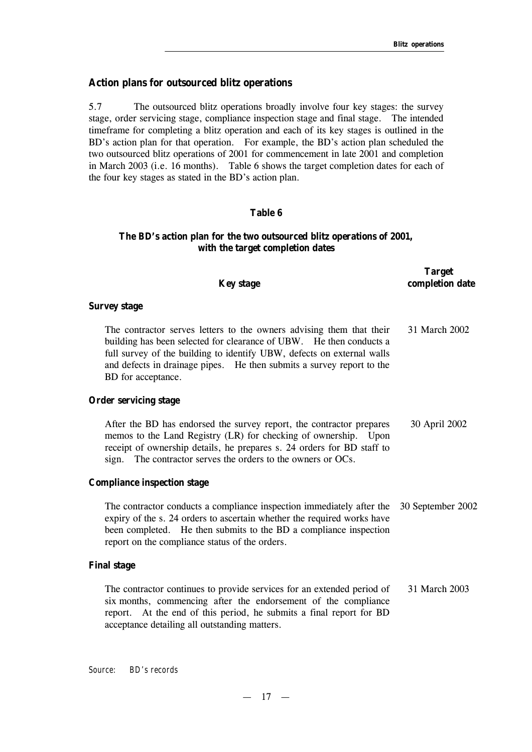#### **Action plans for outsourced blitz operations**

5.7 The outsourced blitz operations broadly involve four key stages: the survey stage, order servicing stage, compliance inspection stage and final stage. The intended timeframe for completing a blitz operation and each of its key stages is outlined in the BD's action plan for that operation. For example, the BD's action plan scheduled the two outsourced blitz operations of 2001 for commencement in late 2001 and completion in March 2003 (i.e. 16 months). Table 6 shows the target completion dates for each of the four key stages as stated in the BD's action plan.

#### **Table 6**

## **The BD's action plan for the two outsourced blitz operations of 2001, with the target completion dates**

| <b>Key stage</b>                                                                                                                                                                                                                                                                                                     | <b>Target</b><br>completion date |
|----------------------------------------------------------------------------------------------------------------------------------------------------------------------------------------------------------------------------------------------------------------------------------------------------------------------|----------------------------------|
| <b>Survey stage</b>                                                                                                                                                                                                                                                                                                  |                                  |
| The contractor serves letters to the owners advising them that their<br>building has been selected for clearance of UBW. He then conducts a<br>full survey of the building to identify UBW, defects on external walls<br>and defects in drainage pipes. He then submits a survey report to the<br>BD for acceptance. | 31 March 2002                    |
| <b>Order servicing stage</b>                                                                                                                                                                                                                                                                                         |                                  |
| After the BD has endorsed the survey report, the contractor prepares<br>memos to the Land Registry (LR) for checking of ownership. Upon<br>receipt of ownership details, he prepares s. 24 orders for BD staff to<br>sign. The contractor serves the orders to the owners or OCs.                                    | 30 April 2002                    |
| <b>Compliance inspection stage</b>                                                                                                                                                                                                                                                                                   |                                  |
| The contractor conducts a compliance inspection immediately after the<br>expiry of the s. 24 orders to ascertain whether the required works have<br>been completed. He then submits to the BD a compliance inspection<br>report on the compliance status of the orders.                                              | 30 September 2002                |
| <b>Final stage</b>                                                                                                                                                                                                                                                                                                   |                                  |
| The contractor continues to provide services for an extended period of<br>six months, commencing after the endorsement of the compliance<br>At the end of this period, he submits a final report for BD<br>report.<br>acceptance detailing all outstanding matters.                                                  | 31 March 2003                    |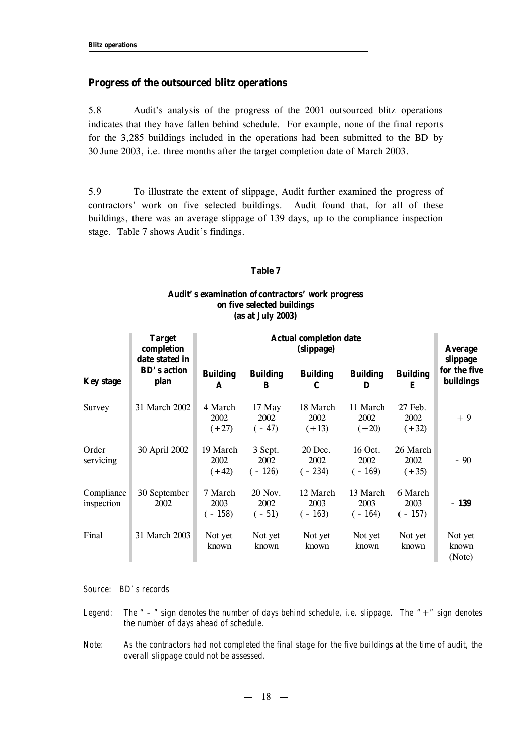#### **Progress of the outsourced blitz operations**

5.8 Audit's analysis of the progress of the 2001 outsourced blitz operations indicates that they have fallen behind schedule. For example, none of the final reports for the 3,285 buildings included in the operations had been submitted to the BD by 30 June 2003, i.e. three months after the target completion date of March 2003.

5.9 To illustrate the extent of slippage, Audit further examined the progress of contractors' work on five selected buildings. Audit found that, for all of these buildings, there was an average slippage of 139 days, up to the compliance inspection stage. Table 7 shows Audit's findings.

#### **Table 7**

#### **Audit's examination of contractors' work progress on five selected buildings (as at July 2003)**

|                          | <b>Target</b><br>completion<br>date stated in |                             |                             | <b>Actual completion date</b><br>(slippage) |                              |                             | <b>Average</b><br>slippage       |
|--------------------------|-----------------------------------------------|-----------------------------|-----------------------------|---------------------------------------------|------------------------------|-----------------------------|----------------------------------|
| <b>Key stage</b>         | <b>BD's action</b><br>plan                    | <b>Building</b><br>A        | <b>Building</b><br>B        | <b>Building</b><br>C                        | <b>Building</b><br>D         | <b>Building</b><br>E        | for the five<br><b>buildings</b> |
| Survey                   | 31 March 2002                                 | 4 March<br>2002<br>$(+27)$  | 17 May<br>2002<br>$(-47)$   | 18 March<br>2002<br>$(+13)$                 | 11 March<br>2002<br>$(+20)$  | 27 Feb.<br>2002<br>$(+32)$  | $+9$                             |
| Order<br>servicing       | 30 April 2002                                 | 19 March<br>2002<br>$(+42)$ | 3 Sept.<br>2002<br>$(-126)$ | 20 Dec.<br>2002<br>$(-234)$                 | 16 Oct.<br>2002<br>$(-169)$  | 26 March<br>2002<br>$(+35)$ | - 90                             |
| Compliance<br>inspection | 30 September<br>2002                          | 7 March<br>2003<br>$(-158)$ | 20 Nov.<br>2002<br>$(-51)$  | 12 March<br>2003<br>$(-163)$                | 13 March<br>2003<br>$(-164)$ | 6 March<br>2003<br>$(-157)$ | $-139$                           |
| Final                    | 31 March 2003                                 | Not yet<br>known            | Not yet<br>known            | Not yet<br>known                            | Not yet<br>known             | Not yet<br>known            | Not yet<br>known<br>(Note)       |

*Source: BD's records*

*Legend: The " – " sign denotes the number of days behind schedule, i.e. slippage. The "*+*" sign denotes the number of days ahead of schedule.*

*Note: As the contractors had not completed the final stage for the five buildings at the time of audit, the overall slippage could not be assessed.*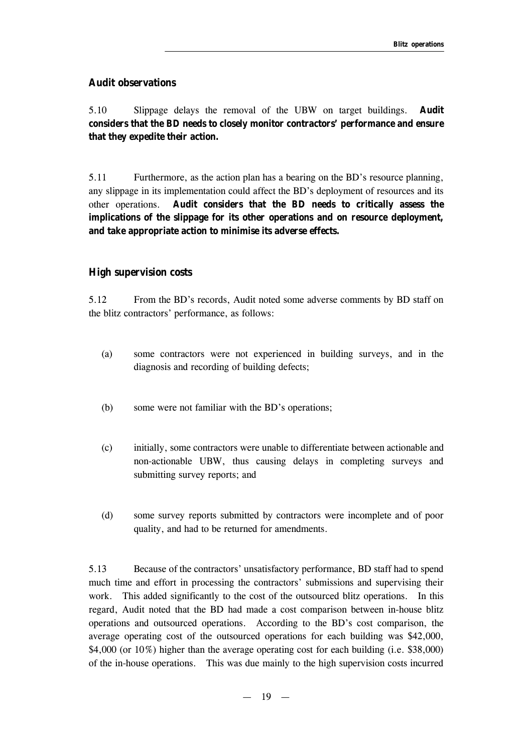## **Audit observations**

5.10 Slippage delays the removal of the UBW on target buildings. **Audit considers that the BD needs to closely monitor contractors' performance and ensure that they expedite their action.**

5.11 Furthermore, as the action plan has a bearing on the BD's resource planning, any slippage in its implementation could affect the BD's deployment of resources and its other operations. **Audit considers that the BD needs to critically assess the implications of the slippage for its other operations and on resource deployment, and take appropriate action to minimise its adverse effects.** 

## **High supervision costs**

5.12 From the BD's records, Audit noted some adverse comments by BD staff on the blitz contractors' performance, as follows:

- (a) some contractors were not experienced in building surveys, and in the diagnosis and recording of building defects;
- (b) some were not familiar with the BD's operations;
- (c) initially, some contractors were unable to differentiate between actionable and non-actionable UBW, thus causing delays in completing surveys and submitting survey reports; and
- (d) some survey reports submitted by contractors were incomplete and of poor quality, and had to be returned for amendments.

5.13 Because of the contractors' unsatisfactory performance, BD staff had to spend much time and effort in processing the contractors' submissions and supervising their work. This added significantly to the cost of the outsourced blitz operations. In this regard, Audit noted that the BD had made a cost comparison between in-house blitz operations and outsourced operations. According to the BD's cost comparison, the average operating cost of the outsourced operations for each building was \$42,000, \$4,000 (or 10%) higher than the average operating cost for each building (i.e. \$38,000) of the in-house operations. This was due mainly to the high supervision costs incurred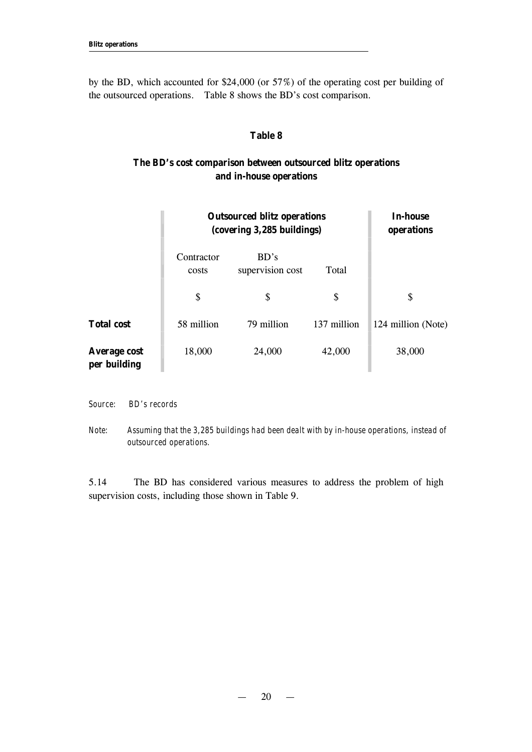by the BD, which accounted for \$24,000 (or 57%) of the operating cost per building of the outsourced operations. Table 8 shows the BD's cost comparison.

#### **Table 8**

## **The BD's cost comparison between outsourced blitz operations and in-house operations**

|                                     | <b>Outsourced blitz operations</b><br>(covering 3,285 buildings) | <b>In-house</b><br>operations |             |                    |
|-------------------------------------|------------------------------------------------------------------|-------------------------------|-------------|--------------------|
|                                     | Contractor<br>costs                                              | BD's<br>supervision cost      | Total       |                    |
|                                     | \$                                                               | \$                            | \$          | \$                 |
| <b>Total cost</b>                   | 58 million                                                       | 79 million                    | 137 million | 124 million (Note) |
| <b>Average cost</b><br>per building | 18,000                                                           | 24,000                        | 42,000      | 38,000             |

*Source: BD's records*

*Note: Assuming that the 3,285 buildings had been dealt with by in-house operations, instead of outsourced operations.*

5.14 The BD has considered various measures to address the problem of high supervision costs, including those shown in Table 9.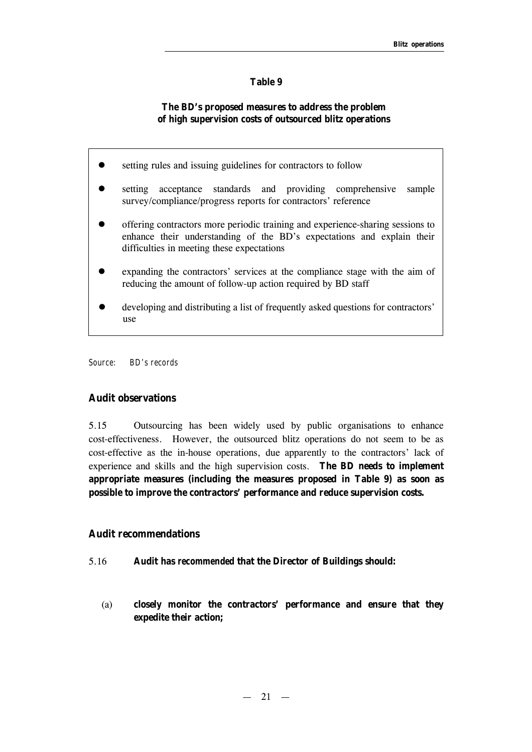#### **Table 9**

## **The BD's proposed measures to address the problem of high supervision costs of outsourced blitz operations**

- **e** setting rules and issuing guidelines for contractors to follow
- setting acceptance standards and providing comprehensive sample survey/compliance/progress reports for contractors' reference
- offering contractors more periodic training and experience-sharing sessions to enhance their understanding of the BD's expectations and explain their difficulties in meeting these expectations
- expanding the contractors' services at the compliance stage with the aim of reducing the amount of follow-up action required by BD staff
- developing and distributing a list of frequently asked questions for contractors' use

*Source: BD's records*

## **Audit observations**

5.15 Outsourcing has been widely used by public organisations to enhance cost-effectiveness. However, the outsourced blitz operations do not seem to be as cost-effective as the in-house operations, due apparently to the contractors' lack of experience and skills and the high supervision costs. **The BD needs to implement appropriate measures (including the measures proposed in Table 9) as soon as possible to improve the contractors' performance and reduce supervision costs.**

### **Audit recommendations**

- 5.16 **Audit has** *recommended* **that the Director of Buildings should:**
	- (a) **closely monitor the contractors' performance and ensure that they expedite their action;**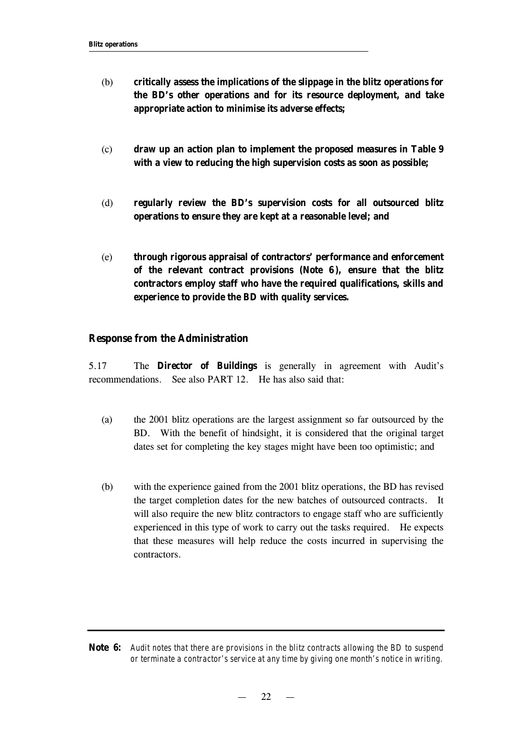- (b) **critically assess the implications of the slippage in the blitz operations for the BD's other operations and for its resource deployment, and take appropriate action to minimise its adverse effects;**
- (c) **draw up an action plan to implement the proposed measures in Table 9 with a view to reducing the high supervision costs as soon as possible;**
- (d) **regularly review the BD's supervision costs for all outsourced blitz operations to ensure they are kept at a reasonable level; and**
- (e) **through rigorous appraisal of contractors' performance and enforcement of the relevant contract provisions (Note 6 ), ensure that the blitz contractors employ staff who have the required qualifications, skills and experience to provide the BD with quality services.**

#### **Response from the Administration**

5.17 The **Director of Buildings** is generally in agreement with Audit's recommendations. See also PART 12. He has also said that:

- (a) the 2001 blitz operations are the largest assignment so far outsourced by the BD. With the benefit of hindsight, it is considered that the original target dates set for completing the key stages might have been too optimistic; and
- (b) with the experience gained from the 2001 blitz operations, the BD has revised the target completion dates for the new batches of outsourced contracts. It will also require the new blitz contractors to engage staff who are sufficiently experienced in this type of work to carry out the tasks required. He expects that these measures will help reduce the costs incurred in supervising the contractors.

**Note 6:** *Audit notes that there are provisions in the blitz contracts allowing the BD to suspend or terminate a contractor's service at any time by giving one month's notice in writing.*

 $22 -$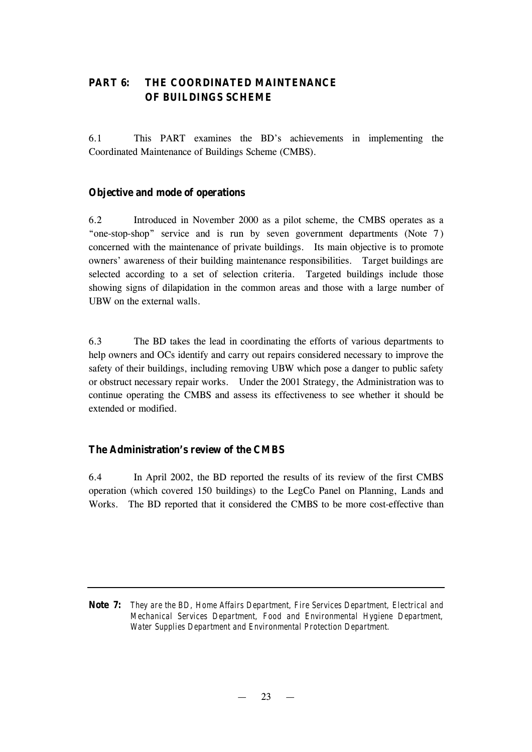## **PART 6: THE COORDINATED MAINTENANCE OF BUILDINGS SCHEME**

6.1 This PART examines the BD's achievements in implementing the Coordinated Maintenance of Buildings Scheme (CMBS).

## **Objective and mode of operations**

6.2 Introduced in November 2000 as a pilot scheme, the CMBS operates as a "one-stop-shop" service and is run by seven government departments (Note 7) concerned with the maintenance of private buildings. Its main objective is to promote owners' awareness of their building maintenance responsibilities. Target buildings are selected according to a set of selection criteria. Targeted buildings include those showing signs of dilapidation in the common areas and those with a large number of UBW on the external walls.

6.3 The BD takes the lead in coordinating the efforts of various departments to help owners and OCs identify and carry out repairs considered necessary to improve the safety of their buildings, including removing UBW which pose a danger to public safety or obstruct necessary repair works. Under the 2001 Strategy, the Administration was to continue operating the CMBS and assess its effectiveness to see whether it should be extended or modified.

## **The Administration's review of the CMBS**

6.4 In April 2002, the BD reported the results of its review of the first CMBS operation (which covered 150 buildings) to the LegCo Panel on Planning, Lands and Works. The BD reported that it considered the CMBS to be more cost-effective than

**Note 7:** *They are the BD, Home Affairs Department, Fire Services Department, Electrical and Mechanical Services Department, Food and Environmental Hygiene Department, Water Supplies Department and Environmental Protection Department.*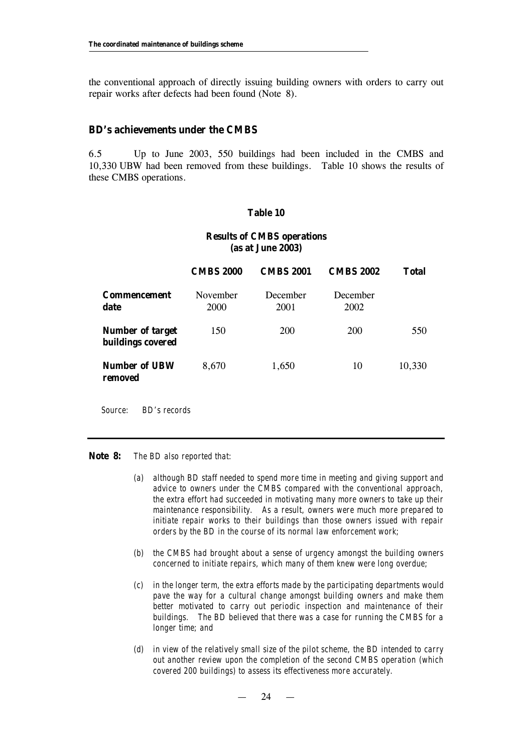the conventional approach of directly issuing building owners with orders to carry out repair works after defects had been found (Note 8).

#### **BD's achievements under the CMBS**

6.5 Up to June 2003, 550 buildings had been included in the CMBS and 10,330 UBW had been removed from these buildings. Table 10 shows the results of these CMBS operations.

#### **Table 10**

### **Results of CMBS operations (as at June 2003)**

|                                                     | <b>CMBS 2000</b>        | <b>CMBS 2001</b> | <b>CMBS 2002</b> | <b>Total</b> |  |
|-----------------------------------------------------|-------------------------|------------------|------------------|--------------|--|
| <b>Commencement</b><br>date                         | November<br><b>2000</b> | December<br>2001 | December<br>2002 |              |  |
| <b>Number of target</b><br><b>buildings covered</b> | 150                     | 200              | <b>200</b>       | 550          |  |
| <b>Number of UBW</b><br>removed                     | 8,670                   | 1,650            | 10               | 10,330       |  |

*Source: BD's records*

**Note 8:** *The BD also reported that:*

- *(a) although BD staff needed to spend more time in meeting and giving support and advice to owners under the CMBS compared with the conventional approach, the extra effort had succeeded in motivating many more owners to take up their maintenance responsibility. As a result, owners were much more prepared to initiate repair works to their buildings than those owners issued with repair orders by the BD in the course of its normal law enforcement work;*
- *(b) the CMBS had brought about a sense of urgency amongst the building owners concerned to initiate repairs, which many of them knew were long overdue;*
- *(c) in the longer term, the extra efforts made by the participating departments would pave the way for a cultural change amongst building owners and make them better motivated to carry out periodic inspection and maintenance of their buildings. The BD believed that there was a case for running the CMBS for a longer time; and*
- *(d) in view of the relatively small size of the pilot scheme, the BD intended to carry out another review upon the completion of the second CMBS operation (which covered 200 buildings) to assess its effectiveness more accurately.*

 $24 -$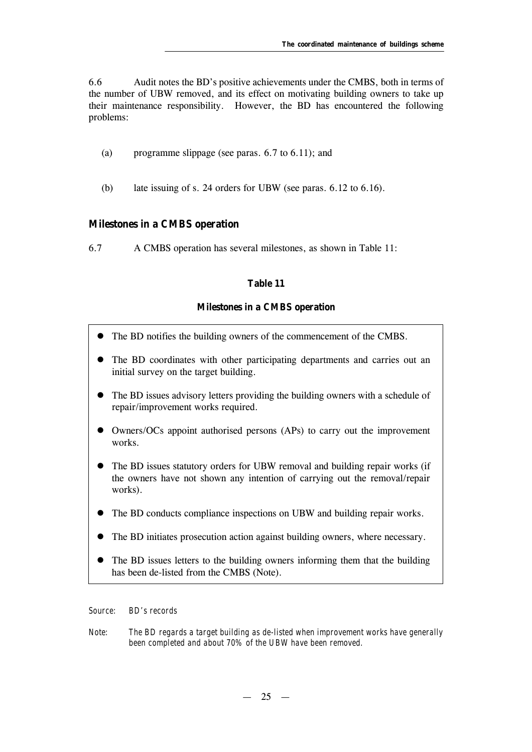6.6 Audit notes the BD's positive achievements under the CMBS, both in terms of the number of UBW removed, and its effect on motivating building owners to take up their maintenance responsibility. However, the BD has encountered the following problems:

- (a) programme slippage (see paras. 6.7 to 6.11); and
- (b) late issuing of s. 24 orders for UBW (see paras. 6.12 to 6.16).

## **Milestones in a CMBS operation**

6.7 A CMBS operation has several milestones, as shown in Table 11:

## **Table 11**

## **Milestones in a CMBS operation**

- The BD notifies the building owners of the commencement of the CMBS.
- The BD coordinates with other participating departments and carries out an initial survey on the target building.
- The BD issues advisory letters providing the building owners with a schedule of repair/improvement works required.
- Owners/OCs appoint authorised persons (APs) to carry out the improvement works.
- The BD issues statutory orders for UBW removal and building repair works (if the owners have not shown any intention of carrying out the removal/repair works).
- The BD conducts compliance inspections on UBW and building repair works.
- The BD initiates prosecution action against building owners, where necessary.
- The BD issues letters to the building owners informing them that the building has been de-listed from the CMBS (Note).

*Source: BD's records*

*Note: The BD regards a target building as de-listed when improvement works have generally been completed and about 70% of the UBW have been removed.*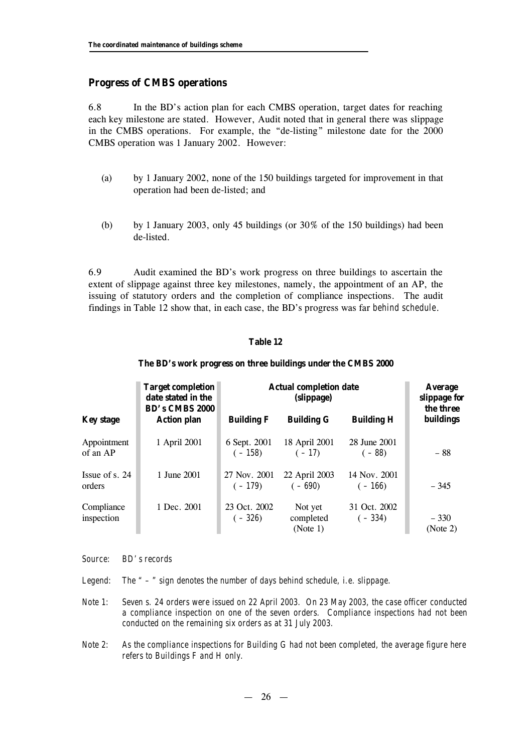#### **Progress of CMBS operations**

6.8 In the BD's action plan for each CMBS operation, target dates for reaching each key milestone are stated. However, Audit noted that in general there was slippage in the CMBS operations. For example, the "de-listing" milestone date for the 2000 CMBS operation was 1 January 2002. However:

- (a) by 1 January 2002, none of the 150 buildings targeted for improvement in that operation had been de-listed; and
- (b) by 1 January 2003, only 45 buildings (or  $30\%$  of the 150 buildings) had been de-listed.

6.9 Audit examined the BD's work progress on three buildings to ascertain the extent of slippage against three key milestones, namely, the appointment of an AP, the issuing of statutory orders and the completion of compliance inspections. The audit findings in Table 12 show that, in each case, the BD's progress was far *behind schedule*.

#### **Table 12**

#### **The BD's work progress on three buildings under the CMBS 2000**

|                            | <b>Target completion</b><br>date stated in the<br><b>BD's CMBS 2000</b> | <b>Actual completion date</b><br>(slippage) |                                  |                          | <b>Average</b><br>slippage for<br>the three |
|----------------------------|-------------------------------------------------------------------------|---------------------------------------------|----------------------------------|--------------------------|---------------------------------------------|
| <b>Key stage</b>           | <b>Action plan</b>                                                      | <b>Building F</b>                           | <b>Building G</b>                | <b>Building H</b>        | buildings                                   |
| Appointment<br>of an AP    | 1 April 2001                                                            | 6 Sept. 2001<br>$(-158)$                    | 18 April 2001<br>$(-17)$         | 28 June 2001<br>$(-88)$  | $-88$                                       |
| Issue of s. $24$<br>orders | 1 June 2001                                                             | 27 Nov. 2001<br>$(-179)$                    | 22 April 2003<br>$(-690)$        | 14 Nov. 2001<br>$(-166)$ | $-345$                                      |
| Compliance<br>inspection   | 1 Dec. 2001                                                             | 23 Oct. 2002<br>$(-326)$                    | Not yet<br>completed<br>(Note 1) | 31 Oct. 2002<br>$(-334)$ | $-330$<br>(Note 2)                          |

*Source: BD's records*

*Legend: The " – " sign denotes the number of days behind schedule, i.e. slippage.*

- *Note 1: Seven s. 24 orders were issued on 22 April 2003. On 23 May 2003, the case officer conducted a compliance inspection on one of the seven orders. Compliance inspections had not been conducted on the remaining six orders as at 31 July 2003.*
- *Note 2: As the compliance inspections for Building G had not been completed, the average figure here refers to Buildings F and H only.*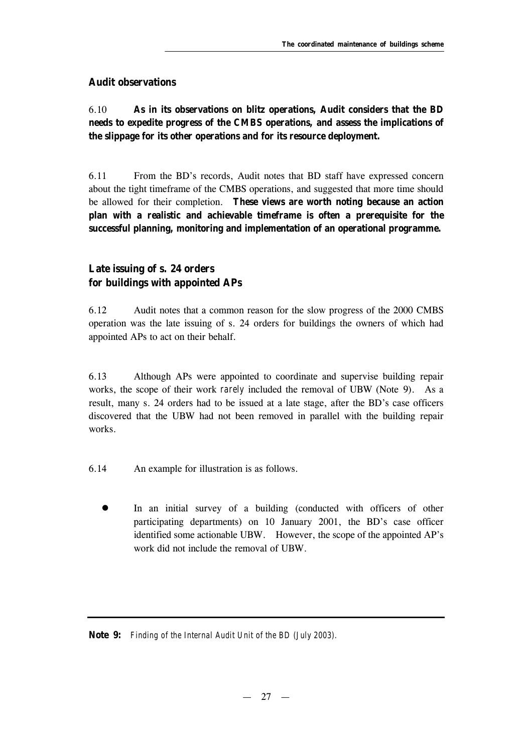## **Audit observations**

## 6.10 **As in its observations on blitz operations, Audit considers that the BD needs to expedite progress of the CMBS operations, and assess the implications of the slippage for its other operations and for its resource deployment.**

6.11 From the BD's records, Audit notes that BD staff have expressed concern about the tight timeframe of the CMBS operations, and suggested that more time should be allowed for their completion. **These views are worth noting because an action plan with a realistic and achievable timeframe is often a prerequisite for the successful planning, monitoring and implementation of an operational programme.**

## **Late issuing of s. 24 orders for buildings with appointed APs**

6.12 Audit notes that a common reason for the slow progress of the 2000 CMBS operation was the late issuing of s. 24 orders for buildings the owners of which had appointed APs to act on their behalf.

6.13 Although APs were appointed to coordinate and supervise building repair works, the scope of their work *rarely* included the removal of UBW (Note 9). As a result, many s. 24 orders had to be issued at a late stage, after the BD's case officers discovered that the UBW had not been removed in parallel with the building repair works.

6.14 An example for illustration is as follows.

In an initial survey of a building (conducted with officers of other participating departments) on 10 January 2001, the BD's case officer identified some actionable UBW. However, the scope of the appointed AP's work did not include the removal of UBW.

**Note 9:** *Finding of the Internal Audit Unit of the BD (July 2003).*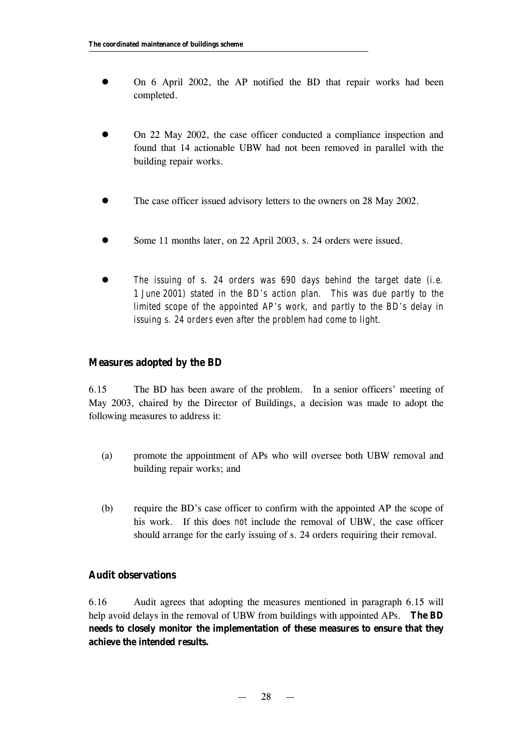- On 6 April 2002, the AP notified the BD that repair works had been completed.
- l On 22 May 2002, the case officer conducted a compliance inspection and found that 14 actionable UBW had not been removed in parallel with the building repair works.
- The case officer issued advisory letters to the owners on 28 May 2002.
- Some 11 months later, on 22 April 2003, s. 24 orders were issued.
- l *The issuing of s. 24 orders was 690 days behind the target date (i.e. 1 June 2001) stated in the BD's action plan. This was due partly to the limited scope of the appointed AP's work, and partly to the BD's delay in issuing s. 24 orders even after the problem had come to light.*

### **Measures adopted by the BD**

6.15 The BD has been aware of the problem. In a senior officers' meeting of May 2003, chaired by the Director of Buildings, a decision was made to adopt the following measures to address it:

- (a) promote the appointment of APs who will oversee both UBW removal and building repair works; and
- (b) require the BD's case officer to confirm with the appointed AP the scope of his work. If this does *not* include the removal of UBW, the case officer should arrange for the early issuing of s. 24 orders requiring their removal.

#### **Audit observations**

6.16 Audit agrees that adopting the measures mentioned in paragraph 6.15 will help avoid delays in the removal of UBW from buildings with appointed APs. **The BD needs to closely monitor the implementation of these measures to ensure that they achieve the intended results.**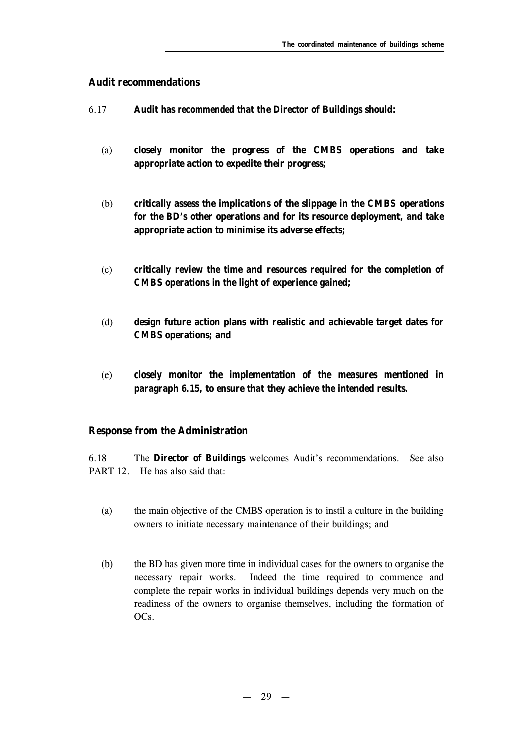#### **Audit recommendations**

- 6.17 **Audit has** *recommended* **that the Director of Buildings should:**
	- (a) **closely monitor the progress of the CMBS operations and take appropriate action to expedite their progress;**
	- (b) **critically assess the implications of the slippage in the CMBS operations for the BD's other operations and for its resource deployment, and take appropriate action to minimise its adverse effects;**
	- (c) **critically review the time and resources required for the completion of CMBS operations in the light of experience gained;**
	- (d) **design future action plans with realistic and achievable target dates for CMBS operations; and**
	- (e) **closely monitor the implementation of the measures mentioned in paragraph 6.15, to ensure that they achieve the intended results.**

#### **Response from the Administration**

6.18 The **Director of Buildings** welcomes Audit's recommendations. See also PART 12. He has also said that:

- (a) the main objective of the CMBS operation is to instil a culture in the building owners to initiate necessary maintenance of their buildings; and
- (b) the BD has given more time in individual cases for the owners to organise the necessary repair works. Indeed the time required to commence and complete the repair works in individual buildings depends very much on the readiness of the owners to organise themselves, including the formation of OCs.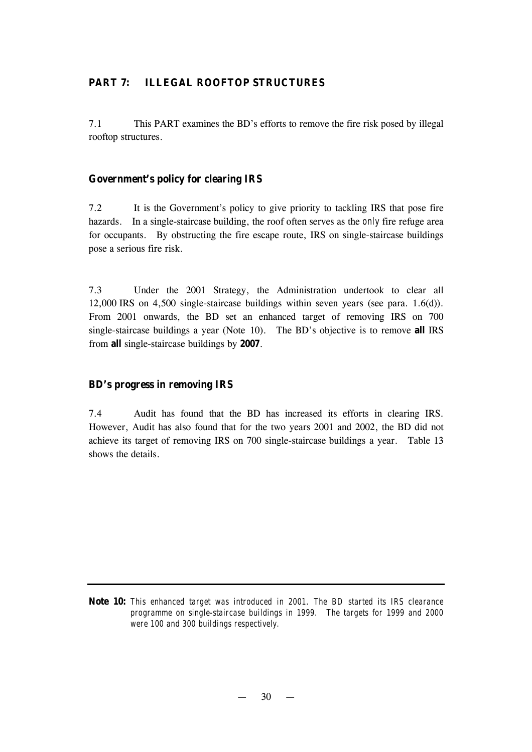## **PART 7: ILLEGAL ROOFTOP STRUCTURES**

7.1 This PART examines the BD's efforts to remove the fire risk posed by illegal rooftop structures.

#### **Government's policy for clearing IRS**

7.2 It is the Government's policy to give priority to tackling IRS that pose fire hazards. In a single-staircase building, the roof often serves as the *only* fire refuge area for occupants. By obstructing the fire escape route, IRS on single-staircase buildings pose a serious fire risk.

7.3 Under the 2001 Strategy, the Administration undertook to clear all 12,000 IRS on 4,500 single-staircase buildings within seven years (see para. 1.6(d)). From 2001 onwards, the BD set an enhanced target of removing IRS on 700 single-staircase buildings a year (Note 10). The BD's objective is to remove **all** IRS from **all** single-staircase buildings by **2007**.

#### **BD's progress in removing IRS**

7.4 Audit has found that the BD has increased its efforts in clearing IRS. However, Audit has also found that for the two years 2001 and 2002, the BD did not achieve its target of removing IRS on 700 single-staircase buildings a year. Table 13 shows the details.

**Note 10:** *This enhanced target was introduced in 2001. The BD started its IRS clearance programme on single-staircase buildings in 1999. The targets for 1999 and 2000 were 100 and 300 buildings respectively.*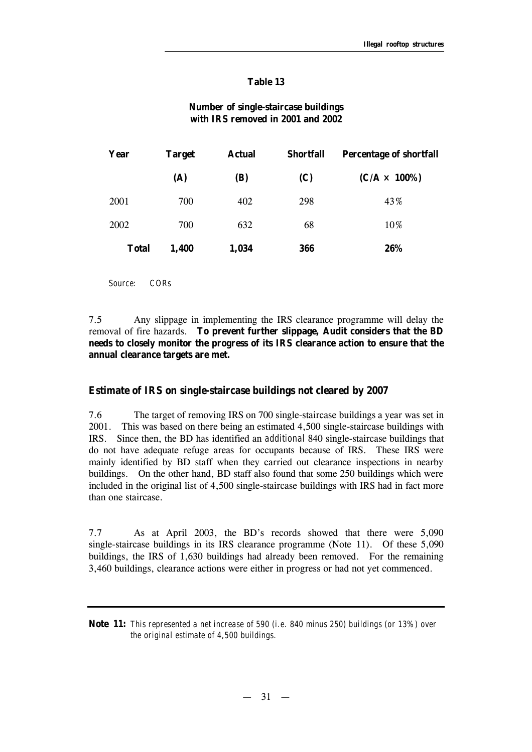#### **Table 13**

#### **Number of single-staircase buildings with IRS removed in 2001 and 2002**

| Year         | <b>Target</b> | <b>Actual</b> | <b>Shortfall</b> | <b>Percentage of shortfall</b> |
|--------------|---------------|---------------|------------------|--------------------------------|
|              | (A)           | (B)           | (C)              | $(C/A \times 100\%)$           |
| 2001         | 700           | 402           | 298              | 43%                            |
| 2002         | 700           | 632           | 68               | 10%                            |
| <b>Total</b> | 1,400         | 1,034         | 366              | 26%                            |

*Source: CORs*

7.5 Any slippage in implementing the IRS clearance programme will delay the removal of fire hazards. **To prevent further slippage, Audit considers that the BD needs to closely monitor the progress of its IRS clearance action to ensure that the annual clearance targets are met.** 

#### **Estimate of IRS on single-staircase buildings not cleared by 2007**

7.6 The target of removing IRS on 700 single-staircase buildings a year was set in 2001. This was based on there being an estimated 4,500 single-staircase buildings with IRS. Since then, the BD has identified an *additional* 840 single-staircase buildings that do not have adequate refuge areas for occupants because of IRS. These IRS were mainly identified by BD staff when they carried out clearance inspections in nearby buildings. On the other hand, BD staff also found that some 250 buildings which were included in the original list of 4,500 single-staircase buildings with IRS had in fact more than one staircase.

7.7 As at April 2003, the BD's records showed that there were 5,090 single-staircase buildings in its IRS clearance programme (Note 11). Of these 5,090 buildings, the IRS of 1,630 buildings had already been removed. For the remaining 3,460 buildings, clearance actions were either in progress or had not yet commenced.

**Note 11:** *This represented a net increase of 590 (i.e. 840 minus 250) buildings (or 13%) over the original estimate of 4,500 buildings.*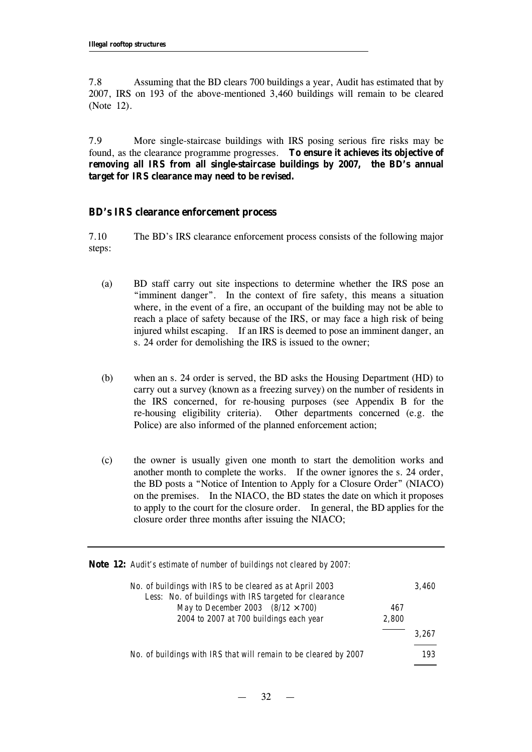7.8 Assuming that the BD clears 700 buildings a year, Audit has estimated that by 2007, IRS on 193 of the above-mentioned 3,460 buildings will remain to be cleared (Note 12).

7.9 More single-staircase buildings with IRS posing serious fire risks may be found, as the clearance programme progresses. **To ensure it achieves its objective of removing all IRS from all single-staircase buildings by 2007, the BD's annual target for IRS clearance may need to be revised.**

#### **BD's IRS clearance enforcement process**

7.10 The BD's IRS clearance enforcement process consists of the following major steps:

- (a) BD staff carry out site inspections to determine whether the IRS pose an "imminent danger". In the context of fire safety, this means a situation where, in the event of a fire, an occupant of the building may not be able to reach a place of safety because of the IRS, or may face a high risk of being injured whilst escaping. If an IRS is deemed to pose an imminent danger, an s. 24 order for demolishing the IRS is issued to the owner;
- (b) when an s. 24 order is served, the BD asks the Housing Department (HD) to carry out a survey (known as a freezing survey) on the number of residents in the IRS concerned, for re-housing purposes (see Appendix B for the re-housing eligibility criteria). Other departments concerned (e.g. the Police) are also informed of the planned enforcement action;
- (c) the owner is usually given one month to start the demolition works and another month to complete the works. If the owner ignores the s. 24 order, the BD posts a "Notice of Intention to Apply for a Closure Order" (NIACO) on the premises. In the NIACO, the BD states the date on which it proposes to apply to the court for the closure order. In general, the BD applies for the closure order three months after issuing the NIACO;

**Note 12:** *Audit's estimate of number of buildings not cleared by 2007:*

| No. of buildings with IRS to be cleared as at April 2003<br>Less: No. of buildings with IRS targeted for clearance |       | 3.460 |
|--------------------------------------------------------------------------------------------------------------------|-------|-------|
| May to December 2003 (8/12 ' 700)                                                                                  | 467   |       |
| 2004 to 2007 at 700 buildings each year                                                                            | 2,800 |       |
|                                                                                                                    |       | 3.267 |
| No. of buildings with IRS that will remain to be cleared by 2007                                                   |       | 193   |

 $32 -$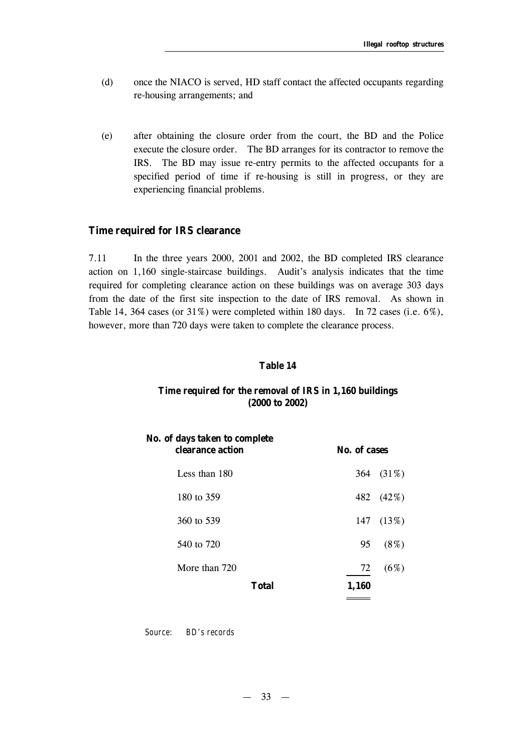- (d) once the NIACO is served, HD staff contact the affected occupants regarding re-housing arrangements; and
- (e) after obtaining the closure order from the court, the BD and the Police execute the closure order. The BD arranges for its contractor to remove the IRS. The BD may issue re-entry permits to the affected occupants for a specified period of time if re-housing is still in progress, or they are experiencing financial problems.

#### **Time required for IRS clearance**

7.11 In the three years 2000, 2001 and 2002, the BD completed IRS clearance action on 1,160 single-staircase buildings. Audit's analysis indicates that the time required for completing clearance action on these buildings was on average 303 days from the date of the first site inspection to the date of IRS removal. As shown in Table 14, 364 cases (or 31%) were completed within 180 days. In 72 cases (i.e. 6%), however, more than 720 days were taken to complete the clearance process.

#### **Table 14**

#### **Time required for the removal of IRS in 1,160 buildings (2000 to 2002)**

| No. of days taken to complete<br>clearance action | No. of cases |           |
|---------------------------------------------------|--------------|-----------|
| Less than 180                                     |              | 364 (31%) |
| 180 to 359                                        |              | 482 (42%) |
| 360 to 539                                        |              | 147 (13%) |
| 540 to 720                                        | 95           | $(8\%)$   |
| More than 720                                     | 72           | (6%)      |
| <b>Total</b>                                      | 1,160        |           |

*Source: BD's records*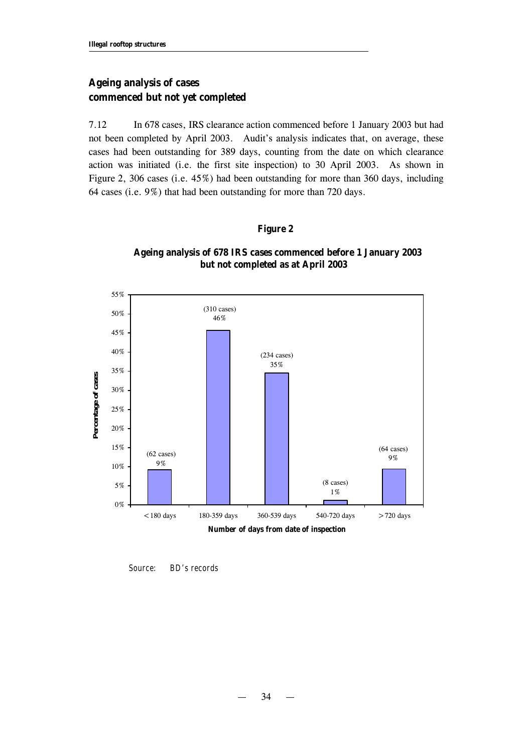## **Ageing analysis of cases commenced but not yet completed**

7.12 In 678 cases, IRS clearance action commenced before 1 January 2003 but had not been completed by April 2003. Audit's analysis indicates that, on average, these cases had been outstanding for 389 days, counting from the date on which clearance action was initiated (i.e. the first site inspection) to 30 April 2003. As shown in Figure 2, 306 cases (i.e. 45%) had been outstanding for more than 360 days, including 64 cases (i.e. 9%) that had been outstanding for more than 720 days.

#### **Figure 2**



**Ageing analysis of 678 IRS cases commenced before 1 January 2003 but not completed as at April 2003**

*Source: BD's records*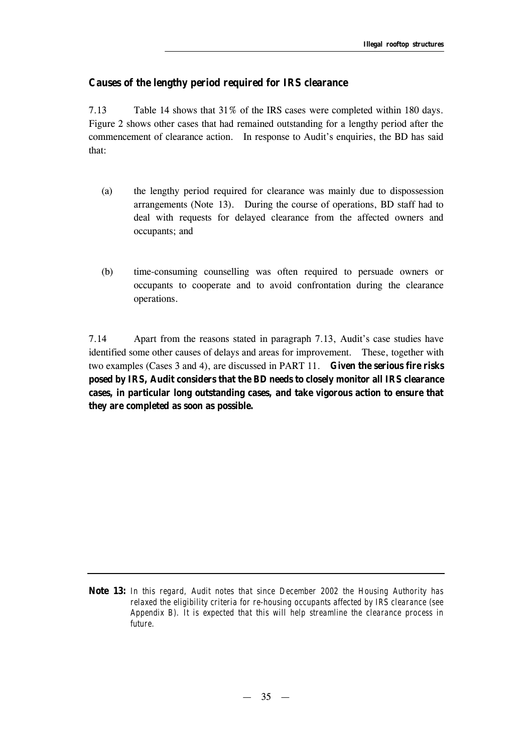#### **Causes of the lengthy period required for IRS clearance**

7.13 Table 14 shows that 31% of the IRS cases were completed within 180 days. Figure 2 shows other cases that had remained outstanding for a lengthy period after the commencement of clearance action. In response to Audit's enquiries, the BD has said that:

- (a) the lengthy period required for clearance was mainly due to dispossession arrangements (Note 13). During the course of operations, BD staff had to deal with requests for delayed clearance from the affected owners and occupants; and
- (b) time-consuming counselling was often required to persuade owners or occupants to cooperate and to avoid confrontation during the clearance operations.

7.14 Apart from the reasons stated in paragraph 7.13, Audit's case studies have identified some other causes of delays and areas for improvement. These, together with two examples (Cases 3 and 4), are discussed in PART 11. **Given the serious fire risks posed by IRS, Audit considers that the BD needs to closely monitor all IRS clearance cases, in particular long outstanding cases, and take vigorous action to ensure that they are completed as soon as possible.** 

**Note 13:** *In this regard, Audit notes that since December 2002 the Housing Authority has relaxed the eligibility criteria for re-housing occupants affected by IRS clearance (see Appendix B). It is expected that this will help streamline the clearance process in future.*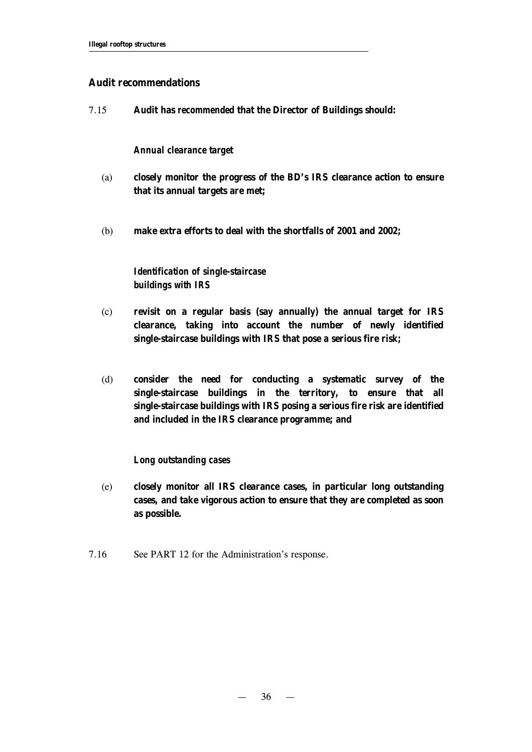#### **Audit recommendations**

7.15 **Audit has** *recommended* **that the Director of Buildings should:**

#### *Annual clearance target*

- (a) **closely monitor the progress of the BD's IRS clearance action to ensure that its annual targets are met;**
- (b) **make extra efforts to deal with the shortfalls of 2001 and 2002;**

## *Identification of single-staircase buildings with IRS*

- (c) **revisit on a regular basis (say annually) the annual target for IRS clearance, taking into account the number of newly identified single-staircase buildings with IRS that pose a serious fire risk;**
- (d) **consider the need for conducting a systematic survey of the single-staircase buildings in the territory, to ensure that all single-staircase buildings with IRS posing a serious fire risk are identified and included in the IRS clearance programme; and**

#### *Long outstanding cases*

- (e) **closely monitor all IRS clearance cases, in particular long outstanding cases, and take vigorous action to ensure that they are completed as soon as possible.**
- 7.16 See PART 12 for the Administration's response.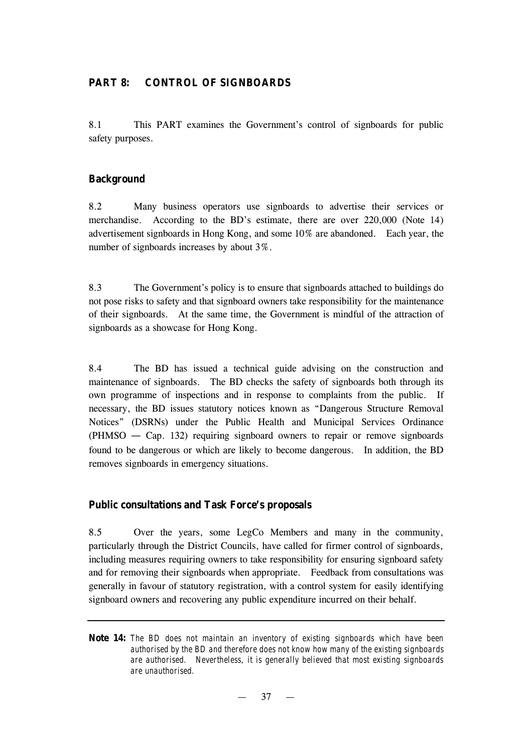#### **PART 8: CONTROL OF SIGNBOARDS**

8.1 This PART examines the Government's control of signboards for public safety purposes.

#### **Background**

8.2 Many business operators use signboards to advertise their services or merchandise. According to the BD's estimate, there are over 220,000 (Note 14) advertisement signboards in Hong Kong, and some 10% are abandoned. Each year, the number of signboards increases by about 3%.

8.3 The Government's policy is to ensure that signboards attached to buildings do not pose risks to safety and that signboard owners take responsibility for the maintenance of their signboards. At the same time, the Government is mindful of the attraction of signboards as a showcase for Hong Kong.

8.4 The BD has issued a technical guide advising on the construction and maintenance of signboards. The BD checks the safety of signboards both through its own programme of inspections and in response to complaints from the public. If necessary, the BD issues statutory notices known as "Dangerous Structure Removal Notices" (DSRNs) under the Public Health and Municipal Services Ordinance (PHMSO — Cap. 132) requiring signboard owners to repair or remove signboards found to be dangerous or which are likely to become dangerous. In addition, the BD removes signboards in emergency situations.

#### **Public consultations and Task Force's proposals**

8.5 Over the years, some LegCo Members and many in the community, particularly through the District Councils, have called for firmer control of signboards, including measures requiring owners to take responsibility for ensuring signboard safety and for removing their signboards when appropriate. Feedback from consultations was generally in favour of statutory registration, with a control system for easily identifying signboard owners and recovering any public expenditure incurred on their behalf.

**Note 14:** *The BD does not maintain an inventory of existing signboards which have been authorised by the BD and therefore does not know how many of the existing signboards are authorised. Nevertheless, it is generally believed that most existing signboards are unauthorised.*

 $37 -$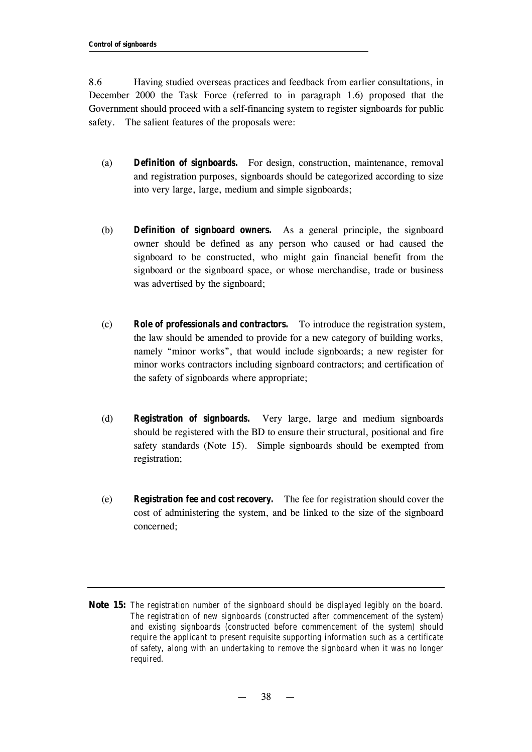8.6 Having studied overseas practices and feedback from earlier consultations, in December 2000 the Task Force (referred to in paragraph 1.6) proposed that the Government should proceed with a self-financing system to register signboards for public safety. The salient features of the proposals were:

- (a) *Definition of signboards.* For design, construction, maintenance, removal and registration purposes, signboards should be categorized according to size into very large, large, medium and simple signboards;
- (b) *Definition of signboard owners.* As a general principle, the signboard owner should be defined as any person who caused or had caused the signboard to be constructed, who might gain financial benefit from the signboard or the signboard space, or whose merchandise, trade or business was advertised by the signboard;
- (c) *Role of professionals and contractors.* To introduce the registration system, the law should be amended to provide for a new category of building works, namely "minor works", that would include signboards; a new register for minor works contractors including signboard contractors; and certification of the safety of signboards where appropriate;
- (d) *Registration of signboards.* Very large, large and medium signboards should be registered with the BD to ensure their structural, positional and fire safety standards (Note 15). Simple signboards should be exempted from registration;
- (e) *Registration fee and cost recovery.* The fee for registration should cover the cost of administering the system, and be linked to the size of the signboard concerned;
- **Note 15:** *The registration number of the signboard should be displayed legibly on the board. The registration of new signboards (constructed after commencement of the system) and existing signboards (constructed before commencement of the system) should require the applicant to present requisite supporting information such as a certificate of safety, along with an undertaking to remove the signboard when it was no longer required.*

— 38 —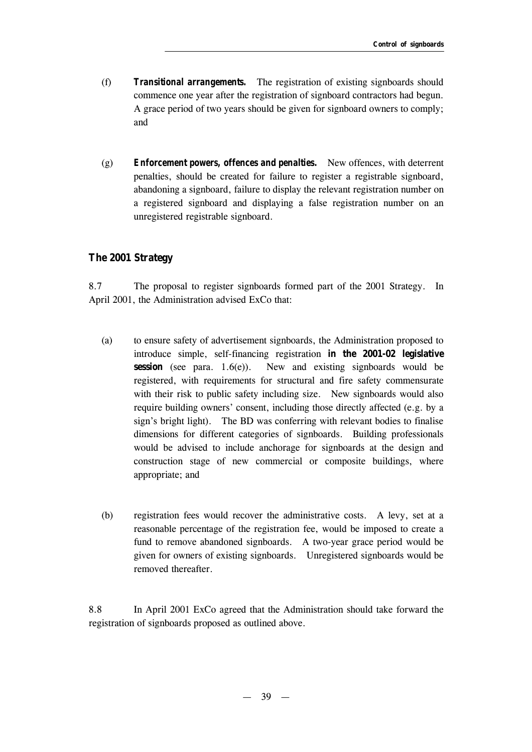- (f) *Transitional arrangements.* The registration of existing signboards should commence one year after the registration of signboard contractors had begun. A grace period of two years should be given for signboard owners to comply; and
- (g) *Enforcement powers, offences and penalties.* New offences, with deterrent penalties, should be created for failure to register a registrable signboard, abandoning a signboard, failure to display the relevant registration number on a registered signboard and displaying a false registration number on an unregistered registrable signboard.

#### **The 2001 Strategy**

8.7 The proposal to register signboards formed part of the 2001 Strategy. In April 2001, the Administration advised ExCo that:

- (a) to ensure safety of advertisement signboards, the Administration proposed to introduce simple, self-financing registration **in the 2001-02 legislative session** (see para. 1.6(e)). New and existing signboards would be registered, with requirements for structural and fire safety commensurate with their risk to public safety including size. New signboards would also require building owners' consent, including those directly affected (e.g. by a sign's bright light). The BD was conferring with relevant bodies to finalise dimensions for different categories of signboards. Building professionals would be advised to include anchorage for signboards at the design and construction stage of new commercial or composite buildings, where appropriate; and
- (b) registration fees would recover the administrative costs. A levy, set at a reasonable percentage of the registration fee, would be imposed to create a fund to remove abandoned signboards. A two-year grace period would be given for owners of existing signboards. Unregistered signboards would be removed thereafter.

8.8 In April 2001 ExCo agreed that the Administration should take forward the registration of signboards proposed as outlined above.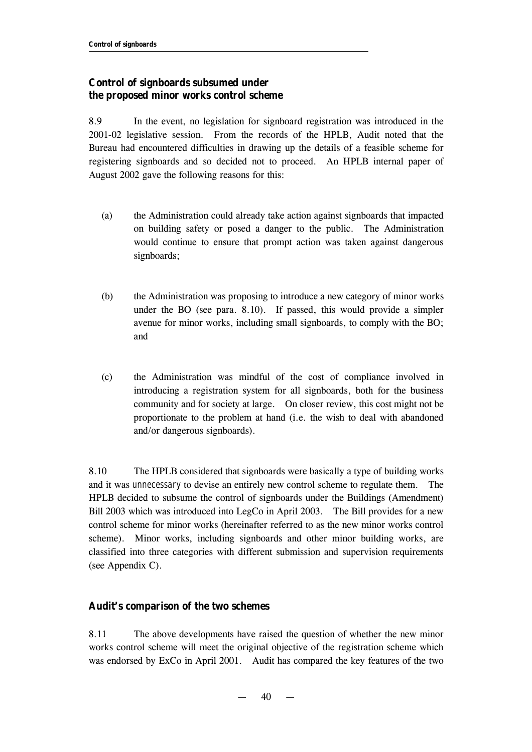## **Control of signboards subsumed under the proposed minor works control scheme**

8.9 In the event, no legislation for signboard registration was introduced in the 2001-02 legislative session. From the records of the HPLB, Audit noted that the Bureau had encountered difficulties in drawing up the details of a feasible scheme for registering signboards and so decided not to proceed. An HPLB internal paper of August 2002 gave the following reasons for this:

- (a) the Administration could already take action against signboards that impacted on building safety or posed a danger to the public. The Administration would continue to ensure that prompt action was taken against dangerous signboards;
- (b) the Administration was proposing to introduce a new category of minor works under the BO (see para. 8.10). If passed, this would provide a simpler avenue for minor works, including small signboards, to comply with the BO; and
- (c) the Administration was mindful of the cost of compliance involved in introducing a registration system for all signboards, both for the business community and for society at large. On closer review, this cost might not be proportionate to the problem at hand (i.e. the wish to deal with abandoned and/or dangerous signboards).

8.10 The HPLB considered that signboards were basically a type of building works and it was *unnecessary* to devise an entirely new control scheme to regulate them. The HPLB decided to subsume the control of signboards under the Buildings (Amendment) Bill 2003 which was introduced into LegCo in April 2003. The Bill provides for a new control scheme for minor works (hereinafter referred to as the new minor works control scheme). Minor works, including signboards and other minor building works, are classified into three categories with different submission and supervision requirements (see Appendix C).

## **Audit's comparison of the two schemes**

8.11 The above developments have raised the question of whether the new minor works control scheme will meet the original objective of the registration scheme which was endorsed by ExCo in April 2001. Audit has compared the key features of the two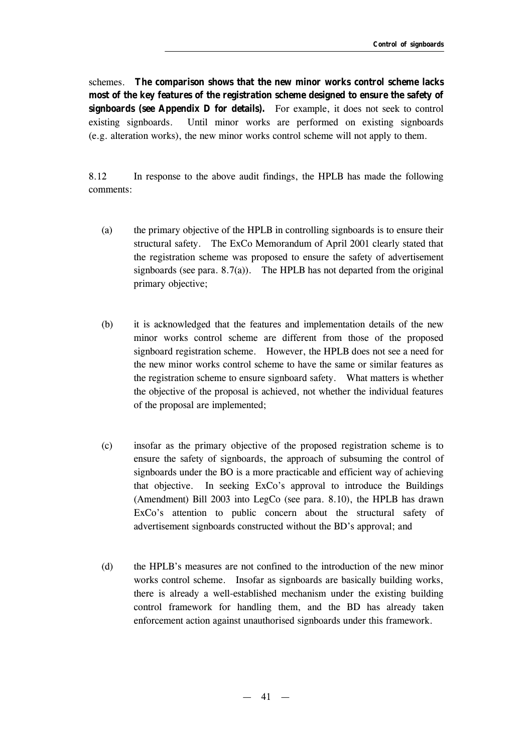schemes. **The comparison shows that the new minor works control scheme lacks most of the key features of the registration scheme designed to ensure the safety of signboards (see Appendix D for details).** For example, it does not seek to control existing signboards. Until minor works are performed on existing signboards (e.g. alteration works), the new minor works control scheme will not apply to them.

8.12 In response to the above audit findings, the HPLB has made the following comments:

- (a) the primary objective of the HPLB in controlling signboards is to ensure their structural safety. The ExCo Memorandum of April 2001 clearly stated that the registration scheme was proposed to ensure the safety of advertisement signboards (see para.  $8.7(a)$ ). The HPLB has not departed from the original primary objective;
- (b) it is acknowledged that the features and implementation details of the new minor works control scheme are different from those of the proposed signboard registration scheme. However, the HPLB does not see a need for the new minor works control scheme to have the same or similar features as the registration scheme to ensure signboard safety. What matters is whether the objective of the proposal is achieved, not whether the individual features of the proposal are implemented;
- (c) insofar as the primary objective of the proposed registration scheme is to ensure the safety of signboards, the approach of subsuming the control of signboards under the BO is a more practicable and efficient way of achieving that objective. In seeking ExCo's approval to introduce the Buildings (Amendment) Bill 2003 into LegCo (see para. 8.10), the HPLB has drawn ExCo's attention to public concern about the structural safety of advertisement signboards constructed without the BD's approval; and
- (d) the HPLB's measures are not confined to the introduction of the new minor works control scheme. Insofar as signboards are basically building works, there is already a well-established mechanism under the existing building control framework for handling them, and the BD has already taken enforcement action against unauthorised signboards under this framework.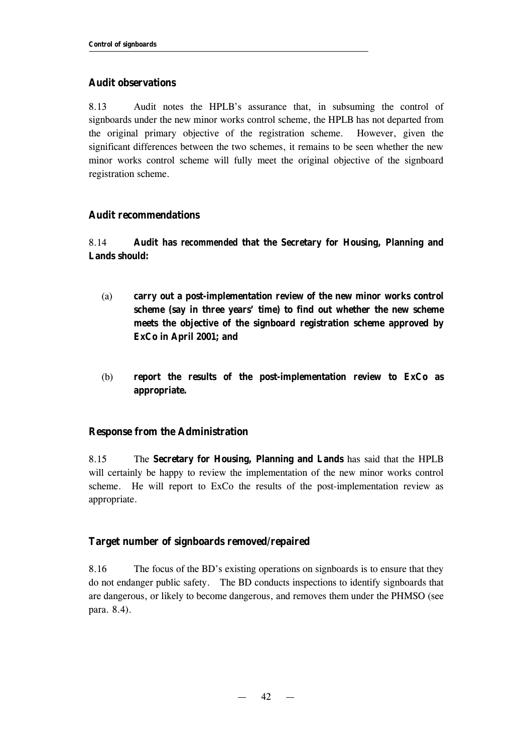#### **Audit observations**

8.13 Audit notes the HPLB's assurance that, in subsuming the control of signboards under the new minor works control scheme, the HPLB has not departed from the original primary objective of the registration scheme. However, given the significant differences between the two schemes, it remains to be seen whether the new minor works control scheme will fully meet the original objective of the signboard registration scheme.

#### **Audit recommendations**

8.14 **Audit has** *recommended* **that the Secretary for Housing, Planning and Lands should:**

- (a) **carry out a post-implementation review of the new minor works control scheme (say in three years' time) to find out whether the new scheme meets the objective of the signboard registration scheme approved by ExCo in April 2001; and**
- (b) **report the results of the post-implementation review to ExCo as appropriate.**

#### **Response from the Administration**

8.15 The **Secretary for Housing, Planning and Lands** has said that the HPLB will certainly be happy to review the implementation of the new minor works control scheme. He will report to ExCo the results of the post-implementation review as appropriate.

#### **Target number of signboards removed/repaired**

8.16 The focus of the BD's existing operations on signboards is to ensure that they do not endanger public safety. The BD conducts inspections to identify signboards that are dangerous, or likely to become dangerous, and removes them under the PHMSO (see para. 8.4).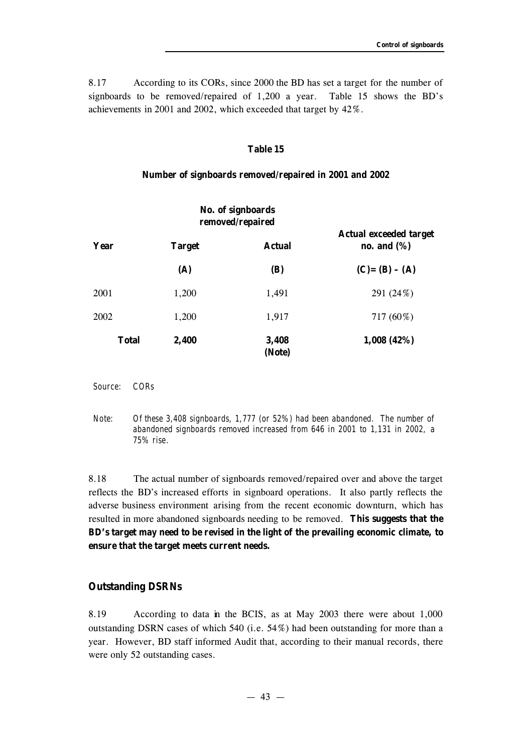8.17 According to its CORs, since 2000 the BD has set a target for the number of signboards to be removed/repaired of 1,200 a year. Table 15 shows the BD's achievements in 2001 and 2002, which exceeded that target by 42%.

#### **Table 15**

#### **Number of signboards removed/repaired in 2001 and 2002**

|              |               | No. of signboards<br>removed/repaired |                                                                      |
|--------------|---------------|---------------------------------------|----------------------------------------------------------------------|
| Year         | <b>Target</b> | <b>Actual</b>                         | <b>Actual exceeded target</b><br>no. and $(\%)$<br>$(C) = (B) - (A)$ |
|              | (A)           | (B)                                   |                                                                      |
| 2001         | 1,200         | 1,491                                 | 291 (24%)                                                            |
| 2002         | 1,200         | 1,917                                 | 717 (60%)                                                            |
| <b>Total</b> | 2,400         | 3,408<br>(Note)                       | 1,008(42%)                                                           |

*Source: CORs*

*Note: Of these 3,408 signboards, 1,777 (or 52%) had been abandoned. The number of abandoned signboards removed increased from 646 in 2001 to 1,131 in 2002, a 75% rise.*

8.18 The actual number of signboards removed/repaired over and above the target reflects the BD's increased efforts in signboard operations. It also partly reflects the adverse business environment arising from the recent economic downturn, which has resulted in more abandoned signboards needing to be removed. **This suggests that the BD's target may need to be revised in the light of the prevailing economic climate, to ensure that the target meets current needs.**

#### **Outstanding DSRNs**

8.19 According to data in the BCIS, as at May 2003 there were about 1,000 outstanding DSRN cases of which 540 (i.e. 54%) had been outstanding for more than a year. However, BD staff informed Audit that, according to their manual records, there were only 52 outstanding cases.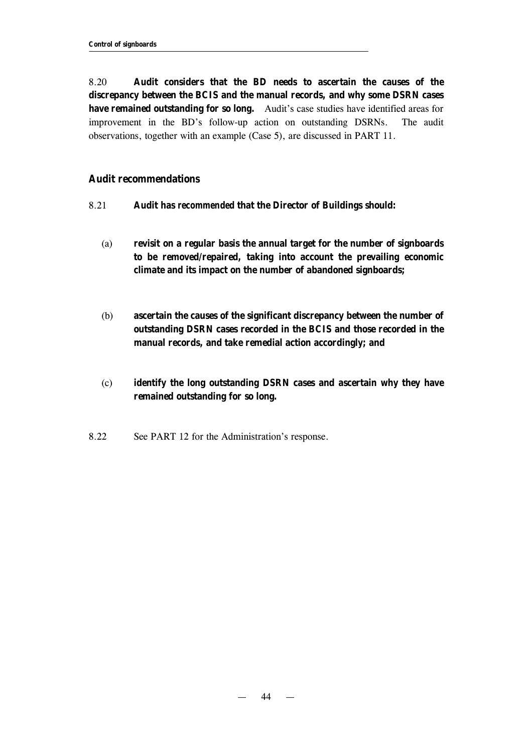8.20 **Audit considers that the BD needs to ascertain the causes of the discrepancy between the BCIS and the manual records, and why some DSRN cases have remained outstanding for so long.** Audit's case studies have identified areas for improvement in the BD's follow-up action on outstanding DSRNs. The audit observations, together with an example (Case 5), are discussed in PART 11.

#### **Audit recommendations**

- 8.21 **Audit has** *recommended* **that the Director of Buildings should:**
	- (a) **revisit on a regular basis the annual target for the number of signboards to be removed/repaired, taking into account the prevailing economic climate and its impact on the number of abandoned signboards;**
	- (b) **ascertain the causes of the significant discrepancy between the number of outstanding DSRN cases recorded in the BCIS and those recorded in the manual records, and take remedial action accordingly; and**
	- (c) **identify the long outstanding DSRN cases and ascertain why they have remained outstanding for so long.**
- 8.22 See PART 12 for the Administration's response.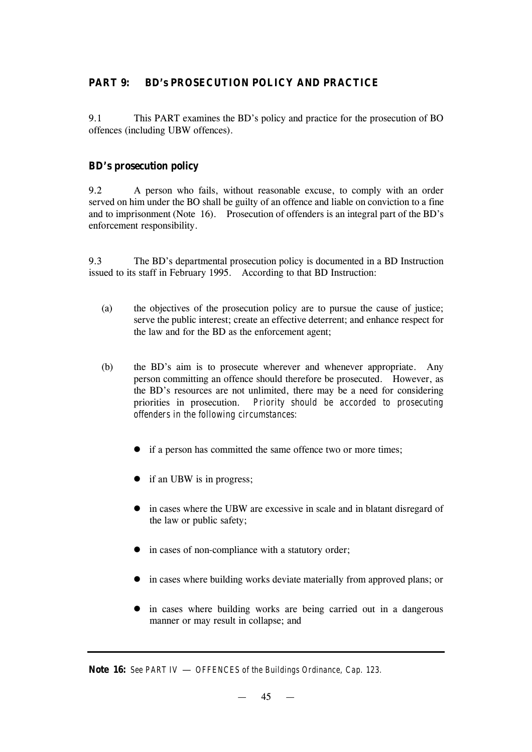## **PART 9: BD's PROSECUTION POLICY AND PRACTICE**

9.1 This PART examines the BD's policy and practice for the prosecution of BO offences (including UBW offences).

## **BD's prosecution policy**

9.2 A person who fails, without reasonable excuse, to comply with an order served on him under the BO shall be guilty of an offence and liable on conviction to a fine and to imprisonment (Note 16). Prosecution of offenders is an integral part of the BD's enforcement responsibility.

9.3 The BD's departmental prosecution policy is documented in a BD Instruction issued to its staff in February 1995. According to that BD Instruction:

- (a) the objectives of the prosecution policy are to pursue the cause of justice; serve the public interest; create an effective deterrent; and enhance respect for the law and for the BD as the enforcement agent;
- (b) the BD's aim is to prosecute wherever and whenever appropriate. Any person committing an offence should therefore be prosecuted. However, as the BD's resources are not unlimited, there may be a need for considering priorities in prosecution. *Priority should be accorded to prosecuting offenders in the following circumstances:*
	- if a person has committed the same offence two or more times;
	- $\bullet$  if an UBW is in progress;
	- in cases where the UBW are excessive in scale and in blatant disregard of the law or public safety;
	- $\bullet$  in cases of non-compliance with a statutory order;
	- in cases where building works deviate materially from approved plans; or
	- $\bullet$  in cases where building works are being carried out in a dangerous manner or may result in collapse; and

**Note 16:** *See PART IV* — *OFFENCES of the Buildings Ordinance, Cap. 123.*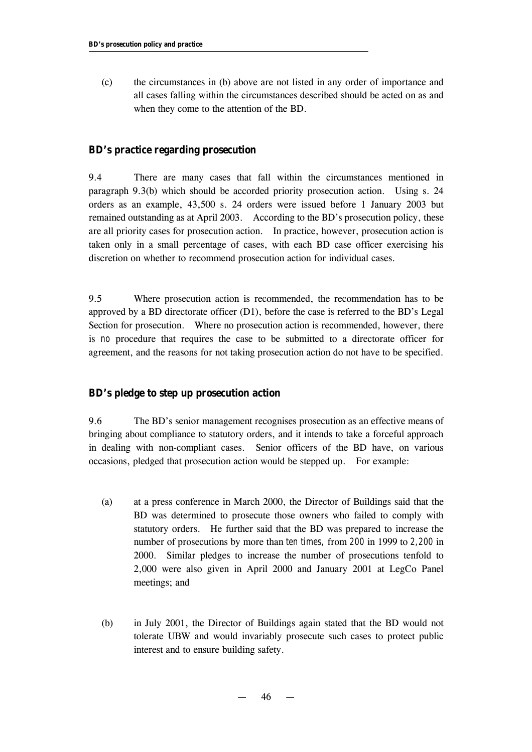(c) the circumstances in (b) above are not listed in any order of importance and all cases falling within the circumstances described should be acted on as and when they come to the attention of the BD.

#### **BD's practice regarding prosecution**

9.4 There are many cases that fall within the circumstances mentioned in paragraph 9.3(b) which should be accorded priority prosecution action. Using s. 24 orders as an example, 43,500 s. 24 orders were issued before 1 January 2003 but remained outstanding as at April 2003. According to the BD's prosecution policy, these are all priority cases for prosecution action. In practice, however, prosecution action is taken only in a small percentage of cases, with each BD case officer exercising his discretion on whether to recommend prosecution action for individual cases.

9.5 Where prosecution action is recommended, the recommendation has to be approved by a BD directorate officer (D1), before the case is referred to the BD's Legal Section for prosecution. Where no prosecution action is recommended, however, there is *no* procedure that requires the case to be submitted to a directorate officer for agreement, and the reasons for not taking prosecution action do not have to be specified.

#### **BD's pledge to step up prosecution action**

9.6 The BD's senior management recognises prosecution as an effective means of bringing about compliance to statutory orders, and it intends to take a forceful approach in dealing with non-compliant cases. Senior officers of the BD have, on various occasions, pledged that prosecution action would be stepped up. For example:

- (a) at a press conference in March 2000, the Director of Buildings said that the BD was determined to prosecute those owners who failed to comply with statutory orders. He further said that the BD was prepared to increase the number of prosecutions by more than *ten times,* from *200* in 1999 to *2,200* in 2000. Similar pledges to increase the number of prosecutions tenfold to 2,000 were also given in April 2000 and January 2001 at LegCo Panel meetings; and
- (b) in July 2001, the Director of Buildings again stated that the BD would not tolerate UBW and would invariably prosecute such cases to protect public interest and to ensure building safety.

— 46 —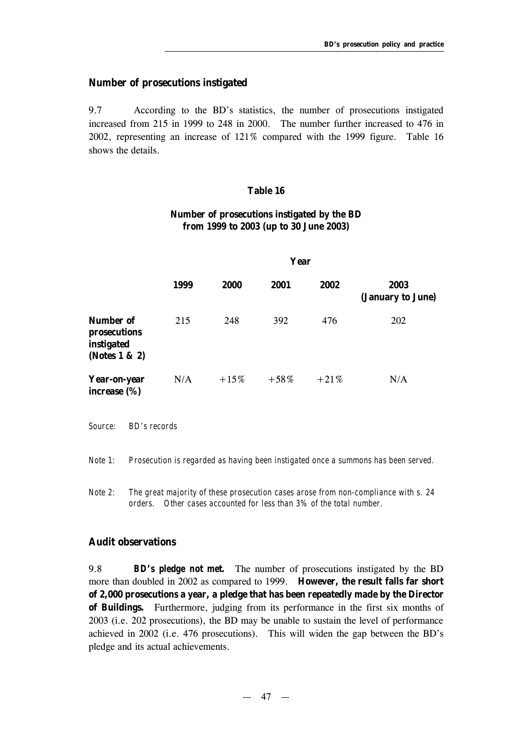#### **Number of prosecutions instigated**

9.7 According to the BD's statistics, the number of prosecutions instigated increased from 215 in 1999 to 248 in 2000. The number further increased to 476 in 2002, representing an increase of 121% compared with the 1999 figure. Table 16 shows the details.

#### **Table 16**

# **Number of prosecutions instigated by the BD from 1999 to 2003 (up to 30 June 2003)**

|                                                          | Year |         |         |        |                           |
|----------------------------------------------------------|------|---------|---------|--------|---------------------------|
|                                                          | 1999 | 2000    | 2001    | 2002   | 2003<br>(January to June) |
| Number of<br>prosecutions<br>instigated<br>(Notes 1 & 2) | 215  | 248     | 392     | 476    | <b>202</b>                |
| Year-on-year<br>increase $(\%)$                          | N/A  | $+15\%$ | $+58\%$ | $+21%$ | N/A                       |

*Source: BD's records*

*Note 1: Prosecution is regarded as having been instigated once a summons has been served.*

*Note 2: The great majority of these prosecution cases arose from non-compliance with s. 24 orders. Other cases accounted for less than 3% of the total number.*

#### **Audit observations**

9.8 *BD's pledge not met.* The number of prosecutions instigated by the BD more than doubled in 2002 as compared to 1999. **However, the result falls far short of 2,000 prosecutions a year, a pledge that has been repeatedly made by the Director of Buildings.** Furthermore, judging from its performance in the first six months of 2003 (i.e. 202 prosecutions), the BD may be unable to sustain the level of performance achieved in 2002 (i.e. 476 prosecutions). This will widen the gap between the BD's pledge and its actual achievements.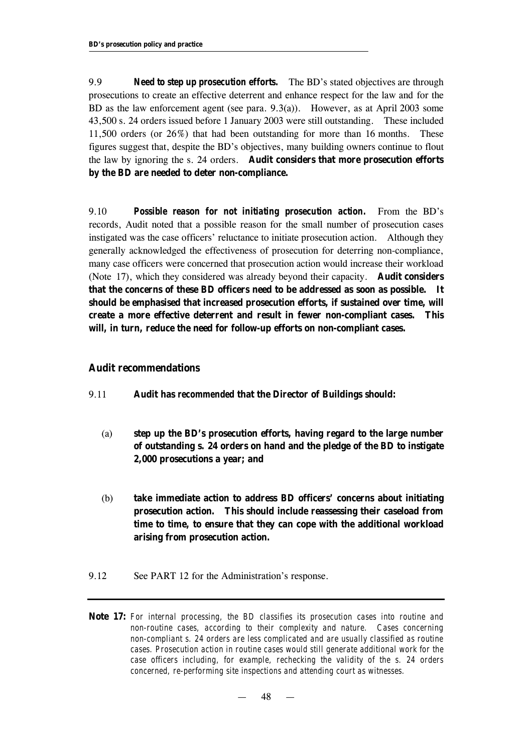9.9 *Need to step up prosecution efforts.* The BD's stated objectives are through prosecutions to create an effective deterrent and enhance respect for the law and for the BD as the law enforcement agent (see para. 9.3(a)). However, as at April 2003 some 43,500 s. 24 orders issued before 1 January 2003 were still outstanding. These included 11,500 orders (or 26%) that had been outstanding for more than 16 months. These figures suggest that, despite the BD's objectives, many building owners continue to flout the law by ignoring the s. 24 orders. **Audit considers that more prosecution efforts by the BD are needed to deter non-compliance.**

9.10 *Possible reason for not initiating prosecution action.* From the BD's records, Audit noted that a possible reason for the small number of prosecution cases instigated was the case officers' reluctance to initiate prosecution action. Although they generally acknowledged the effectiveness of prosecution for deterring non-compliance, many case officers were concerned that prosecution action would increase their workload (Note 17), which they considered was already beyond their capacity. **Audit considers that the concerns of these BD officers need to be addressed as soon as possible. It should be emphasised that increased prosecution efforts, if sustained over time, will create a more effective deterrent and result in fewer non-compliant cases. This will, in turn, reduce the need for follow-up efforts on non-compliant cases.**

#### **Audit recommendations**

- 9.11 **Audit has** *recommended* **that the Director of Buildings should:**
	- (a) **step up the BD's prosecution efforts, having regard to the large number of outstanding s. 24 orders on hand and the pledge of the BD to instigate 2,000 prosecutions a year; and**
	- (b) **take immediate action to address BD officers' concerns about initiating prosecution action. This should include reassessing their caseload from time to time, to ensure that they can cope with the additional workload arising from prosecution action.**
- 9.12 See PART 12 for the Administration's response.
- **Note 17:** *For internal processing, the BD classifies its prosecution cases into routine and non-routine cases, according to their complexity and nature. Cases concerning non-compliant s. 24 orders are less complicated and are usually classified as routine cases. Prosecution action in routine cases would still generate additional work for the case officers including, for example, rechecking the validity of the s. 24 orders concerned, re-performing site inspections and attending court as witnesses.*

— 48 —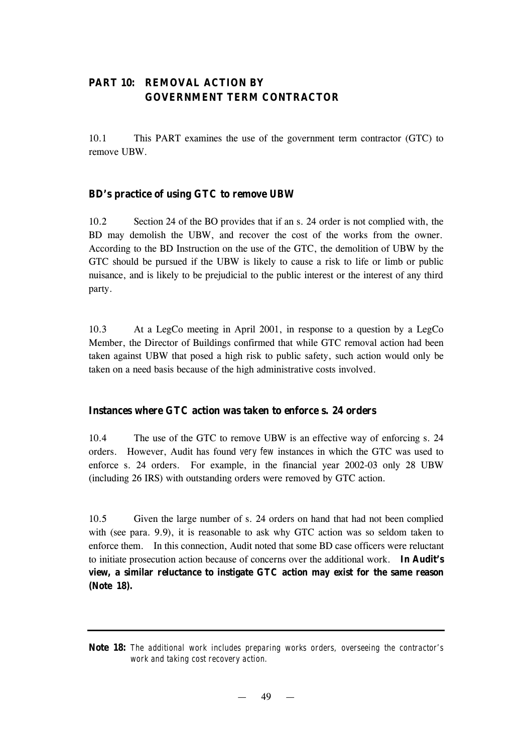# **PART 10: REMOVAL ACTION BY GOVERNMENT TERM CONTRACTOR**

10.1 This PART examines the use of the government term contractor (GTC) to remove UBW.

## **BD's practice of using GTC to remove UBW**

10.2 Section 24 of the BO provides that if an s. 24 order is not complied with, the BD may demolish the UBW, and recover the cost of the works from the owner. According to the BD Instruction on the use of the GTC, the demolition of UBW by the GTC should be pursued if the UBW is likely to cause a risk to life or limb or public nuisance, and is likely to be prejudicial to the public interest or the interest of any third party.

10.3 At a LegCo meeting in April 2001, in response to a question by a LegCo Member, the Director of Buildings confirmed that while GTC removal action had been taken against UBW that posed a high risk to public safety, such action would only be taken on a need basis because of the high administrative costs involved.

#### **Instances where GTC action was taken to enforce s. 24 orders**

10.4 The use of the GTC to remove UBW is an effective way of enforcing s. 24 orders. However, Audit has found *very few* instances in which the GTC was used to enforce s. 24 orders. For example, in the financial year 2002-03 only 28 UBW (including 26 IRS) with outstanding orders were removed by GTC action.

10.5 Given the large number of s. 24 orders on hand that had not been complied with (see para. 9.9), it is reasonable to ask why GTC action was so seldom taken to enforce them. In this connection, Audit noted that some BD case officers were reluctant to initiate prosecution action because of concerns over the additional work. **In Audit's view, a similar reluctance to instigate GTC action may exist for the same reason (Note 18).**

**Note 18:** *The additional work includes preparing works orders, overseeing the contractor's work and taking cost recovery action.* 

49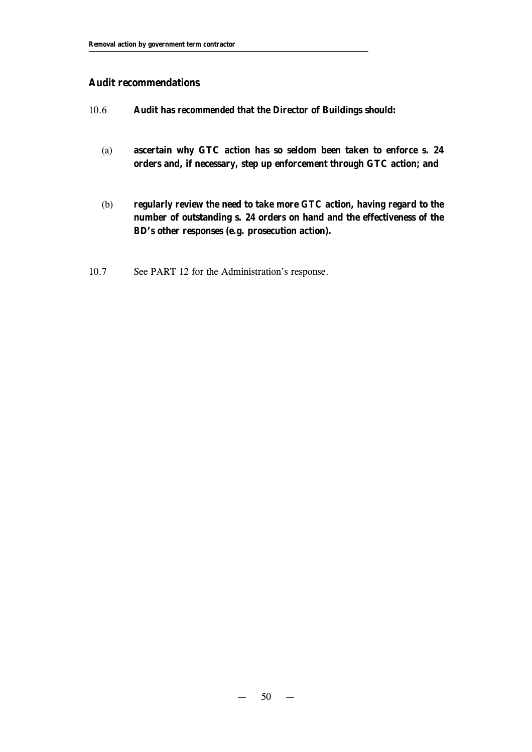#### **Audit recommendations**

- 10.6 **Audit has** *recommended* **that the Director of Buildings should:**
	- (a) **ascertain why GTC action has so seldom been taken to enforce s. 24 orders and, if necessary, step up enforcement through GTC action; and**
	- (b) **regularly review the need to take more GTC action, having regard to the number of outstanding s. 24 orders on hand and the effectiveness of the BD's other responses (e.g. prosecution action).**
- 10.7 See PART 12 for the Administration's response.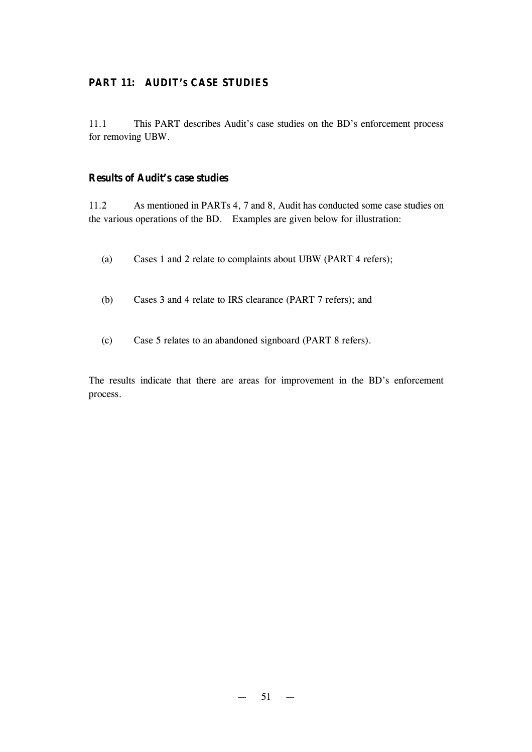## **PART 11: AUDIT'S CASE STUDIES**

11.1 This PART describes Audit's case studies on the BD's enforcement process for removing UBW.

### **Results of Audit's case studies**

11.2 As mentioned in PARTs 4, 7 and 8, Audit has conducted some case studies on the various operations of the BD. Examples are given below for illustration:

- (a) Cases 1 and 2 relate to complaints about UBW (PART 4 refers);
- (b) Cases 3 and 4 relate to IRS clearance (PART 7 refers); and
- (c) Case 5 relates to an abandoned signboard (PART 8 refers).

The results indicate that there are areas for improvement in the BD's enforcement process.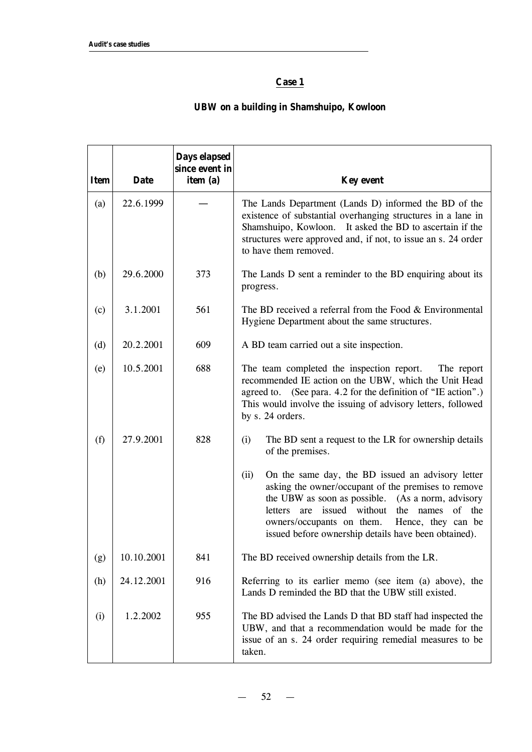# **Case 1**

# **UBW on a building in Shamshuipo, Kowloon**

| <b>Item</b> | <b>Date</b> | Days elapsed<br>since event in<br>item (a) | <b>Key event</b>                                                                                                                                                                                                                                                                                                                               |
|-------------|-------------|--------------------------------------------|------------------------------------------------------------------------------------------------------------------------------------------------------------------------------------------------------------------------------------------------------------------------------------------------------------------------------------------------|
| (a)         | 22.6.1999   |                                            | The Lands Department (Lands D) informed the BD of the<br>existence of substantial overhanging structures in a lane in<br>Shamshuipo, Kowloon. It asked the BD to ascertain if the<br>structures were approved and, if not, to issue an s. 24 order<br>to have them removed.                                                                    |
| (b)         | 29.6.2000   | 373                                        | The Lands D sent a reminder to the BD enquiring about its<br>progress.                                                                                                                                                                                                                                                                         |
| (c)         | 3.1.2001    | 561                                        | The BD received a referral from the Food $& Environmental$<br>Hygiene Department about the same structures.                                                                                                                                                                                                                                    |
| (d)         | 20.2.2001   | 609                                        | A BD team carried out a site inspection.                                                                                                                                                                                                                                                                                                       |
| (e)         | 10.5.2001   | 688                                        | The team completed the inspection report.<br>The report<br>recommended IE action on the UBW, which the Unit Head<br>agreed to. (See para. 4.2 for the definition of "IE action".)<br>This would involve the issuing of advisory letters, followed<br>by s. 24 orders.                                                                          |
| (f)         | 27.9.2001   | 828                                        | (i)<br>The BD sent a request to the LR for ownership details<br>of the premises.                                                                                                                                                                                                                                                               |
|             |             |                                            | On the same day, the BD issued an advisory letter<br>(ii)<br>asking the owner/occupant of the premises to remove<br>the UBW as soon as possible. (As a norm, advisory<br>issued without<br>of the<br>the<br>letters<br>names<br>are<br>owners/occupants on them.<br>Hence, they can be<br>issued before ownership details have been obtained). |
| (g)         | 10.10.2001  | 841                                        | The BD received ownership details from the LR.                                                                                                                                                                                                                                                                                                 |
| (h)         | 24.12.2001  | 916                                        | Referring to its earlier memo (see item (a) above), the<br>Lands D reminded the BD that the UBW still existed.                                                                                                                                                                                                                                 |
| (i)         | 1.2.2002    | 955                                        | The BD advised the Lands D that BD staff had inspected the<br>UBW, and that a recommendation would be made for the<br>issue of an s. 24 order requiring remedial measures to be<br>taken.                                                                                                                                                      |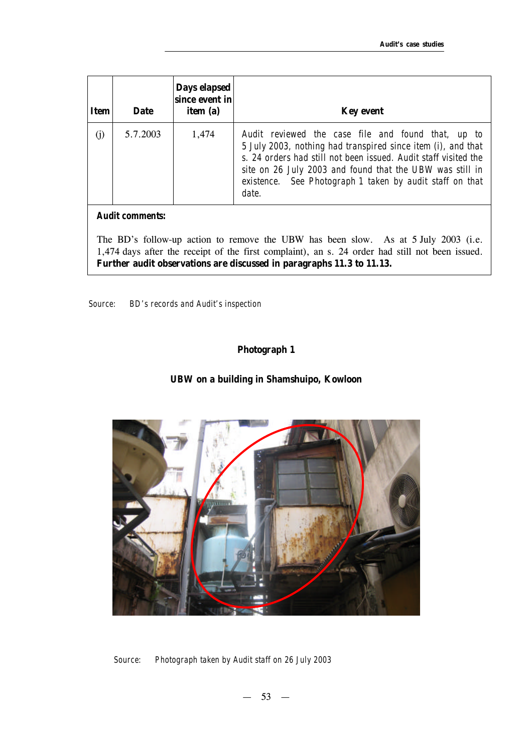| Item | <b>Date</b> | Days elapsed<br>since event in<br>item (a) | <b>Key event</b>                                                                                                                                                                                                                                                                                                       |
|------|-------------|--------------------------------------------|------------------------------------------------------------------------------------------------------------------------------------------------------------------------------------------------------------------------------------------------------------------------------------------------------------------------|
| (i)  | 5.7.2003    | 1,474                                      | Audit reviewed the case file and found that, up to<br>5 July 2003, nothing had transpired since item (i), and that<br>s. 24 orders had still not been issued. Audit staff visited the<br>site on 26 July 2003 and found that the UBW was still in<br>existence. See Photograph 1 taken by audit staff on that<br>date. |

#### *Audit comments:*

The BD's follow-up action to remove the UBW has been slow. As at 5 July 2003 (i.e. 1,474 days after the receipt of the first complaint), an s. 24 order had still not been issued. **Further audit observations are discussed in paragraphs 11.3 to 11.13.**

*Source: BD's records and Audit's inspection*

#### **Photograph 1**

#### **UBW on a building in Shamshuipo, Kowloon**



*Source: Photograph taken by Audit staff on 26 July 2003*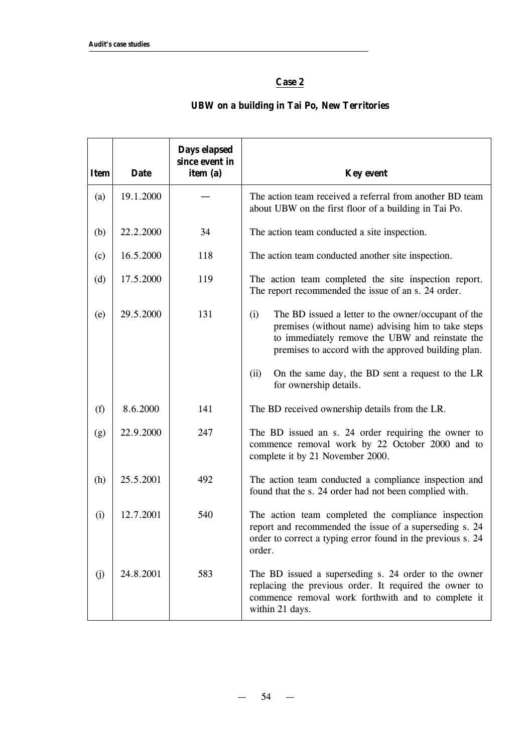# **Case 2**

# **UBW on a building in Tai Po, New Territories**

| <b>Item</b> | <b>Date</b> | Days elapsed<br>since event in<br>item (a) | <b>Key event</b>                                                                                                                                                                                                           |
|-------------|-------------|--------------------------------------------|----------------------------------------------------------------------------------------------------------------------------------------------------------------------------------------------------------------------------|
| (a)         | 19.1.2000   |                                            | The action team received a referral from another BD team<br>about UBW on the first floor of a building in Tai Po.                                                                                                          |
| (b)         | 22.2.2000   | 34                                         | The action team conducted a site inspection.                                                                                                                                                                               |
| (c)         | 16.5.2000   | 118                                        | The action team conducted another site inspection.                                                                                                                                                                         |
| (d)         | 17.5.2000   | 119                                        | The action team completed the site inspection report.<br>The report recommended the issue of an s. 24 order.                                                                                                               |
| (e)         | 29.5.2000   | 131                                        | (i)<br>The BD issued a letter to the owner/occupant of the<br>premises (without name) advising him to take steps<br>to immediately remove the UBW and reinstate the<br>premises to accord with the approved building plan. |
|             |             |                                            | (ii)<br>On the same day, the BD sent a request to the LR<br>for ownership details.                                                                                                                                         |
| (f)         | 8.6.2000    | 141                                        | The BD received ownership details from the LR.                                                                                                                                                                             |
| (g)         | 22.9.2000   | 247                                        | The BD issued an s. 24 order requiring the owner to<br>commence removal work by 22 October 2000 and to<br>complete it by 21 November 2000.                                                                                 |
| (h)         | 25.5.2001   | 492                                        | The action team conducted a compliance inspection and<br>found that the s. 24 order had not been complied with.                                                                                                            |
| (i)         | 12.7.2001   | 540                                        | The action team completed the compliance inspection<br>report and recommended the issue of a superseding s. 24<br>order to correct a typing error found in the previous s. 24<br>order.                                    |
| (j)         | 24.8.2001   | 583                                        | The BD issued a superseding s. 24 order to the owner<br>replacing the previous order. It required the owner to<br>commence removal work forthwith and to complete it<br>within 21 days.                                    |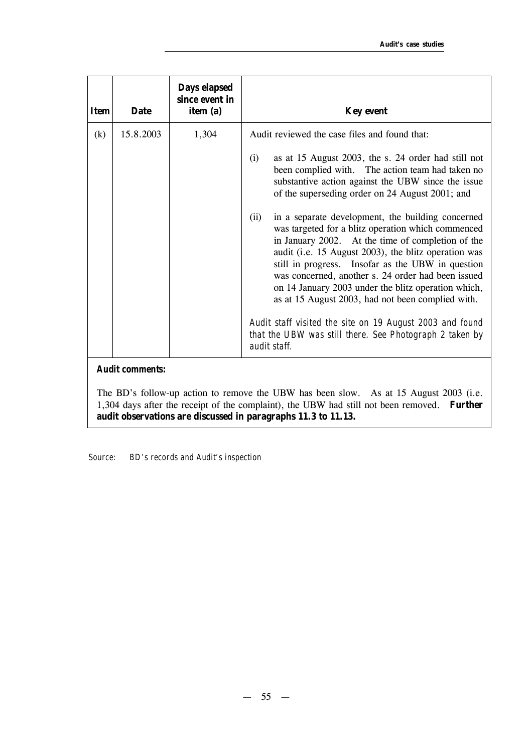| <b>Item</b> | <b>Date</b>            | Days elapsed<br>since event in<br>item (a) | <b>Key event</b>                                                                                                                                                                                                                                                                                                                                                                                                                                                                                                                                                                                                    |
|-------------|------------------------|--------------------------------------------|---------------------------------------------------------------------------------------------------------------------------------------------------------------------------------------------------------------------------------------------------------------------------------------------------------------------------------------------------------------------------------------------------------------------------------------------------------------------------------------------------------------------------------------------------------------------------------------------------------------------|
| (k)         | 15.8.2003              | 1,304                                      | Audit reviewed the case files and found that:<br>as at 15 August 2003, the s. 24 order had still not<br>(i)<br>been complied with. The action team had taken no<br>substantive action against the UBW since the issue<br>of the superseding order on 24 August 2001; and<br>in a separate development, the building concerned<br>(ii)<br>was targeted for a blitz operation which commenced<br>in January 2002. At the time of completion of the<br>audit (i.e. 15 August 2003), the blitz operation was<br>still in progress. Insofar as the UBW in question<br>was concerned, another s. 24 order had been issued |
|             | <b>Audit comments:</b> |                                            | on 14 January 2003 under the blitz operation which,<br>as at 15 August 2003, had not been complied with.<br>Audit staff visited the site on 19 August 2003 and found<br>that the UBW was still there. See Photograph 2 taken by<br>audit staff.                                                                                                                                                                                                                                                                                                                                                                     |

The BD's follow-up action to remove the UBW has been slow. As at 15 August 2003 (i.e. 1,304 days after the receipt of the complaint), the UBW had still not been removed. **Further audit observations are discussed in paragraphs 11.3 to 11.13.**

*Source: BD's records and Audit's inspection*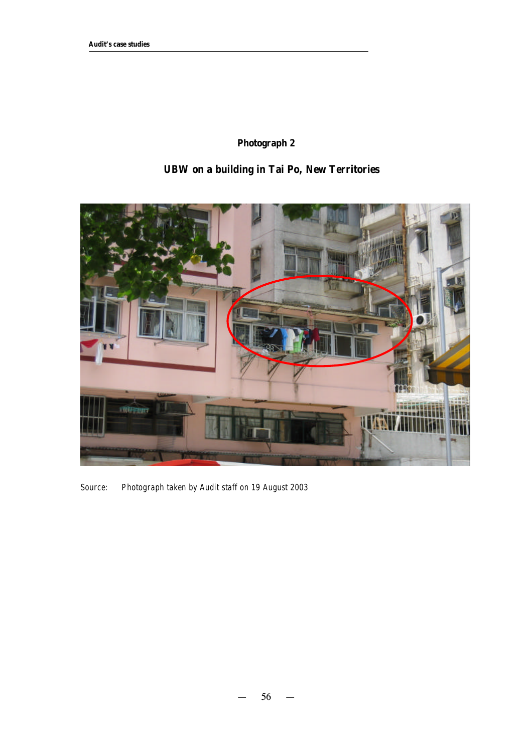# **Photograph 2**

# **UBW on a building in Tai Po, New Territories**



*Source: Photograph taken by Audit staff on 19 August 2003*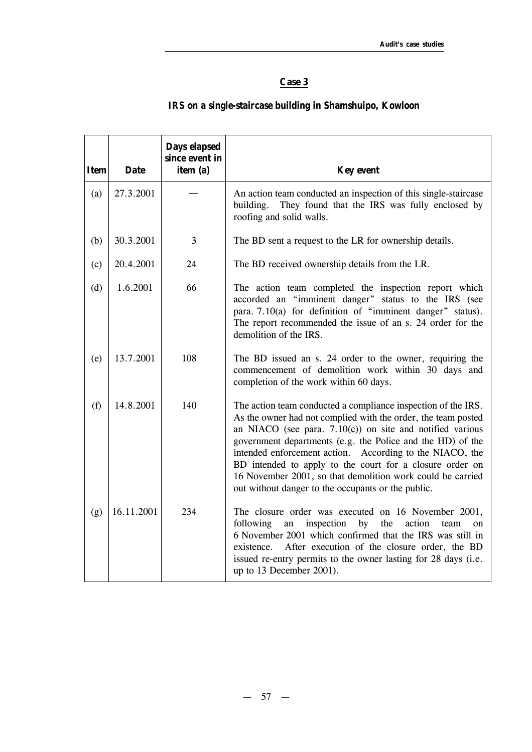# **Case 3**

| <b>Item</b> | <b>Date</b> | Days elapsed<br>since event in<br>item (a) | <b>Key event</b>                                                                                                                                                                                                                                                                                                                                                                                                                                                                                         |
|-------------|-------------|--------------------------------------------|----------------------------------------------------------------------------------------------------------------------------------------------------------------------------------------------------------------------------------------------------------------------------------------------------------------------------------------------------------------------------------------------------------------------------------------------------------------------------------------------------------|
| (a)         | 27.3.2001   |                                            | An action team conducted an inspection of this single-staircase<br>building.<br>They found that the IRS was fully enclosed by<br>roofing and solid walls.                                                                                                                                                                                                                                                                                                                                                |
| (b)         | 30.3.2001   | 3                                          | The BD sent a request to the LR for ownership details.                                                                                                                                                                                                                                                                                                                                                                                                                                                   |
| (c)         | 20.4.2001   | 24                                         | The BD received ownership details from the LR.                                                                                                                                                                                                                                                                                                                                                                                                                                                           |
| (d)         | 1.6.2001    | 66                                         | The action team completed the inspection report which<br>accorded an "imminent danger" status to the IRS (see<br>para. 7.10(a) for definition of "imminent danger" status).<br>The report recommended the issue of an s. 24 order for the<br>demolition of the IRS.                                                                                                                                                                                                                                      |
| (e)         | 13.7.2001   | 108                                        | The BD issued an s. 24 order to the owner, requiring the<br>commencement of demolition work within 30 days and<br>completion of the work within 60 days.                                                                                                                                                                                                                                                                                                                                                 |
| (f)         | 14.8.2001   | 140                                        | The action team conducted a compliance inspection of the IRS.<br>As the owner had not complied with the order, the team posted<br>an NIACO (see para. $7.10(c)$ ) on site and notified various<br>government departments (e.g. the Police and the HD) of the<br>intended enforcement action. According to the NIACO, the<br>BD intended to apply to the court for a closure order on<br>16 November 2001, so that demolition work could be carried<br>out without danger to the occupants or the public. |
| (g)         | 16.11.2001  | 234                                        | The closure order was executed on 16 November 2001,<br>following<br>the<br>inspection<br>by<br>action<br>an<br>team<br>on<br>6 November 2001 which confirmed that the IRS was still in<br>After execution of the closure order, the BD<br>existence.<br>issued re-entry permits to the owner lasting for 28 days (i.e.<br>up to 13 December 2001).                                                                                                                                                       |

# **IRS on a single-staircase building in Shamshuipo, Kowloon**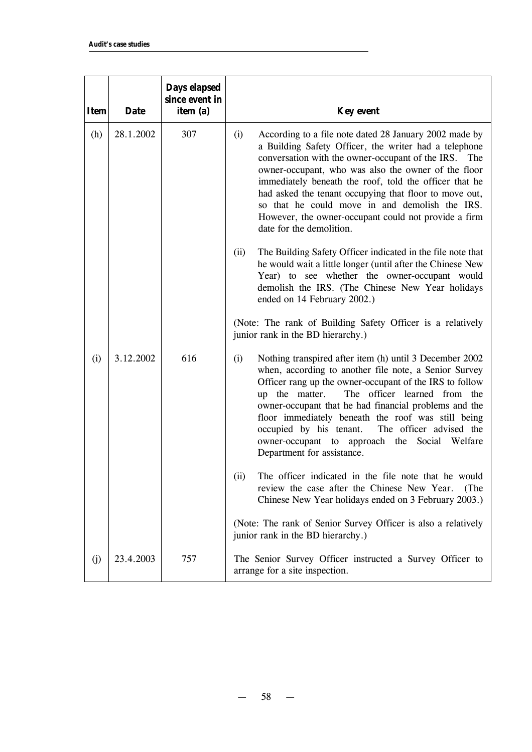| <b>Item</b> | <b>Date</b> | Days elapsed<br>since event in<br>item (a) | <b>Key event</b>                                                                                                                                                                                                                                                                                                                                                                                                                                                                                   |
|-------------|-------------|--------------------------------------------|----------------------------------------------------------------------------------------------------------------------------------------------------------------------------------------------------------------------------------------------------------------------------------------------------------------------------------------------------------------------------------------------------------------------------------------------------------------------------------------------------|
| (h)         | 28.1.2002   | 307                                        | (i)<br>According to a file note dated 28 January 2002 made by<br>a Building Safety Officer, the writer had a telephone<br>conversation with the owner-occupant of the IRS.<br>The<br>owner-occupant, who was also the owner of the floor<br>immediately beneath the roof, told the officer that he<br>had asked the tenant occupying that floor to move out,<br>so that he could move in and demolish the IRS.<br>However, the owner-occupant could not provide a firm<br>date for the demolition. |
|             |             |                                            | The Building Safety Officer indicated in the file note that<br>(ii)<br>he would wait a little longer (until after the Chinese New<br>Year) to see whether the owner-occupant would<br>demolish the IRS. (The Chinese New Year holidays<br>ended on 14 February 2002.)                                                                                                                                                                                                                              |
|             |             |                                            | (Note: The rank of Building Safety Officer is a relatively<br>junior rank in the BD hierarchy.)                                                                                                                                                                                                                                                                                                                                                                                                    |
| (i)         | 3.12.2002   | 616                                        | Nothing transpired after item (h) until 3 December 2002<br>(i)<br>when, according to another file note, a Senior Survey<br>Officer rang up the owner-occupant of the IRS to follow<br>officer learned from the<br>up the matter.<br>The<br>owner-occupant that he had financial problems and the<br>floor immediately beneath the roof was still being<br>occupied by his tenant.<br>The officer advised the<br>owner-occupant to approach the Social Welfare<br>Department for assistance.        |
|             |             |                                            | The officer indicated in the file note that he would<br>(ii)<br>review the case after the Chinese New Year.<br>(The<br>Chinese New Year holidays ended on 3 February 2003.)                                                                                                                                                                                                                                                                                                                        |
|             |             |                                            | (Note: The rank of Senior Survey Officer is also a relatively<br>junior rank in the BD hierarchy.)                                                                                                                                                                                                                                                                                                                                                                                                 |
| (j)         | 23.4.2003   | 757                                        | The Senior Survey Officer instructed a Survey Officer to<br>arrange for a site inspection.                                                                                                                                                                                                                                                                                                                                                                                                         |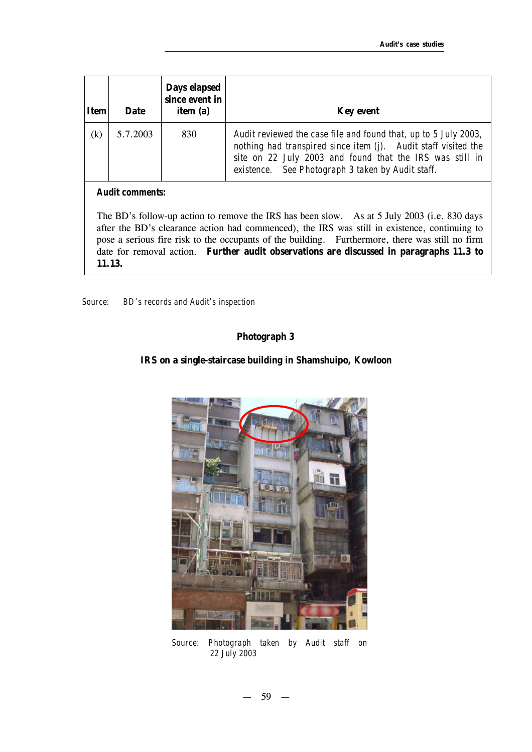| <b>Item</b> | <b>Date</b> | Days elapsed<br>since event in<br>item (a) | <b>Key event</b>                                                                                                                                                                                                                                   |
|-------------|-------------|--------------------------------------------|----------------------------------------------------------------------------------------------------------------------------------------------------------------------------------------------------------------------------------------------------|
| (k)         | 5.7.2003    | 830                                        | Audit reviewed the case file and found that, up to 5 July 2003,<br>nothing had transpired since item (j). Audit staff visited the<br>site on 22 July 2003 and found that the IRS was still in<br>existence. See Photograph 3 taken by Audit staff. |

#### *Audit comments:*

The BD's follow-up action to remove the IRS has been slow. As at 5 July 2003 (i.e. 830 days after the BD's clearance action had commenced), the IRS was still in existence, continuing to pose a serious fire risk to the occupants of the building. Furthermore, there was still no firm date for removal action. **Further audit observations are discussed in paragraphs 11.3 to 11.13.**

*Source: BD's records and Audit's inspection* 

#### **Photograph 3**

#### **IRS on a single-staircase building in Shamshuipo, Kowloon**



*Source: Photograph taken by Audit staff on 22 July 2003*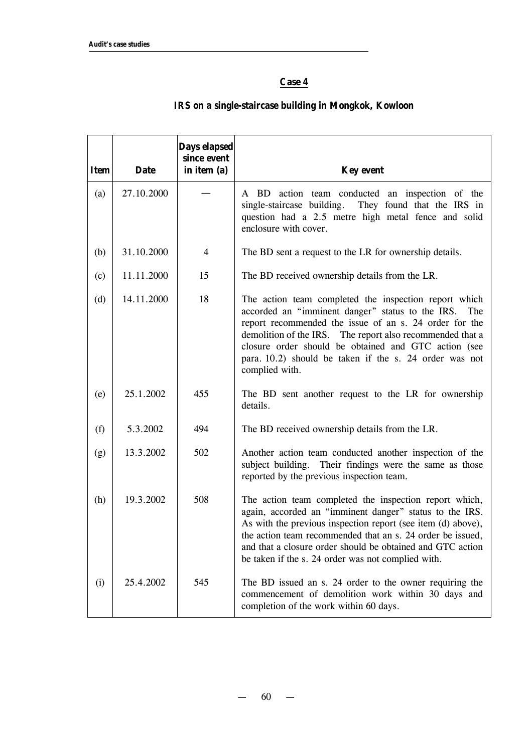# **Case 4**

| <b>Item</b> | <b>Date</b> | Days elapsed<br>since event<br>in item (a) | <b>Key event</b>                                                                                                                                                                                                                                                                                                                                                            |
|-------------|-------------|--------------------------------------------|-----------------------------------------------------------------------------------------------------------------------------------------------------------------------------------------------------------------------------------------------------------------------------------------------------------------------------------------------------------------------------|
| (a)         | 27.10.2000  |                                            | A BD action team conducted an inspection of the<br>single-staircase building.<br>They found that the IRS in<br>question had a 2.5 metre high metal fence and solid<br>enclosure with cover.                                                                                                                                                                                 |
| (b)         | 31.10.2000  | 4                                          | The BD sent a request to the LR for ownership details.                                                                                                                                                                                                                                                                                                                      |
| (c)         | 11.11.2000  | 15                                         | The BD received ownership details from the LR.                                                                                                                                                                                                                                                                                                                              |
| (d)         | 14.11.2000  | 18                                         | The action team completed the inspection report which<br>accorded an "imminent danger" status to the IRS.<br>The<br>report recommended the issue of an s. 24 order for the<br>demolition of the IRS. The report also recommended that a<br>closure order should be obtained and GTC action (see<br>para. 10.2) should be taken if the s. 24 order was not<br>complied with. |
| (e)         | 25.1.2002   | 455                                        | The BD sent another request to the LR for ownership<br>details.                                                                                                                                                                                                                                                                                                             |
| (f)         | 5.3.2002    | 494                                        | The BD received ownership details from the LR.                                                                                                                                                                                                                                                                                                                              |
| (g)         | 13.3.2002   | 502                                        | Another action team conducted another inspection of the<br>subject building. Their findings were the same as those<br>reported by the previous inspection team.                                                                                                                                                                                                             |
| (h)         | 19.3.2002   | 508                                        | The action team completed the inspection report which,<br>again, accorded an "imminent danger" status to the IRS.<br>As with the previous inspection report (see item (d) above),<br>the action team recommended that an s. 24 order be issued,<br>and that a closure order should be obtained and GTC action<br>be taken if the s. 24 order was not complied with.         |
| (i)         | 25.4.2002   | 545                                        | The BD issued an s. 24 order to the owner requiring the<br>commencement of demolition work within 30 days and<br>completion of the work within 60 days.                                                                                                                                                                                                                     |

# **IRS on a single-staircase building in Mongkok, Kowloon**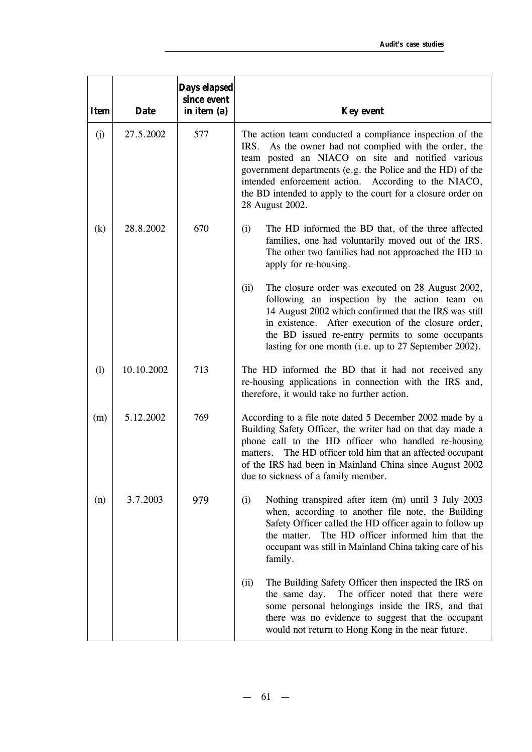| <b>Item</b> | <b>Date</b> | Days elapsed<br>since event<br>in item (a) | <b>Key event</b>                                                                                                                                                                                                                                                                                                                                                                 |
|-------------|-------------|--------------------------------------------|----------------------------------------------------------------------------------------------------------------------------------------------------------------------------------------------------------------------------------------------------------------------------------------------------------------------------------------------------------------------------------|
| (j)         | 27.5.2002   | 577                                        | The action team conducted a compliance inspection of the<br>IRS. As the owner had not complied with the order, the<br>team posted an NIACO on site and notified various<br>government departments (e.g. the Police and the HD) of the<br>intended enforcement action. According to the NIACO,<br>the BD intended to apply to the court for a closure order on<br>28 August 2002. |
| (k)         | 28.8.2002   | 670                                        | (i)<br>The HD informed the BD that, of the three affected<br>families, one had voluntarily moved out of the IRS.<br>The other two families had not approached the HD to<br>apply for re-housing.                                                                                                                                                                                 |
|             |             |                                            | (ii)<br>The closure order was executed on 28 August 2002,<br>following an inspection by the action team on<br>14 August 2002 which confirmed that the IRS was still<br>in existence. After execution of the closure order,<br>the BD issued re-entry permits to some occupants<br>lasting for one month (i.e. up to 27 September 2002).                                          |
| (1)         | 10.10.2002  | 713                                        | The HD informed the BD that it had not received any<br>re-housing applications in connection with the IRS and,<br>therefore, it would take no further action.                                                                                                                                                                                                                    |
| (m)         | 5.12.2002   | 769                                        | According to a file note dated 5 December 2002 made by a<br>Building Safety Officer, the writer had on that day made a<br>phone call to the HD officer who handled re-housing<br>The HD officer told him that an affected occupant<br>matters.<br>of the IRS had been in Mainland China since August 2002<br>due to sickness of a family member.                                 |
| (n)         | 3.7.2003    | 979                                        | (i)<br>Nothing transpired after item (m) until 3 July 2003<br>when, according to another file note, the Building<br>Safety Officer called the HD officer again to follow up<br>The HD officer informed him that the<br>the matter.<br>occupant was still in Mainland China taking care of his<br>family.                                                                         |
|             |             |                                            | (ii)<br>The Building Safety Officer then inspected the IRS on<br>The officer noted that there were<br>the same day.<br>some personal belongings inside the IRS, and that<br>there was no evidence to suggest that the occupant<br>would not return to Hong Kong in the near future.                                                                                              |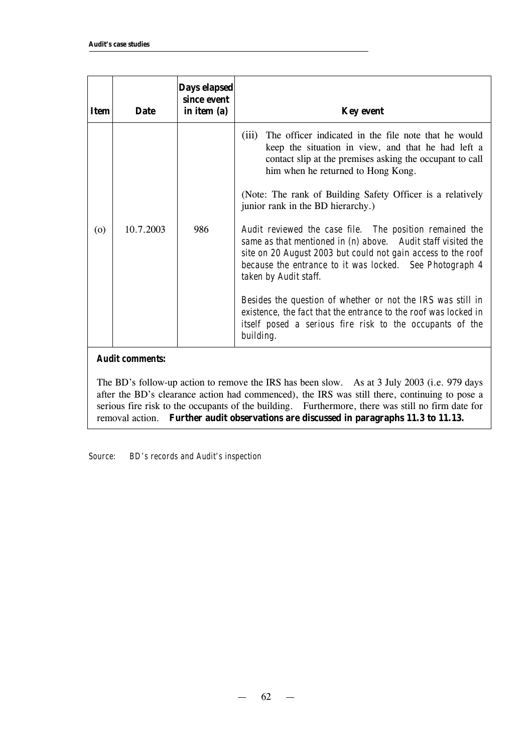| <b>Item</b> | <b>Date</b> | Days elapsed<br>since event<br>in item (a) | <b>Key event</b>                                                                                                                                                                                                                                                            |
|-------------|-------------|--------------------------------------------|-----------------------------------------------------------------------------------------------------------------------------------------------------------------------------------------------------------------------------------------------------------------------------|
| (0)         | 10.7.2003   | 986                                        | The officer indicated in the file note that he would<br>(iii)<br>keep the situation in view, and that he had left a<br>contact slip at the premises asking the occupant to call<br>him when he returned to Hong Kong.                                                       |
|             |             |                                            | (Note: The rank of Building Safety Officer is a relatively<br>junior rank in the BD hierarchy.)                                                                                                                                                                             |
|             |             |                                            | Audit reviewed the case file. The position remained the<br>same as that mentioned in (n) above. Audit staff visited the<br>site on 20 August 2003 but could not gain access to the roof<br>because the entrance to it was locked. See Photograph 4<br>taken by Audit staff. |
|             |             |                                            | Besides the question of whether or not the IRS was still in<br>existence, the fact that the entrance to the roof was locked in<br>itself posed a serious fire risk to the occupants of the<br>building.                                                                     |

#### *Audit comments:*

The BD's follow-up action to remove the IRS has been slow. As at 3 July 2003 (i.e. 979 days after the BD's clearance action had commenced), the IRS was still there, continuing to pose a serious fire risk to the occupants of the building. Furthermore, there was still no firm date for removal action. **Further audit observations are discussed in paragraphs 11.3 to 11.13.**

*Source: BD's records and Audit's inspection*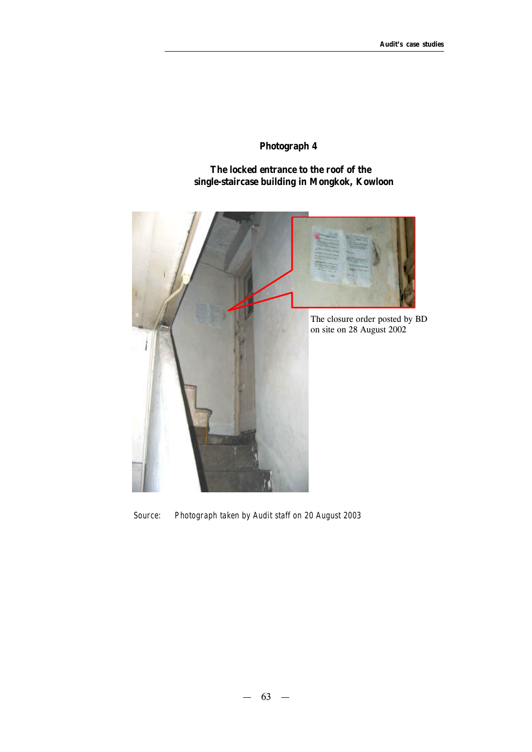# **Photograph 4**

 **The locked entrance to the roof of the single-staircase building in Mongkok, Kowloon**



*Source: Photograph taken by Audit staff on 20 August 2003*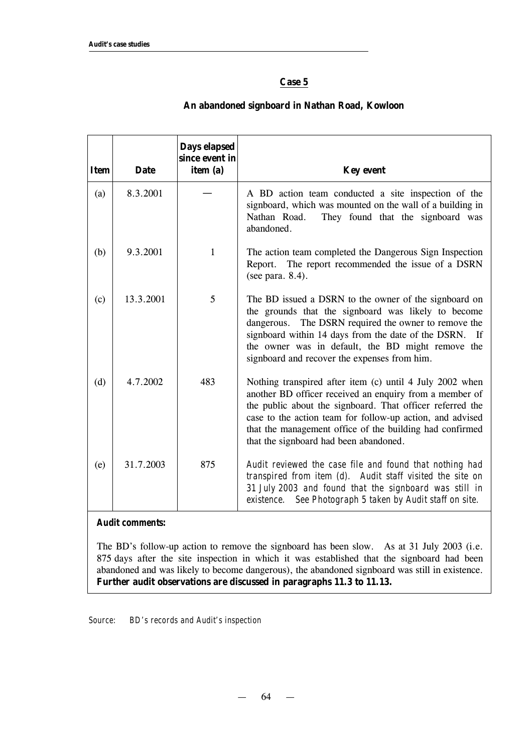# **Case 5**

| <b>Item</b> | <b>Date</b> | Days elapsed<br>since event in<br>item (a) | <b>Key event</b>                                                                                                                                                                                                                                                                                                                                    |
|-------------|-------------|--------------------------------------------|-----------------------------------------------------------------------------------------------------------------------------------------------------------------------------------------------------------------------------------------------------------------------------------------------------------------------------------------------------|
| (a)         | 8.3.2001    |                                            | A BD action team conducted a site inspection of the<br>signboard, which was mounted on the wall of a building in<br>They found that the signboard was<br>Nathan Road.<br>abandoned.                                                                                                                                                                 |
| (b)         | 9.3.2001    | 1                                          | The action team completed the Dangerous Sign Inspection<br>The report recommended the issue of a DSRN<br>Report.<br>(see para. 8.4).                                                                                                                                                                                                                |
| (c)         | 13.3.2001   | 5                                          | The BD issued a DSRN to the owner of the signboard on<br>the grounds that the signboard was likely to become<br>The DSRN required the owner to remove the<br>dangerous.<br>signboard within 14 days from the date of the DSRN. If<br>the owner was in default, the BD might remove the<br>signboard and recover the expenses from him.              |
| (d)         | 4.7.2002    | 483                                        | Nothing transpired after item (c) until 4 July 2002 when<br>another BD officer received an enquiry from a member of<br>the public about the signboard. That officer referred the<br>case to the action team for follow-up action, and advised<br>that the management office of the building had confirmed<br>that the signboard had been abandoned. |
| (e)         | 31.7.2003   | 875                                        | Audit reviewed the case file and found that nothing had<br>transpired from item (d). Audit staff visited the site on<br>31 July 2003 and found that the signboard was still in<br>See Photograph 5 taken by Audit staff on site.<br>existence.                                                                                                      |

# **An abandoned signboard in Nathan Road, Kowloon**

*Audit comments:*

The BD's follow-up action to remove the signboard has been slow. As at 31 July 2003 (i.e. 875 days after the site inspection in which it was established that the signboard had been abandoned and was likely to become dangerous), the abandoned signboard was still in existence. **Further audit observations are discussed in paragraphs 11.3 to 11.13.**

*Source: BD's records and Audit's inspection*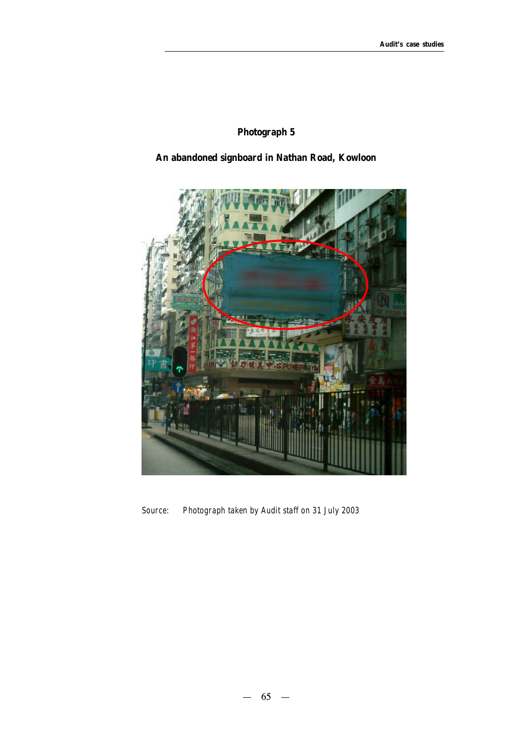# **Photograph 5**

# **An abandoned signboard in Nathan Road, Kowloon**



*Source: Photograph taken by Audit staff on 31 July 2003*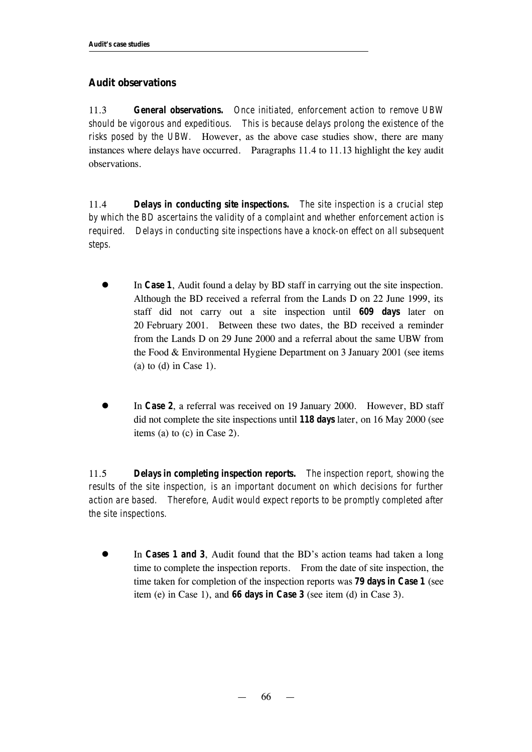## **Audit observations**

11.3 *General observations. Once initiated, enforcement action to remove UBW should be vigorous and expeditious. This is because delays prolong the existence of the risks posed by the UBW.* However, as the above case studies show, there are many instances where delays have occurred. Paragraphs 11.4 to 11.13 highlight the key audit observations.

11.4 *Delays in conducting site inspections. The site inspection is a crucial step by which the BD ascertains the validity of a complaint and whether enforcement action is required. Delays in conducting site inspections have a knock-on effect on all subsequent steps.*

- In *Case 1*, Audit found a delay by BD staff in carrying out the site inspection. Although the BD received a referral from the Lands D on 22 June 1999, its staff did not carry out a site inspection until *609 days* later on 20 February 2001. Between these two dates, the BD received a reminder from the Lands D on 29 June 2000 and a referral about the same UBW from the Food & Environmental Hygiene Department on 3 January 2001 (see items (a) to  $(d)$  in Case 1).
- In *Case 2*, a referral was received on 19 January 2000. However, BD staff did not complete the site inspections until *118 days* later, on 16 May 2000 (see items (a) to (c) in Case 2).

11.5 *Delays in completing inspection reports. The inspection report, showing the results of the site inspection, is an important document on which decisions for further action are based. Therefore, Audit would expect reports to be promptly completed after the site inspections.*

In *Cases 1 and 3*, Audit found that the BD's action teams had taken a long time to complete the inspection reports. From the date of site inspection, the time taken for completion of the inspection reports was *79 days in Case 1* (see item (e) in Case 1), and *66 days in Case 3* (see item (d) in Case 3).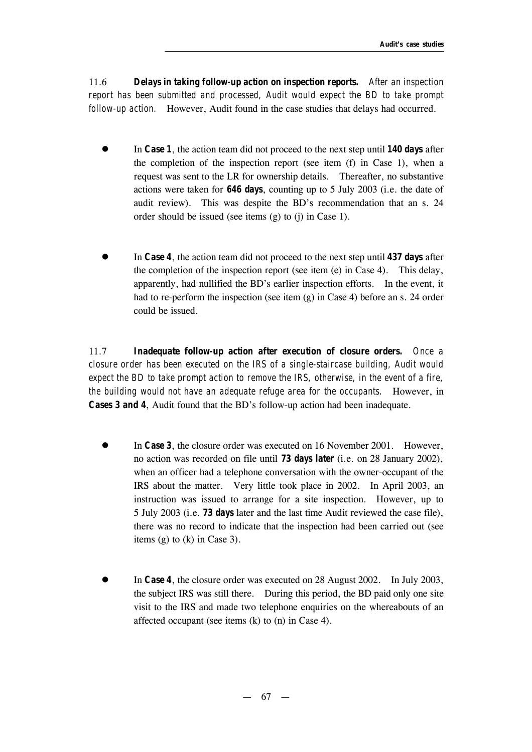11.6 *Delays in taking follow-up action on inspection reports. After an inspection report has been submitted and processed, Audit would expect the BD to take prompt follow-up action.* However, Audit found in the case studies that delays had occurred.

- In *Case 1*, the action team did not proceed to the next step until **140 days** after the completion of the inspection report (see item (f) in Case 1), when a request was sent to the LR for ownership details. Thereafter, no substantive actions were taken for *646 days*, counting up to 5 July 2003 (i.e. the date of audit review). This was despite the BD's recommendation that an s. 24 order should be issued (see items (g) to (j) in Case 1).
- l In *Case 4*, the action team did not proceed to the next step until *437 days* after the completion of the inspection report (see item (e) in Case 4). This delay, apparently, had nullified the BD's earlier inspection efforts. In the event, it had to re-perform the inspection (see item (g) in Case 4) before an s. 24 order could be issued.

11.7 *Inadequate follow-up action after execution of closure orders. Once a closure order has been executed on the IRS of a single-staircase building, Audit would expect the BD to take prompt action to remove the IRS, otherwise, in the event of a fire, the building would not have an adequate refuge area for the occupants.* However, in *Cases 3 and 4*, Audit found that the BD's follow-up action had been inadequate.

- In **Case 3**, the closure order was executed on 16 November 2001. However, no action was recorded on file until *73 days later* (i.e. on 28 January 2002), when an officer had a telephone conversation with the owner-occupant of the IRS about the matter. Very little took place in 2002. In April 2003, an instruction was issued to arrange for a site inspection. However, up to 5 July 2003 (i.e. *73 days* later and the last time Audit reviewed the case file), there was no record to indicate that the inspection had been carried out (see items (g) to (k) in Case 3).
- In *Case 4*, the closure order was executed on 28 August 2002. In July 2003, the subject IRS was still there. During this period, the BD paid only one site visit to the IRS and made two telephone enquiries on the whereabouts of an affected occupant (see items (k) to (n) in Case 4).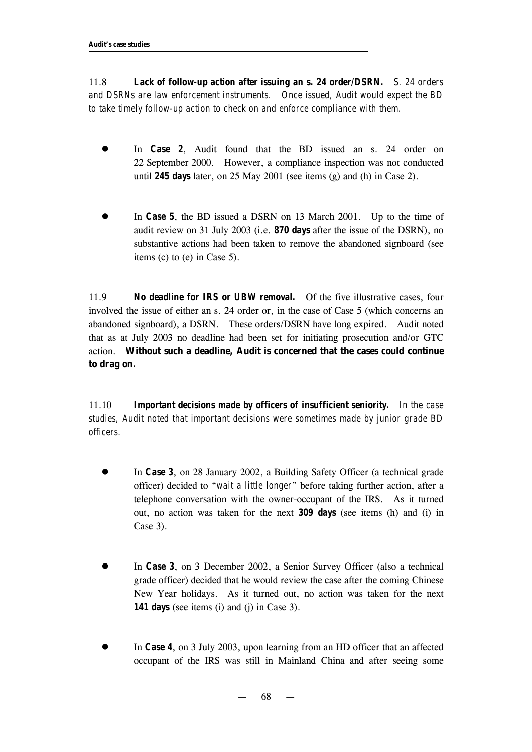11.8 *Lack of follow-up action after issuing an s. 24 order/DSRN. S. 24 orders and DSRNs are law enforcement instruments. Once issued, Audit would expect the BD to take timely follow-up action to check on and enforce compliance with them.* 

- **In** *Case 2*, Audit found that the BD issued an s. 24 order on 22 September 2000. However, a compliance inspection was not conducted until *245 days* later, on 25 May 2001 (see items (g) and (h) in Case 2).
- **In Case 5**, the BD issued a DSRN on 13 March 2001. Up to the time of audit review on 31 July 2003 (i.e. *870 days* after the issue of the DSRN), no substantive actions had been taken to remove the abandoned signboard (see items (c) to (e) in Case 5).

11.9 *No deadline for IRS or UBW removal.* Of the five illustrative cases, four involved the issue of either an s. 24 order or, in the case of Case 5 (which concerns an abandoned signboard), a DSRN. These orders/DSRN have long expired. Audit noted that as at July 2003 no deadline had been set for initiating prosecution and/or GTC action. **Without such a deadline, Audit is concerned that the cases could continue to drag on.**

11.10 *Important decisions made by officers of insufficient seniority. In the case studies, Audit noted that important decisions were sometimes made by junior grade BD officers.*

- **In Case 3**, on 28 January 2002, a Building Safety Officer (a technical grade officer) decided to "*wait a little longer*" before taking further action, after a telephone conversation with the owner-occupant of the IRS. As it turned out, no action was taken for the next *309 days* (see items (h) and (i) in Case 3).
- In *Case 3*, on 3 December 2002, a Senior Survey Officer (also a technical grade officer) decided that he would review the case after the coming Chinese New Year holidays. As it turned out, no action was taken for the next *141 days* (see items (i) and (j) in Case 3).
- In *Case 4*, on 3 July 2003, upon learning from an HD officer that an affected occupant of the IRS was still in Mainland China and after seeing some

— 68 —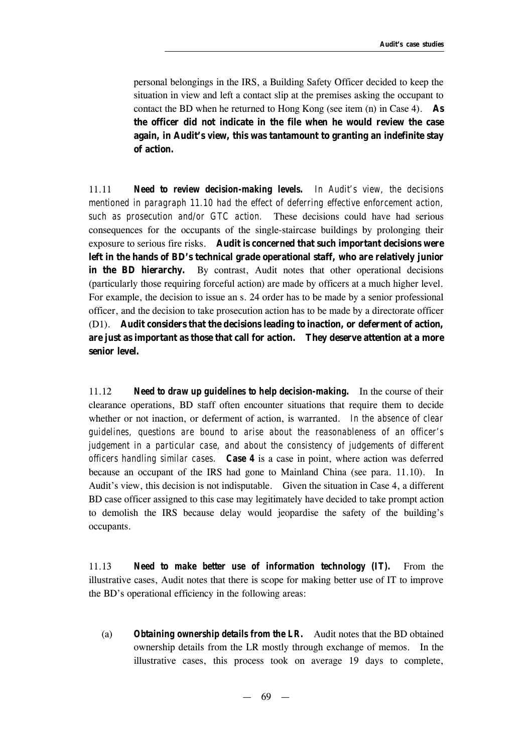personal belongings in the IRS, a Building Safety Officer decided to keep the situation in view and left a contact slip at the premises asking the occupant to contact the BD when he returned to Hong Kong (see item (n) in Case 4). **As the officer did not indicate in the file when he would review the case again, in Audit's view, this was tantamount to granting an indefinite stay of action.** 

11.11 *Need to review decision-making levels. In Audit's view, the decisions mentioned in paragraph 11.10 had the effect of deferring effective enforcement action, such as prosecution and/or GTC action.* These decisions could have had serious consequences for the occupants of the single-staircase buildings by prolonging their exposure to serious fire risks. **Audit is concerned that such important decisions were left in the hands of BD's technical grade operational staff, who are relatively junior in the BD hierarchy.** By contrast, Audit notes that other operational decisions (particularly those requiring forceful action) are made by officers at a much higher level. For example, the decision to issue an s. 24 order has to be made by a senior professional officer, and the decision to take prosecution action has to be made by a directorate officer (D1). **Audit considers that the decisions leading to inaction, or deferment of action, are just as important as those that call for action. They deserve attention at a more senior level.**

11.12 *Need to draw up guidelines to help decision-making.* In the course of their clearance operations, BD staff often encounter situations that require them to decide whether or not inaction, or deferment of action, is warranted. *In the absence of clear guidelines, questions are bound to arise about the reasonableness of an officer's judgement in a particular case, and about the consistency of judgements of different officers handling similar cases. Case 4* is a case in point, where action was deferred because an occupant of the IRS had gone to Mainland China (see para. 11.10). In Audit's view, this decision is not indisputable. Given the situation in Case 4, a different BD case officer assigned to this case may legitimately have decided to take prompt action to demolish the IRS because delay would jeopardise the safety of the building's occupants.

11.13 *Need to make better use of information technology (IT).* From the illustrative cases, Audit notes that there is scope for making better use of IT to improve the BD's operational efficiency in the following areas:

(a) *Obtaining ownership details from the LR.* Audit notes that the BD obtained ownership details from the LR mostly through exchange of memos. In the illustrative cases, this process took on average 19 days to complete,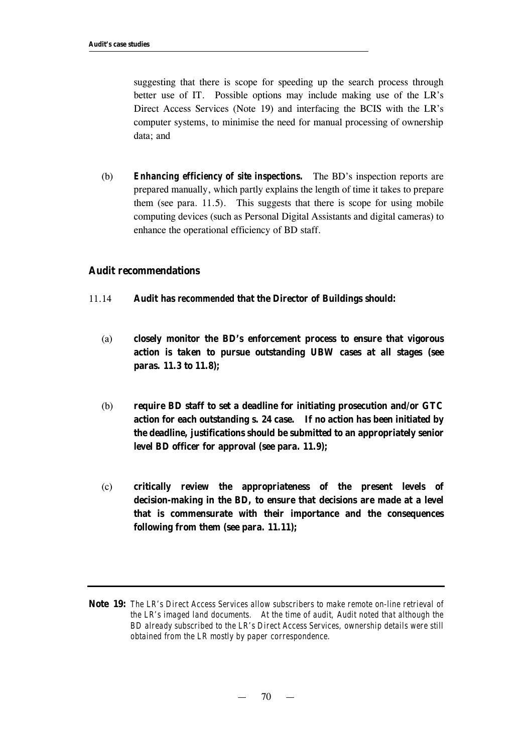suggesting that there is scope for speeding up the search process through better use of IT.Possible options may include making use of the LR's Direct Access Services (Note 19) and interfacing the BCIS with the LR's computer systems, to minimise the need for manual processing of ownership data; and

(b) *Enhancing efficiency of site inspections.* The BD's inspection reports are prepared manually, which partly explains the length of time it takes to prepare them (see para. 11.5). This suggests that there is scope for using mobile computing devices (such as Personal Digital Assistants and digital cameras) to enhance the operational efficiency of BD staff.

#### **Audit recommendations**

- 11.14 **Audit has** *recommended* **that the Director of Buildings should:**
	- (a) **closely monitor the BD's enforcement process to ensure that vigorous action is taken to pursue outstanding UBW cases at all stages (see paras. 11.3 to 11.8);**
	- (b) **require BD staff to set a deadline for initiating prosecution and/or GTC action for each outstanding s. 24 case. If no action has been initiated by the deadline, justifications should be submitted to an appropriately senior level BD officer for approval (see para. 11.9);**
	- (c) **critically review the appropriateness of the present levels of decision-making in the BD, to ensure that decisions are made at a level that is commensurate with their importance and the consequences following from them (see para. 11.11);**

**Note 19:** *The LR's Direct Access Services allow subscribers to make remote on-line retrieval of the LR's imaged land documents. At the time of audit, Audit noted that although the BD already subscribed to the LR's Direct Access Services, ownership details were still obtained from the LR mostly by paper correspondence.*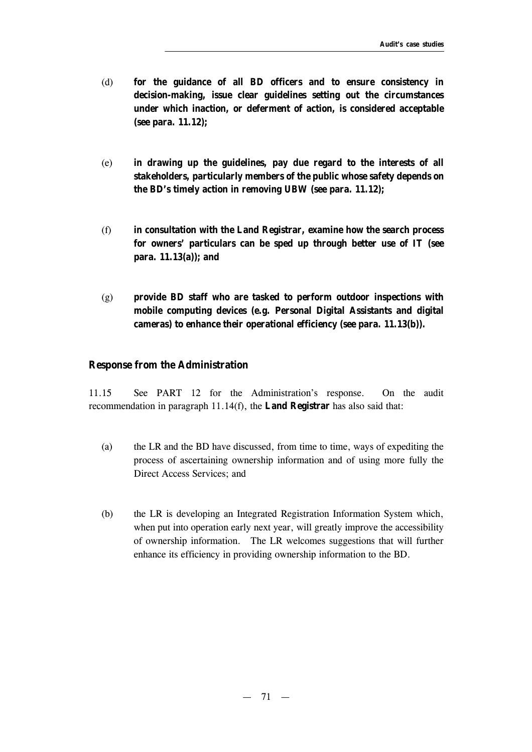- (d) **for the guidance of all BD officers and to ensure consistency in decision-making, issue clear guidelines setting out the circumstances under which inaction, or deferment of action, is considered acceptable (see para. 11.12);**
- (e) **in drawing up the guidelines, pay due regard to the interests of all stakeholders, particularly members of the public whose safety depends on the BD's timely action in removing UBW (see para. 11.12);**
- (f) **in consultation with the Land Registrar, examine how the search process for owners' particulars can be sped up through better use of IT (see para. 11.13(a)); and**
- (g) **provide BD staff who are tasked to perform outdoor inspections with mobile computing devices (e.g. Personal Digital Assistants and digital cameras) to enhance their operational efficiency (see para. 11.13(b)).**

#### **Response from the Administration**

11.15 See PART 12 for the Administration's response. On the audit recommendation in paragraph 11.14(f), the **Land Registrar** has also said that:

- (a) the LR and the BD have discussed, from time to time, ways of expediting the process of ascertaining ownership information and of using more fully the Direct Access Services; and
- (b) the LR is developing an Integrated Registration Information System which, when put into operation early next year, will greatly improve the accessibility of ownership information. The LR welcomes suggestions that will further enhance its efficiency in providing ownership information to the BD.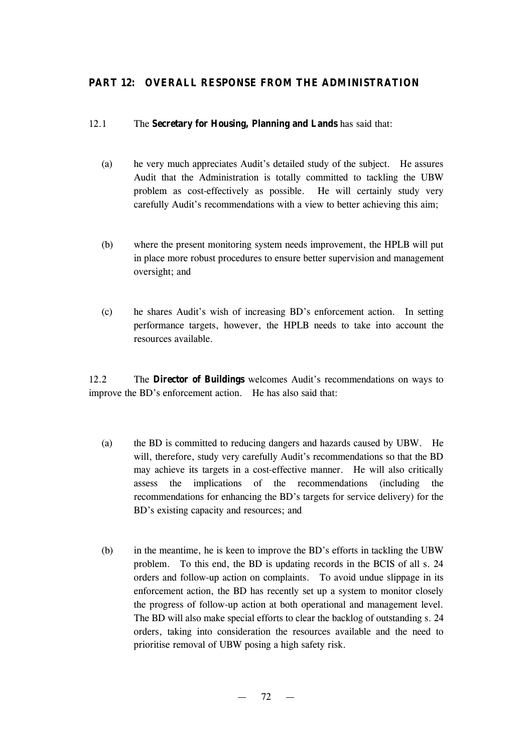# **PART 12: OVERALL RESPONSE FROM THE ADMINISTRATION**

#### 12.1 The **Secretary for Housing, Planning and Lands** has said that:

- (a) he very much appreciates Audit's detailed study of the subject. He assures Audit that the Administration is totally committed to tackling the UBW problem as cost-effectively as possible. He will certainly study very carefully Audit's recommendations with a view to better achieving this aim;
- (b) where the present monitoring system needs improvement, the HPLB will put in place more robust procedures to ensure better supervision and management oversight; and
- (c) he shares Audit's wish of increasing BD's enforcement action. In setting performance targets, however, the HPLB needs to take into account the resources available.

12.2 The **Director of Buildings** welcomes Audit's recommendations on ways to improve the BD's enforcement action. He has also said that:

- (a) the BD is committed to reducing dangers and hazards caused by UBW. He will, therefore, study very carefully Audit's recommendations so that the BD may achieve its targets in a cost-effective manner. He will also critically assess the implications of the recommendations (including the recommendations for enhancing the BD's targets for service delivery) for the BD's existing capacity and resources; and
- (b) in the meantime, he is keen to improve the BD's efforts in tackling the UBW problem. To this end, the BD is updating records in the BCIS of all s. 24 orders and follow-up action on complaints. To avoid undue slippage in its enforcement action, the BD has recently set up a system to monitor closely the progress of follow-up action at both operational and management level. The BD will also make special efforts to clear the backlog of outstanding s. 24 orders, taking into consideration the resources available and the need to prioritise removal of UBW posing a high safety risk.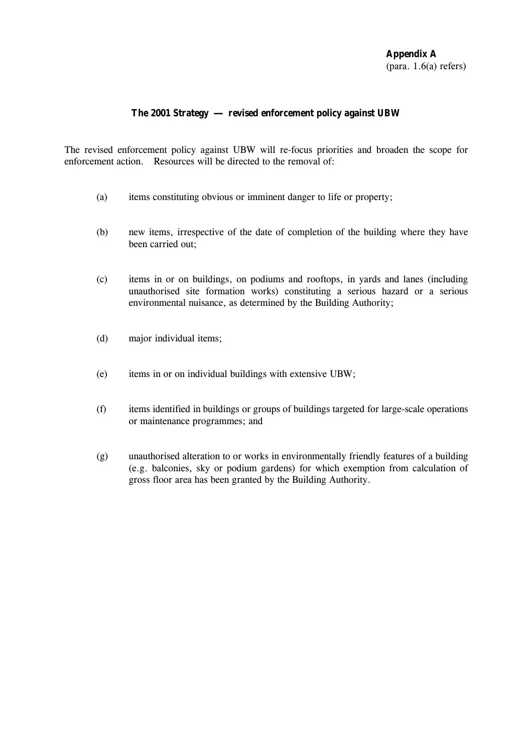# **The 2001 Strategy** — **revised enforcement policy against UBW**

The revised enforcement policy against UBW will re-focus priorities and broaden the scope for enforcement action. Resources will be directed to the removal of:

- (a) items constituting obvious or imminent danger to life or property;
- (b) new items, irrespective of the date of completion of the building where they have been carried out;
- (c) items in or on buildings, on podiums and rooftops, in yards and lanes (including unauthorised site formation works) constituting a serious hazard or a serious environmental nuisance, as determined by the Building Authority;
- (d) major individual items;
- (e) items in or on individual buildings with extensive UBW;
- (f) items identified in buildings or groups of buildings targeted for large-scale operations or maintenance programmes; and
- (g) unauthorised alteration to or works in environmentally friendly features of a building (e.g. balconies, sky or podium gardens) for which exemption from calculation of gross floor area has been granted by the Building Authority.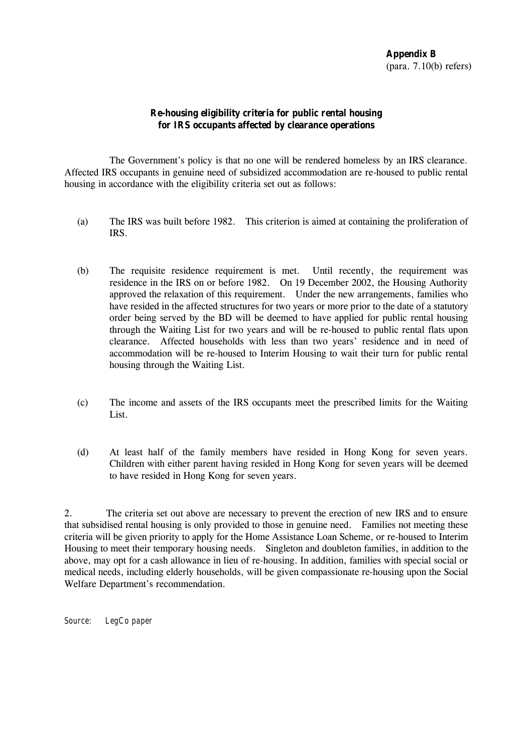# **Re-housing eligibility criteria for public rental housing for IRS occupants affected by clearance operations**

The Government's policy is that no one will be rendered homeless by an IRS clearance. Affected IRS occupants in genuine need of subsidized accommodation are re-housed to public rental housing in accordance with the eligibility criteria set out as follows:

- (a) The IRS was built before 1982. This criterion is aimed at containing the proliferation of IRS.
- (b) The requisite residence requirement is met. Until recently, the requirement was residence in the IRS on or before 1982. On 19 December 2002, the Housing Authority approved the relaxation of this requirement. Under the new arrangements, families who have resided in the affected structures for two years or more prior to the date of a statutory order being served by the BD will be deemed to have applied for public rental housing through the Waiting List for two years and will be re-housed to public rental flats upon clearance. Affected households with less than two years' residence and in need of accommodation will be re-housed to Interim Housing to wait their turn for public rental housing through the Waiting List.
- (c) The income and assets of the IRS occupants meet the prescribed limits for the Waiting List.
- (d) At least half of the family members have resided in Hong Kong for seven years. Children with either parent having resided in Hong Kong for seven years will be deemed to have resided in Hong Kong for seven years.

2. The criteria set out above are necessary to prevent the erection of new IRS and to ensure that subsidised rental housing is only provided to those in genuine need. Families not meeting these criteria will be given priority to apply for the Home Assistance Loan Scheme, or re-housed to Interim Housing to meet their temporary housing needs. Singleton and doubleton families, in addition to the above, may opt for a cash allowance in lieu of re-housing. In addition, families with special social or medical needs, including elderly households, will be given compassionate re-housing upon the Social Welfare Department's recommendation.

*Source: LegCo paper*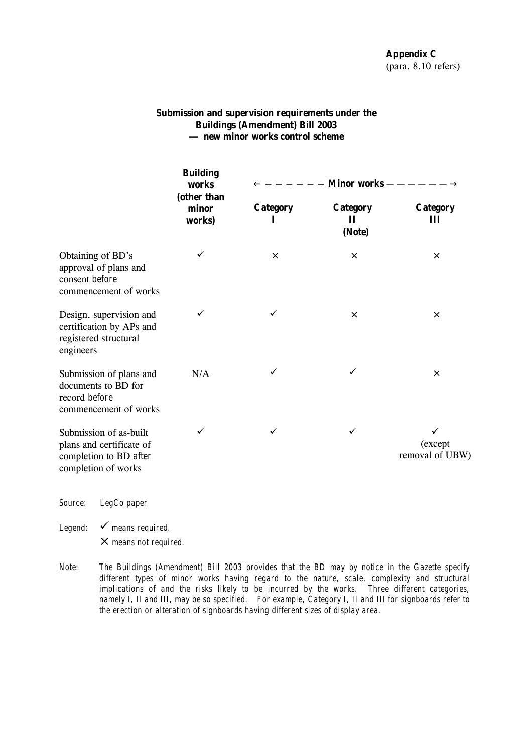# **Submission and supervision requirements under the Buildings (Amendment) Bill 2003**  — **new minor works control scheme**

|                                                                                                     | <b>Building</b><br>works<br>(other than<br>minor<br>works) | <b>Minor works</b> -<br>$\leftarrow - - - - - -$ |                                |                             |
|-----------------------------------------------------------------------------------------------------|------------------------------------------------------------|--------------------------------------------------|--------------------------------|-----------------------------|
|                                                                                                     |                                                            | <b>Category</b><br>1                             | <b>Category</b><br>П<br>(Note) | <b>Category</b><br>Ш        |
| Obtaining of BD's<br>approval of plans and<br>consent before<br>commencement of works               | ✓                                                          | $\times$                                         | $\times$                       | $\times$                    |
| Design, supervision and<br>certification by APs and<br>registered structural<br>engineers           | ✓                                                          | ✓                                                | $\times$                       | $\times$                    |
| Submission of plans and<br>documents to BD for<br>record before<br>commencement of works            | N/A                                                        | ✓                                                | ✓                              | $\times$                    |
| Submission of as-built<br>plans and certificate of<br>completion to BD after<br>completion of works | ✓                                                          | ✓                                                | $\checkmark$                   | (except)<br>removal of UBW) |

*Source: LegCo paper*

*Legend:*  $\checkmark$  means required.

×*means not required.* 

*Note: The Buildings (Amendment) Bill 2003 provides that the BD may by notice in the Gazette specify different types of minor works having regard to the nature, scale, complexity and structural implications of and the risks likely to be incurred by the works. Three different categories, namely I, II and III, may be so specified. For example, Category I, II and III for signboards refer to the erection or alteration of signboards having different sizes of display area.*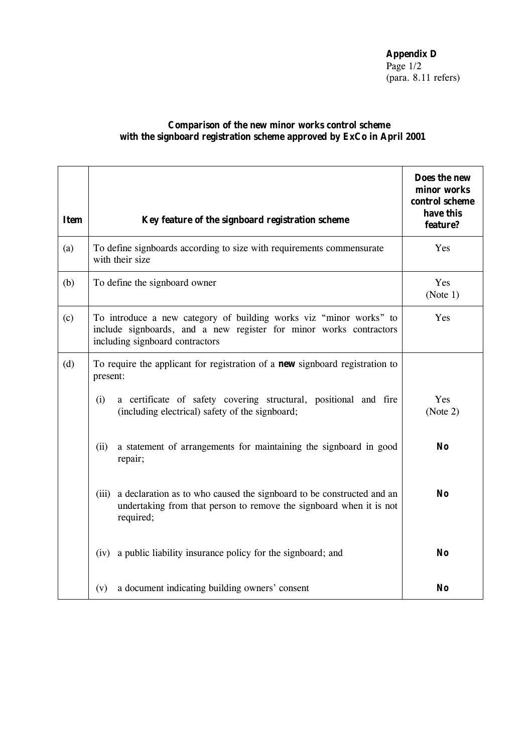**Appendix D** Page  $1/2$ (para. 8.11 refers)

### **Comparison of the new minor works control scheme with the signboard registration scheme approved by ExCo in April 2001**

| <b>Item</b> | Key feature of the signboard registration scheme                                                                                                                                   | Does the new<br>minor works<br>control scheme<br>have this<br>feature? |  |
|-------------|------------------------------------------------------------------------------------------------------------------------------------------------------------------------------------|------------------------------------------------------------------------|--|
| (a)         | To define signboards according to size with requirements commensurate<br>with their size                                                                                           | Yes                                                                    |  |
| (b)         | To define the signboard owner                                                                                                                                                      | Yes<br>(Note 1)                                                        |  |
| (c)         | To introduce a new category of building works viz "minor works" to<br>Yes<br>include signboards, and a new register for minor works contractors<br>including signboard contractors |                                                                        |  |
| (d)         | To require the applicant for registration of a <b>new</b> signboard registration to<br>present:                                                                                    |                                                                        |  |
|             | a certificate of safety covering structural, positional and fire<br>(i)<br>(including electrical) safety of the signboard;                                                         | Yes<br>(Note 2)                                                        |  |
|             | a statement of arrangements for maintaining the signboard in good<br>(ii)<br>repair;                                                                                               | N <sub>o</sub>                                                         |  |
|             | a declaration as to who caused the signboard to be constructed and an<br>(iii)<br>undertaking from that person to remove the signboard when it is not<br>required;                 | N <sub>o</sub>                                                         |  |
|             | a public liability insurance policy for the signboard; and<br>(iv)                                                                                                                 | No                                                                     |  |
|             | a document indicating building owners' consent<br>(v)                                                                                                                              | No                                                                     |  |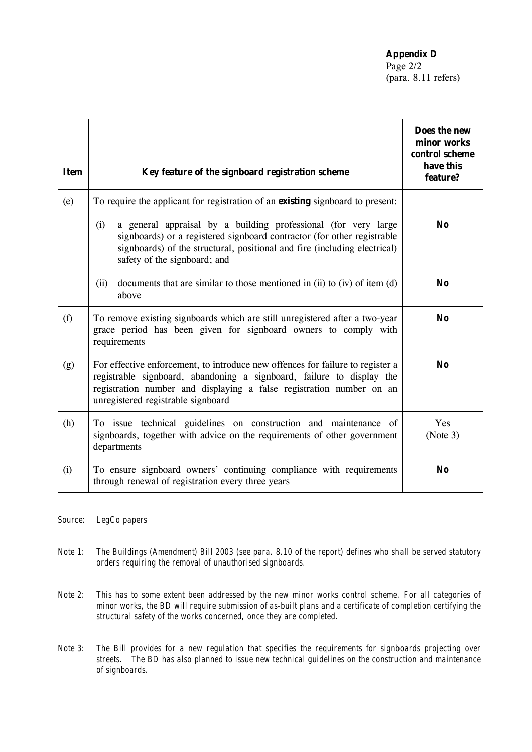**Appendix D**

Page 2/2 (para. 8.11 refers)

| <b>Item</b> | Key feature of the signboard registration scheme                                                                                                                                                                                                                      | Does the new<br>minor works<br>control scheme<br>have this<br>feature? |
|-------------|-----------------------------------------------------------------------------------------------------------------------------------------------------------------------------------------------------------------------------------------------------------------------|------------------------------------------------------------------------|
| (e)         | To require the applicant for registration of an <b>existing</b> signboard to present:                                                                                                                                                                                 |                                                                        |
|             | (i)<br>a general appraisal by a building professional (for very large<br>signboards) or a registered signboard contractor (for other registrable<br>signboards) of the structural, positional and fire (including electrical)<br>safety of the signboard; and         | No                                                                     |
|             | (ii)<br>documents that are similar to those mentioned in (ii) to (iv) of item (d)<br>above                                                                                                                                                                            | No                                                                     |
| (f)         | To remove existing signboards which are still unregistered after a two-year<br>grace period has been given for signboard owners to comply with<br>requirements                                                                                                        | No                                                                     |
| (g)         | For effective enforcement, to introduce new offences for failure to register a<br>registrable signboard, abandoning a signboard, failure to display the<br>registration number and displaying a false registration number on an<br>unregistered registrable signboard | No                                                                     |
| (h)         | To issue technical guidelines on construction and maintenance of<br>signboards, together with advice on the requirements of other government<br>departments                                                                                                           | Yes<br>(Note 3)                                                        |
| (i)         | To ensure signboard owners' continuing compliance with requirements<br>through renewal of registration every three years                                                                                                                                              | <b>No</b>                                                              |

*Source: LegCo papers* 

- *Note 1: The Buildings (Amendment) Bill 2003 (see para. 8.10 of the report) defines who shall be served statutory orders requiring the removal of unauthorised signboards.*
- *Note 2: This has to some extent been addressed by the new minor works control scheme. For all categories of minor works, the BD will require submission of as-built plans and a certificate of completion certifying the structural safety of the works concerned, once they are completed.*
- *Note 3: The Bill provides for a new regulation that specifies the requirements for signboards projecting over streets. The BD has also planned to issue new technical guidelines on the construction and maintenance of signboards.*